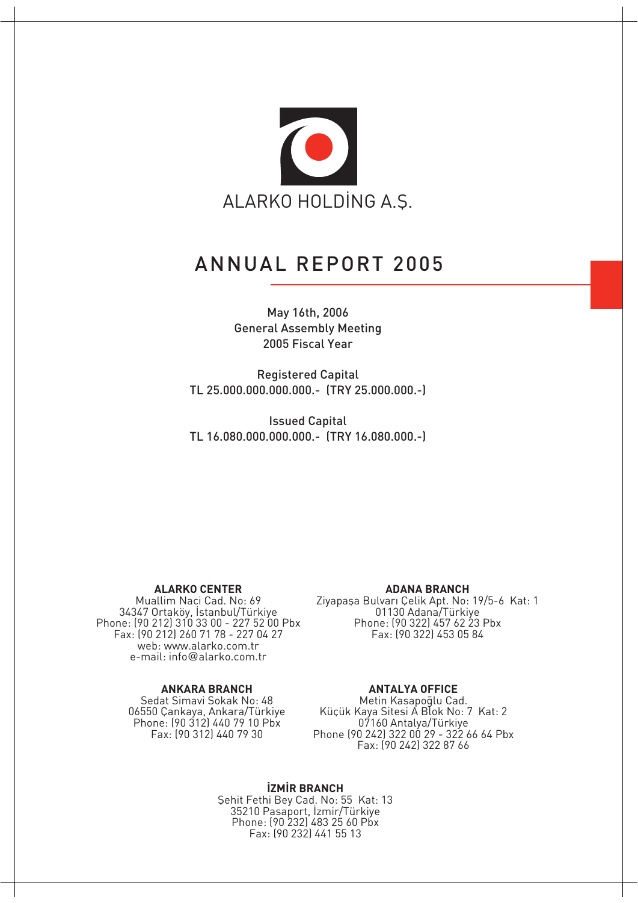

### ANNUAL REPORT 2005

#### May 16th, 2006 General Assembly Meeting 2005 Fiscal Year

Registered Capital TL 25.000.000.000.000.- (TRY 25.000.000.-)

Issued Capital TL 16.080.000.000.000.- (TRY 16.080.000.-)

#### **ALARKO CENTER**

Muallim Naci Cad. No: 69 34347 Ortaköy, Istanbul/Türkiye Phone: (90 212) 310 33 00 - 227 52 00 Pbx Fax: (90 212) 260 71 78 - 227 04 27 web: www.alarko.com.tr e-mail: info@alarko.com.tr

#### **ANKARA BRANCH**

Sedat Simavi Sokak No: 48 06550 Çankaya, Ankara/Türkiye Phone: (90 312) 440 79 10 Pbx Fax: (90 312) 440 79 30

#### **ADANA BRANCH**

Ziyapaşa Bulvarı Çelik Apt. No: 19/5-6 Kat: 1 01130 Adana/Türkiye Phone: (90 322) 457 62 23 Pbx Fax: (90 322) 453 05 84

#### **ANTALYA OFFICE**

Metin Kasapoqlu Cad. Küçük Kaya Sitesi A Blok No: 7 Kat: 2 07160 Antalya/Türkiye Phone (90 242) 322 00 29 - 322 66 64 Pbx Fax: (90 242) 322 87 66

**iZMİR BRANCH** Sehit Fethi Bey Cad. No: 55 Kat: 13 35210 Pasaport, İzmir/Türkiye Phone: (90 232) 483 25 60 Pbx Fax: (90 232) 441 55 13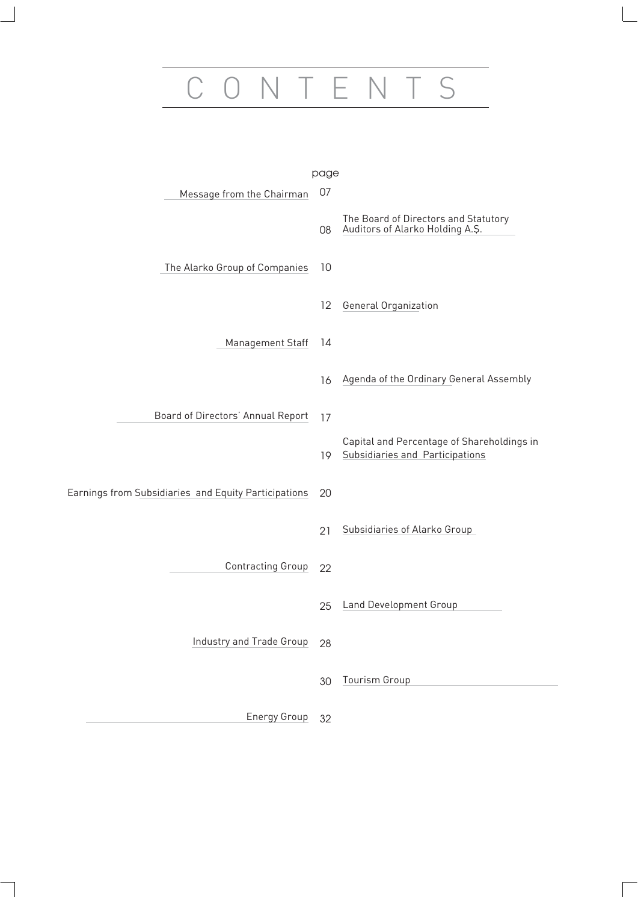# CONTENTS

|                                                      | page |                                                                               |
|------------------------------------------------------|------|-------------------------------------------------------------------------------|
| Message from the Chairman                            | 07   |                                                                               |
|                                                      | 08   | The Board of Directors and Statutory<br>Auditors of Alarko Holding A.Ş.       |
| The Alarko Group of Companies                        | 10   |                                                                               |
|                                                      | 12   | General Organization                                                          |
| Management Staff                                     | 14   |                                                                               |
|                                                      | 16   | Agenda of the Ordinary General Assembly                                       |
| Board of Directors' Annual Report                    | 17   |                                                                               |
|                                                      | 19.  | Capital and Percentage of Shareholdings in<br>Subsidiaries and Participations |
| Earnings from Subsidiaries and Equity Participations | 20   |                                                                               |
|                                                      | 21   | Subsidiaries of Alarko Group                                                  |
| <b>Contracting Group</b>                             | 22   |                                                                               |
|                                                      | 25   | <b>Land Development Group</b>                                                 |
| Industry and Trade Group                             | 28   |                                                                               |
|                                                      | 30   | Tourism Group                                                                 |
| <b>Energy Group</b>                                  | 32   |                                                                               |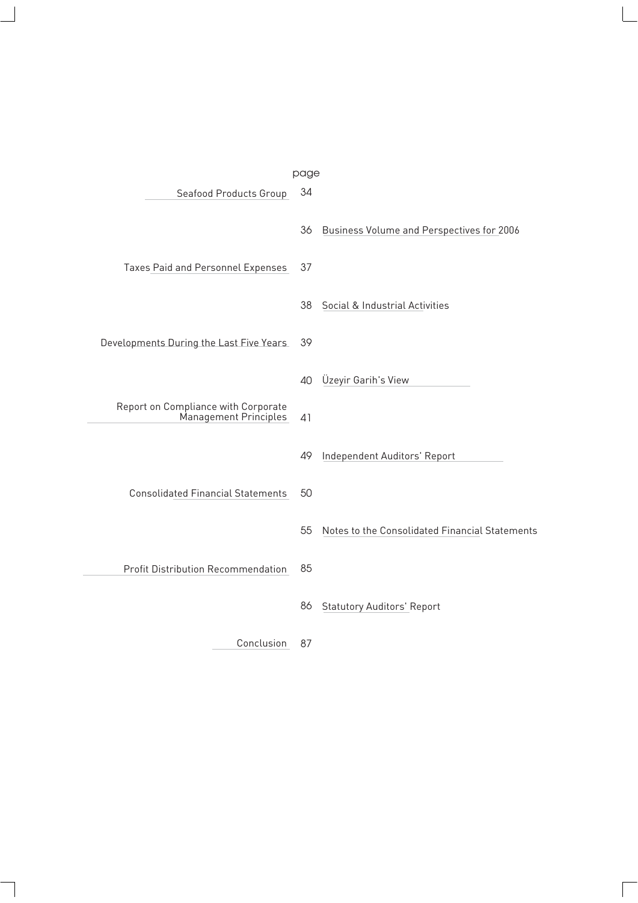|                                                              | page |                                                |
|--------------------------------------------------------------|------|------------------------------------------------|
| Seafood Products Group                                       | 34   |                                                |
|                                                              | 36   | Business Volume and Perspectives for 2006      |
| Taxes Paid and Personnel Expenses                            | 37   |                                                |
|                                                              | 38   | Social & Industrial Activities                 |
| Developments During the Last Five Years                      | 39   |                                                |
|                                                              | 40   | Üzeyir Garih's View                            |
| Report on Compliance with Corporate<br>Management Principles | 41   |                                                |
|                                                              | 49   | Independent Auditors' Report                   |
| <b>Consolidated Financial Statements</b>                     | 50   |                                                |
|                                                              | 55   | Notes to the Consolidated Financial Statements |
| <b>Profit Distribution Recommendation</b>                    | 85   |                                                |
|                                                              | 86   | <b>Statutory Auditors' Report</b>              |
| Conclusion                                                   | 87   |                                                |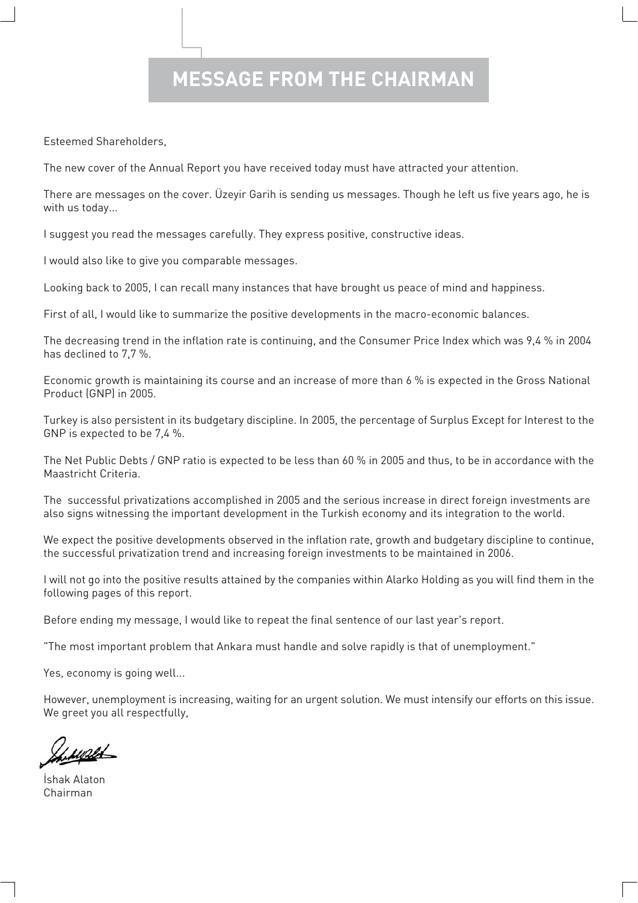# **MESSAGE FROM THE CHAIRMAN**

Esteemed Shareholders,

The new cover of the Annual Report you have received today must have attracted your attention.

There are messages on the cover. Üzeyir Garih is sending us messages. Though he left us five years ago, he is with us today...

I suggest you read the messages carefully. They express positive, constructive ideas.

I would also like to give you comparable messages.

Looking back to 2005, I can recall many instances that have brought us peace of mind and happiness.

First of all, I would like to summarize the positive developments in the macro-economic balances.

The decreasing trend in the inflation rate is continuing, and the Consumer Price Index which was 9,4 % in 2004 has declined to 7,7 %.

Economic growth is maintaining its course and an increase of more than 6 % is expected in the Gross National Product (GNP) in 2005.

Turkey is also persistent in its budgetary discipline. In 2005, the percentage of Surplus Except for Interest to the GNP is expected to be 7,4 %.

The Net Public Debts / GNP ratio is expected to be less than 60 % in 2005 and thus, to be in accordance with the Maastricht Criteria.

The successful privatizations accomplished in 2005 and the serious increase in direct foreign investments are also signs witnessing the important development in the Turkish economy and its integration to the world.

We expect the positive developments observed in the inflation rate, growth and budgetary discipline to continue, the successful privatization trend and increasing foreign investments to be maintained in 2006.

I will not go into the positive results attained by the companies within Alarko Holding as you will find them in the following pages of this report.

Before ending my message, I would like to repeat the final sentence of our last year's report.

"The most important problem that Ankara must handle and solve rapidly is that of unemployment."

Yes, economy is going well...

However, unemployment is increasing, waiting for an urgent solution. We must intensify our efforts on this issue. We greet you all respectfully,

**İshak Alaton** Chairman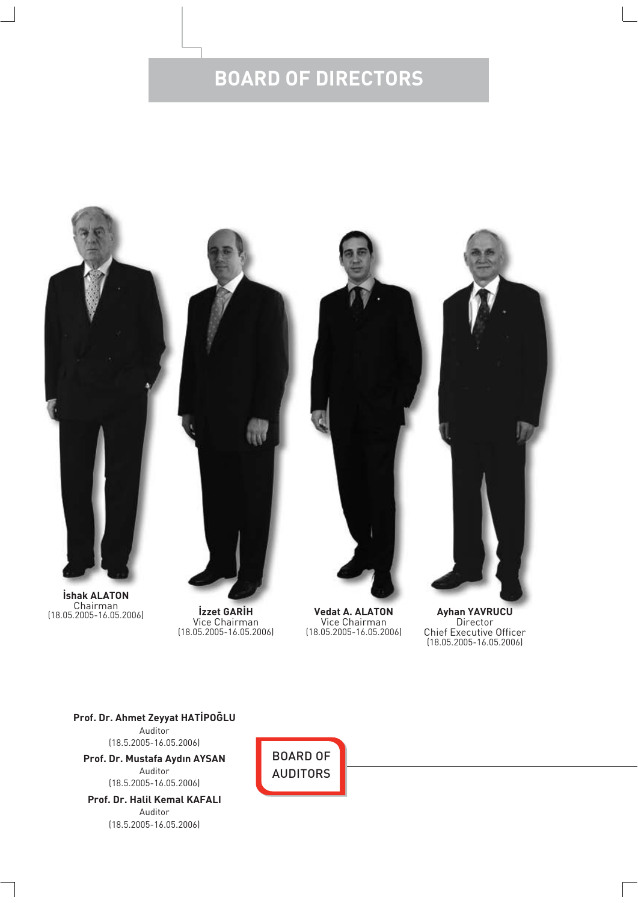# **BOARD OF DIRECTORS**



Vice Chairman (18.05.2005-16.05.2006)

**Vedat A. ALATON** Vice Chairman (18.05.2005-16.05.2006)

**Ayhan YAVRUCU** Director Chief Executive Officer (18.05.2005-16.05.2006)

**Prof. Dr. Ahmet Zeyyat HATİPOĞLU** Auditor (18.5.2005-16.05.2006) **Prof. Dr. Mustafa Ayd›n AYSAN**

Auditor (18.5.2005-16.05.2006)

**Prof. Dr. Halil Kemal KAFALI** Auditor (18.5.2005-16.05.2006)

BOARD OF AUDITORS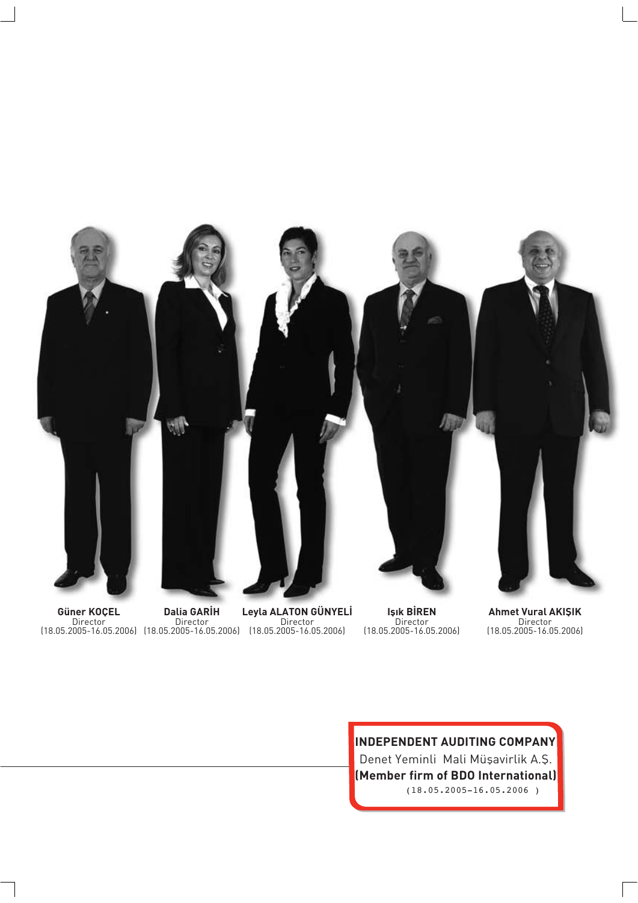

**Güner KOÇEL** Director (18.05.2005-16.05.2006)

**Dalia GARİH** Director (18.05.2005-16.05.2006)

**Leyla ALATON GÜNYELİ** Director (18.05.2005-16.05.2006)

**Isik BİREN** Director (18.05.2005-16.05.2006) **Ahmet Vural AKIŞIK** Director (18.05.2005-16.05.2006)

**INDEPENDENT AUDITING COMPANY** Denet Yeminli Mali Müşavirlik A.Ş. **(Member firm of BDO International)** (18.05.2005-16.05.2006 )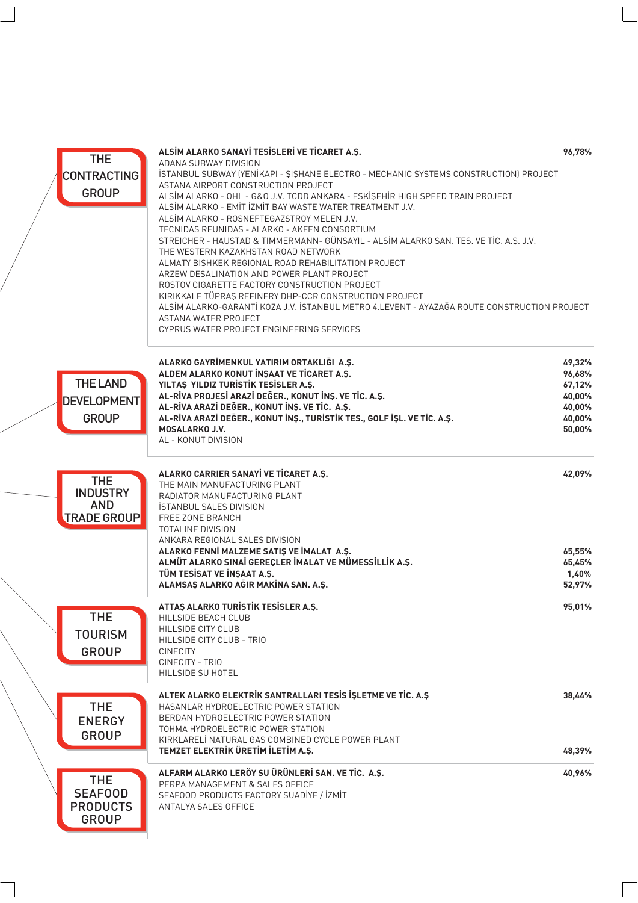| <b>THE</b><br><b>CONTRACTING</b><br><b>GROUP</b>                  | ALSİM ALARKO SANAYİ TESİSLERİ VE TİCARET A.Ş.<br>ADANA SUBWAY DIVISION<br>ISTANBUL SUBWAY (YENIKAPI - SISHANE ELECTRO - MECHANIC SYSTEMS CONSTRUCTION) PROJECT<br>ASTANA AIRPORT CONSTRUCTION PROJECT<br>ALSİM ALARKO - OHL - G&O J.V. TCDD ANKARA - ESKİŞEHİR HIGH SPEED TRAIN PROJECT<br>ALSIM ALARKO - EMIT IZMIT BAY WASTE WATER TREATMENT J.V.<br>ALSIM ALARKO - ROSNEFTEGAZSTROY MELEN J.V.<br>TECNIDAS REUNIDAS - ALARKO - AKFEN CONSORTIUM<br>STREICHER - HAUSTAD & TIMMERMANN- GÜNSAYIL - ALSIM ALARKO SAN. TES. VE TIC. A.S. J.V.<br>THE WESTERN KAZAKHSTAN ROAD NETWORK<br>ALMATY BISHKEK REGIONAL ROAD REHABILITATION PROJECT<br>ARZEW DESALINATION AND POWER PLANT PROJECT<br>ROSTOV CIGARETTE FACTORY CONSTRUCTION PROJECT<br>KIRIKKALE TÜPRAŞ REFINERY DHP-CCR CONSTRUCTION PROJECT<br>ALSİM ALARKO-GARANTİ KOZA J.V. İSTANBUL METRO 4.LEVENT - AYAZAĞA ROUTE CONSTRUCTION PROJECT<br>ASTANA WATER PROJECT<br>CYPRUS WATER PROJECT ENGINEERING SERVICES | 96,78%                                                             |
|-------------------------------------------------------------------|------------------------------------------------------------------------------------------------------------------------------------------------------------------------------------------------------------------------------------------------------------------------------------------------------------------------------------------------------------------------------------------------------------------------------------------------------------------------------------------------------------------------------------------------------------------------------------------------------------------------------------------------------------------------------------------------------------------------------------------------------------------------------------------------------------------------------------------------------------------------------------------------------------------------------------------------------------------------|--------------------------------------------------------------------|
| <b>THE LAND</b><br><b>DEVELOPMENT</b><br><b>GROUP</b>             | ALARKO GAYRİMENKUL YATIRIM ORTAKLIĞI A.Ş.<br>ALDEM ALARKO KONUT İNŞAAT VE TİCARET A.Ş.<br>YILTAŞ YILDIZ TURİSTİK TESİSLER A.Ş.<br>AL-RİVA PROJESİ ARAZİ DEĞER., KONUT İNŞ. VE TİC. A.Ş.<br>AL-RİVA ARAZİ DEĞER., KONUT İNŞ. VE TİC. A.Ş.<br>AL-RİVA ARAZİ DEĞER., KONUT İNŞ., TURİSTİK TES., GOLF İŞL. VE TİC. A.Ş.<br>MOSALARKO J.V.<br>AL - KONUT DIVISION                                                                                                                                                                                                                                                                                                                                                                                                                                                                                                                                                                                                           | 49,32%<br>96,68%<br>67,12%<br>40,00%<br>40,00%<br>40,00%<br>50,00% |
| <b>THE</b><br><b>INDUSTRY</b><br><b>AND</b><br><b>TRADE GROUP</b> | ALARKO CARRIER SANAYİ VE TİCARET A.Ş.<br>THE MAIN MANUFACTURING PLANT<br>RADIATOR MANUFACTURING PLANT<br><b>İSTANBUL SALES DIVISION</b><br>FREE ZONE BRANCH<br><b>TOTALINE DIVISION</b><br>ANKARA REGIONAL SALES DIVISION<br>ALARKO FENNİ MALZEME SATIŞ VE İMALAT A.Ş.<br>ALMÜT ALARKO SINAİ GEREÇLER İMALAT VE MÜMESSİLLİK A.Ş.<br>TÜM TESİSAT VE İNŞAAT A.Ş.<br>ALAMSAŞ ALARKO AĞIR MAKİNA SAN. A.Ş.                                                                                                                                                                                                                                                                                                                                                                                                                                                                                                                                                                 | 42,09%<br>65,55%<br>65,45%<br>1,40%<br>52,97%                      |
| THE<br><b>TOURISM</b><br><b>GROUP</b>                             | ATTAS ALARKO TURISTIK TESISLER A.S.<br>HILLSIDE BEACH CLUB<br>HILLSIDE CITY CLUB<br>HILLSIDE CITY CLUB - TRIO<br><b>CINECITY</b><br>CINECITY - TRIO<br>HILLSIDE SU HOTEL                                                                                                                                                                                                                                                                                                                                                                                                                                                                                                                                                                                                                                                                                                                                                                                               | 95,01%                                                             |
| <b>THE</b><br><b>ENERGY</b><br><b>GROUP</b>                       | ALTEK ALARKO ELEKTRİK SANTRALLARI TESİS İŞLETME VE TİC. A.Ş<br>HASANLAR HYDROELECTRIC POWER STATION<br>BERDAN HYDROELECTRIC POWER STATION<br>TOHMA HYDROELECTRIC POWER STATION<br>KIRKLARELI NATURAL GAS COMBINED CYCLE POWER PLANT<br>TEMZET ELEKTRİK ÜRETİM İLETİM A.Ş.                                                                                                                                                                                                                                                                                                                                                                                                                                                                                                                                                                                                                                                                                              | 38,44%<br>48,39%                                                   |
| <b>THE</b><br><b>SEAFOOD</b><br><b>PRODUCTS</b><br><b>GROUP</b>   | ALFARM ALARKO LERÖY SU ÜRÜNLERİ SAN. VE TİC. A.Ş.<br>PERPA MANAGEMENT & SALES OFFICE<br>SEAFOOD PRODUCTS FACTORY SUADIYE / İZMİT<br>ANTALYA SALES OFFICE                                                                                                                                                                                                                                                                                                                                                                                                                                                                                                                                                                                                                                                                                                                                                                                                               | 40,96%                                                             |

 $\backslash$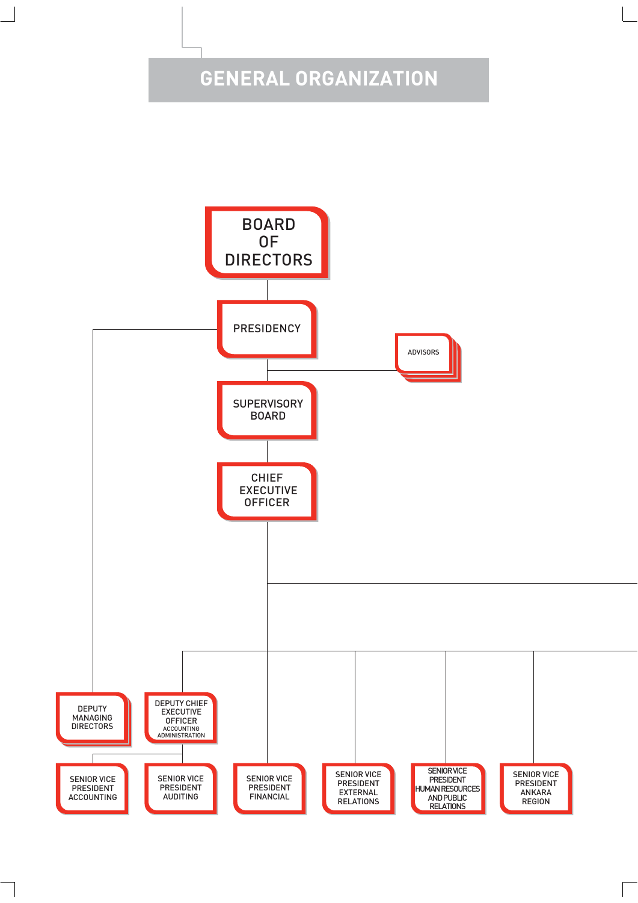# **GENERAL ORGANIZATION**

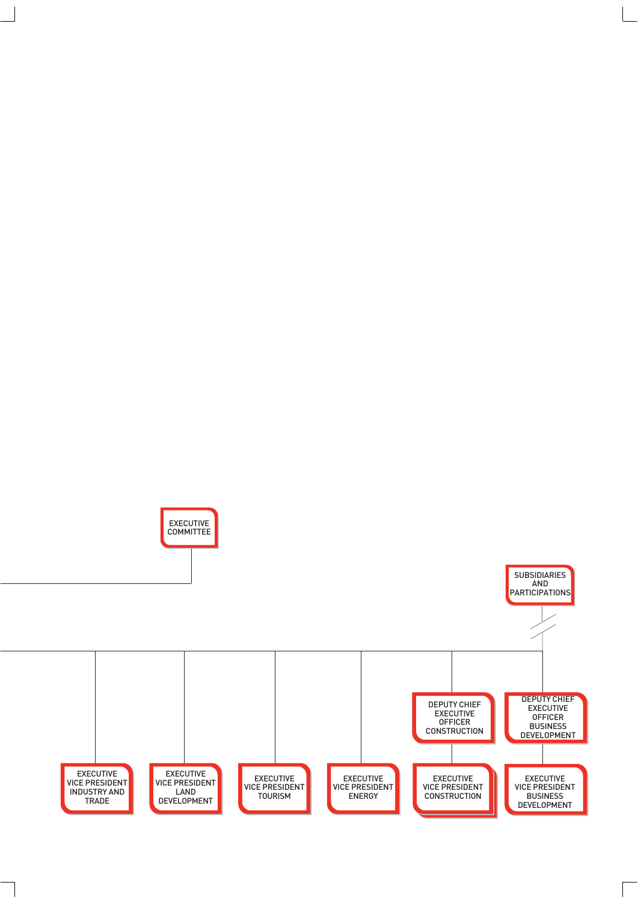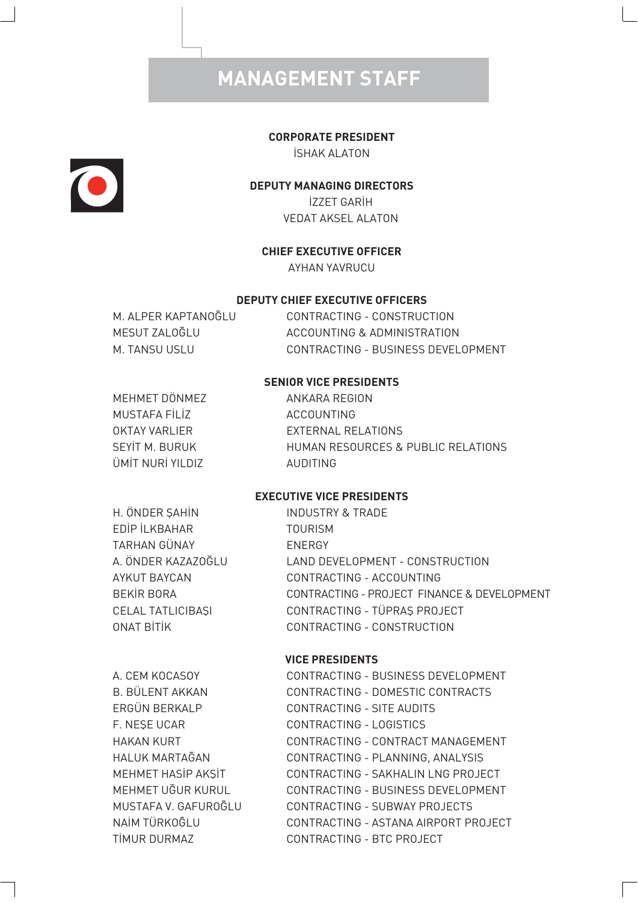# **MANAGEMENT STAFF**

#### **CORPORATE PRESIDENT**

**ISHAK ALATON** 

# $\bullet$

#### **DEPUTY MANAGING DIRECTORS**

**İZZET GARİH** VEDAT AKSEL ALATON

#### **CHIEF EXECUTIVE OFFICER**

AYHAN YAVRUCU

#### **DEPUTY CHIEF EXECUTIVE OFFICERS**

M. ALPER KAPTANO GLU CONTRACTING - CONSTRUCTION MESUT ZALOĞLU ACCOUNTING & ADMINISTRATION M. TANSU USLU CONTRACTING - BUSINESS DEVELOPMENT

#### **SENIOR VICE PRESIDENTS**

MEHMET DÖNMEZ ANKARA REGION MUSTAFA FILIZ COUNTING ÜM‹T NUR‹ YILDIZ AUDITING

OKTAY VARLIER EXTERNAL RELATIONS SEYIT M. BURUK HUMAN RESOURCES & PUBLIC RELATIONS

#### **EXECUTIVE VICE PRESIDENTS**

H. ÖNDER SAHİN INDUSTRY & TRADE ED‹P ‹LKBAHAR TOURISM TARHAN GÜNAY ENERGY

A. ÖNDER KAZAZOĞLU LAND DEVELOPMENT - CONSTRUCTION AYKUT BAYCAN CONTRACTING - ACCOUNTING BEKİR BORA CONTRACTING - PROJECT FINANCE & DEVELOPMENT CELAL TATLICIBASI CONTRACTING - TÜPRAS PROJECT ONAT BITIK CONTRACTING - CONSTRUCTION

#### **VICE PRESIDENTS**

A. CEM KOCASOY CONTRACTING - BUSINESS DEVELOPMENT B. BÜLENT AKKAN CONTRACTING - DOMESTIC CONTRACTS ERGÜN BERKALP CONTRACTING - SITE AUDITS F. NESE UCAR CONTRACTING - LOGISTICS HAKAN KURT CONTRACTING - CONTRACT MANAGEMENT HALUK MARTAĞAN CONTRACTING - PLANNING, ANALYSIS MEHMET HASIP AKSIT CONTRACTING - SAKHALIN LNG PROJECT MEHMET UGUR KURUL CONTRACTING - BUSINESS DEVELOPMENT MUSTAFA V. GAFUROGLU CONTRACTING - SUBWAY PROJECTS NA‹M TÜRKO⁄LU CONTRACTING - ASTANA AIRPORT PROJECT TIMUR DURMAZ CONTRACTING - BTC PROJECT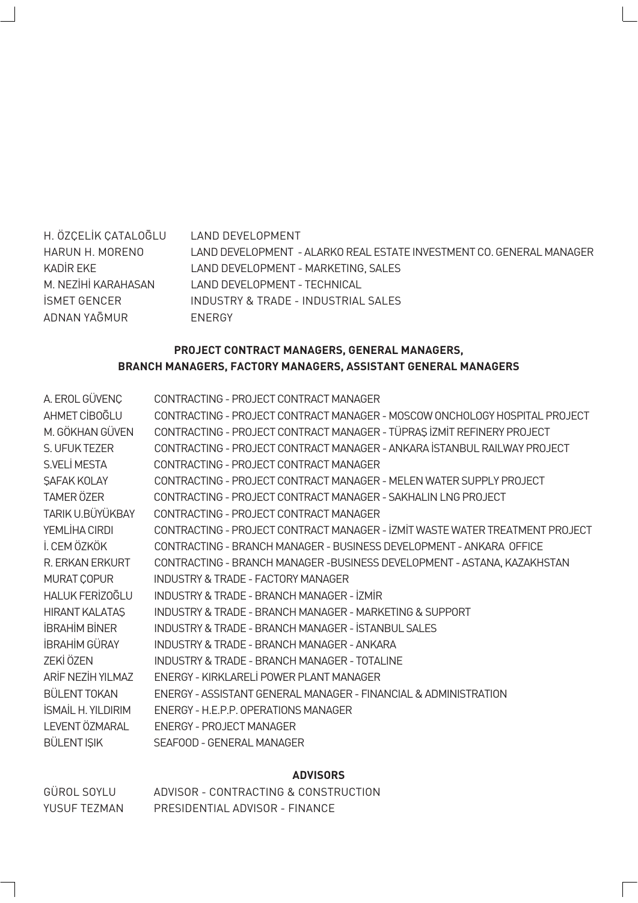| H. ÖZCELİK CATALOĞLU | I AND DEVELOPMENT                                                    |
|----------------------|----------------------------------------------------------------------|
| HARUN H. MORENO      | LAND DEVELOPMENT - ALARKO REAL ESTATE INVESTMENT CO. GENERAL MANAGER |
| KADİR EKE            | LAND DEVELOPMENT - MARKETING, SALES                                  |
| M. NEZİHİ KARAHASAN  | LAND DEVELOPMENT - TECHNICAL                                         |
| İSMET GENCER         | INDUSTRY & TRADE - INDUSTRIAL SALES                                  |
| ADNAN YAĞMUR         | <b>FNFRGY</b>                                                        |

#### **PROJECT CONTRACT MANAGERS, GENERAL MANAGERS, BRANCH MANAGERS, FACTORY MANAGERS, ASSISTANT GENERAL MANAGERS**

| A. EROL GÜVENÇ            | CONTRACTING - PROJECT CONTRACT MANAGER                                       |
|---------------------------|------------------------------------------------------------------------------|
| AHMET CIBOGLU             | CONTRACTING - PROJECT CONTRACT MANAGER - MOSCOW ONCHOLOGY HOSPITAL PROJECT   |
| M. GÖKHAN GÜVEN           | CONTRACTING - PROJECT CONTRACT MANAGER - TÜPRAS İZMİT REFINERY PROJECT       |
| S. UFUK TEZER             | CONTRACTING - PROJECT CONTRACT MANAGER - ANKARA ISTANBUL RAILWAY PROJECT     |
| S.VELİ MESTA              | CONTRACTING - PROJECT CONTRACT MANAGER                                       |
| <b>SAFAK KOLAY</b>        | CONTRACTING - PRO JECT CONTRACT MANAGER - MELEN WATER SUPPLY PRO JECT        |
| <b>TAMER ÖZER</b>         | CONTRACTING - PROJECT CONTRACT MANAGER - SAKHALIN LNG PROJECT                |
| TARIK U.BÜYÜKBAY          | CONTRACTING - PROJECT CONTRACT MANAGER                                       |
| YEMLİHA CIRDI             | CONTRACTING - PROJECT CONTRACT MANAGER - IZMIT WASTE WATER TREATMENT PROJECT |
| İ. CEM ÖZKÖK              | CONTRACTING - BRANCH MANAGER - BUSINESS DEVELOPMENT - ANKARA OFFICE          |
| <b>R. FRKAN FRKURT</b>    | CONTRACTING - BRANCH MANAGER - BUSINESS DEVELOPMENT - ASTANA, KAZAKHSTAN     |
| MURAT COPUR               | INDUSTRY & TRADE - FACTORY MANAGER                                           |
| <b>HALUK FERIZOĞLU</b>    | <b>INDUSTRY &amp; TRADE - BRANCH MANAGER - İZMİR</b>                         |
| <b>HIRANT KALATAS</b>     | INDUSTRY & TRADE - BRANCH MANAGER - MARKETING & SUPPORT                      |
| <b>İBRAHİM BİNER</b>      | INDUSTRY & TRADE - BRANCH MANAGER - ISTANBUL SALES                           |
| <b>İBRAHİM GÜRAY</b>      | INDUSTRY & TRADE - BRANCH MANAGER - ANKARA                                   |
| ZEKİ ÖZEN                 | INDUSTRY & TRADE - BRANCH MANAGER - TOTAL INF                                |
| ARİF NEZİH YILMAZ         | ENERGY - KIRKLARELİ POWER PLANT MANAGER                                      |
| BÜLENT TOKAN              | ENERGY - ASSISTANT GENERAL MANAGER - FINANCIAL & ADMINISTRATION              |
| <b>İSMAİL H. YILDIRIM</b> | ENERGY - H.E.P.P. OPERATIONS MANAGER                                         |
| LEVENT ÖZMARAL            | FNFRGY - PROJECT MANAGER                                                     |
| <b>BÜLENT ISIK</b>        | SFAFOOD - GENERAL MANAGER                                                    |

#### **ADVISORS**

| GÜROL SOYLU  | ADVISOR - CONTRACTING & CONSTRUCTION |
|--------------|--------------------------------------|
| YUSUF TF7MAN | PRESIDENTIAL ADVISOR - FINANCE       |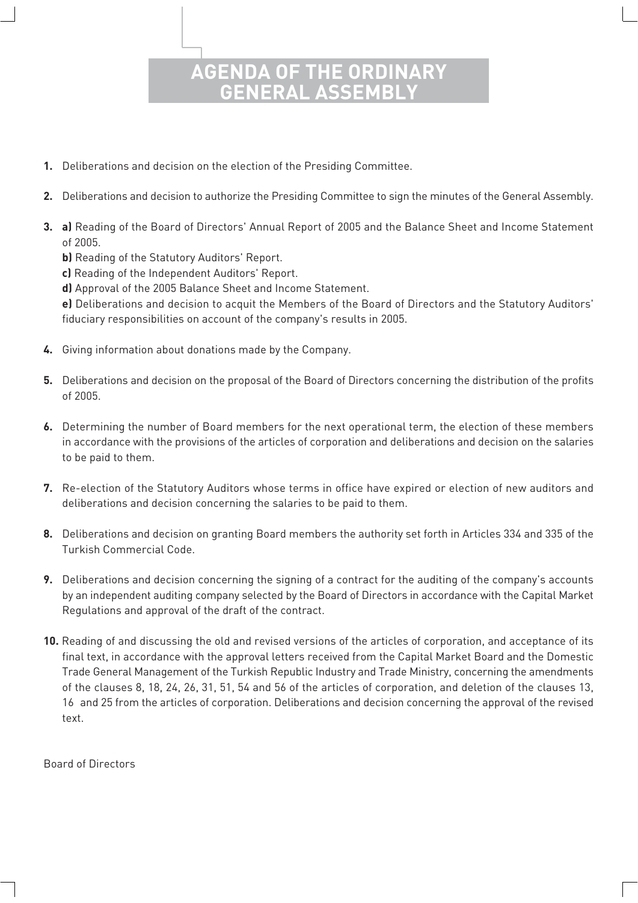### **OF THE ORDI GENERAL ASSEMBLY**

- **1.** Deliberations and decision on the election of the Presiding Committee.
- **2.** Deliberations and decision to authorize the Presiding Committee to sign the minutes of the General Assembly.
- **3. a)** Reading of the Board of Directors' Annual Report of 2005 and the Balance Sheet and Income Statement of 2005.
	- **b)** Reading of the Statutory Auditors' Report.
	- **c)** Reading of the Independent Auditors' Report.
	- **d)** Approval of the 2005 Balance Sheet and Income Statement.

 **e)** Deliberations and decision to acquit the Members of the Board of Directors and the Statutory Auditors' fiduciary responsibilities on account of the company's results in 2005.

- **4.** Giving information about donations made by the Company.
- **5.** Deliberations and decision on the proposal of the Board of Directors concerning the distribution of the profits of 2005.
- **6.** Determining the number of Board members for the next operational term, the election of these members in accordance with the provisions of the articles of corporation and deliberations and decision on the salaries to be paid to them.
- **7.** Re-election of the Statutory Auditors whose terms in office have expired or election of new auditors and deliberations and decision concerning the salaries to be paid to them.
- **8.** Deliberations and decision on granting Board members the authority set forth in Articles 334 and 335 of the Turkish Commercial Code.
- **9.** Deliberations and decision concerning the signing of a contract for the auditing of the company's accounts by an independent auditing company selected by the Board of Directors in accordance with the Capital Market Regulations and approval of the draft of the contract.
- **10.** Reading of and discussing the old and revised versions of the articles of corporation, and acceptance of its final text, in accordance with the approval letters received from the Capital Market Board and the Domestic Trade General Management of the Turkish Republic Industry and Trade Ministry, concerning the amendments of the clauses 8, 18, 24, 26, 31, 51, 54 and 56 of the articles of corporation, and deletion of the clauses 13, 16 and 25 from the articles of corporation. Deliberations and decision concerning the approval of the revised text.

Board of Directors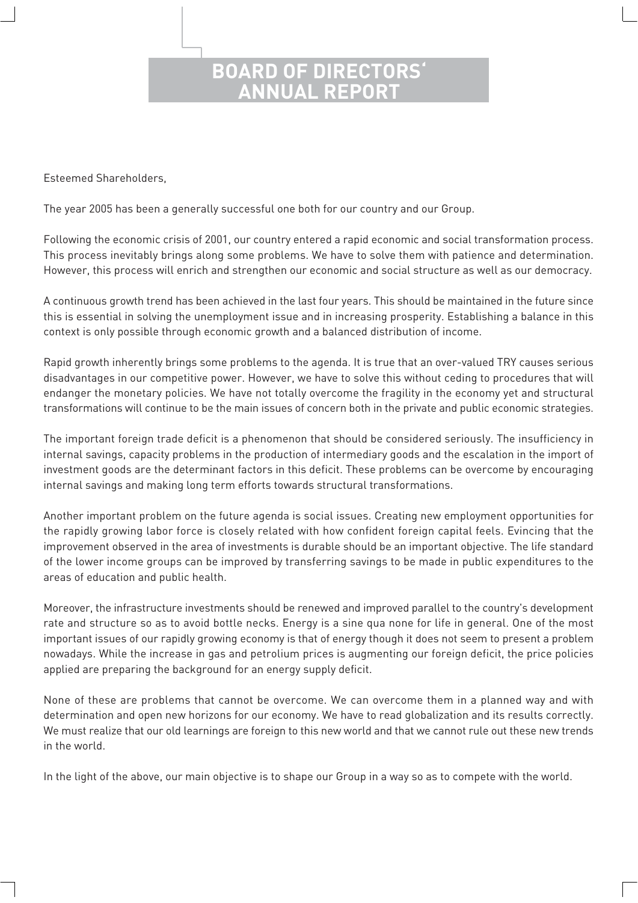### **BOARD OF DIRECTO ANNUAL REPORT**

Esteemed Shareholders,

The year 2005 has been a generally successful one both for our country and our Group.

Following the economic crisis of 2001, our country entered a rapid economic and social transformation process. This process inevitably brings along some problems. We have to solve them with patience and determination. However, this process will enrich and strengthen our economic and social structure as well as our democracy.

A continuous growth trend has been achieved in the last four years. This should be maintained in the future since this is essential in solving the unemployment issue and in increasing prosperity. Establishing a balance in this context is only possible through economic growth and a balanced distribution of income.

Rapid growth inherently brings some problems to the agenda. It is true that an over-valued TRY causes serious disadvantages in our competitive power. However, we have to solve this without ceding to procedures that will endanger the monetary policies. We have not totally overcome the fragility in the economy yet and structural transformations will continue to be the main issues of concern both in the private and public economic strategies.

The important foreign trade deficit is a phenomenon that should be considered seriously. The insufficiency in internal savings, capacity problems in the production of intermediary goods and the escalation in the import of investment goods are the determinant factors in this deficit. These problems can be overcome by encouraging internal savings and making long term efforts towards structural transformations.

Another important problem on the future agenda is social issues. Creating new employment opportunities for the rapidly growing labor force is closely related with how confident foreign capital feels. Evincing that the improvement observed in the area of investments is durable should be an important objective. The life standard of the lower income groups can be improved by transferring savings to be made in public expenditures to the areas of education and public health.

Moreover, the infrastructure investments should be renewed and improved parallel to the country's development rate and structure so as to avoid bottle necks. Energy is a sine qua none for life in general. One of the most important issues of our rapidly growing economy is that of energy though it does not seem to present a problem nowadays. While the increase in gas and petrolium prices is augmenting our foreign deficit, the price policies applied are preparing the background for an energy supply deficit.

None of these are problems that cannot be overcome. We can overcome them in a planned way and with determination and open new horizons for our economy. We have to read globalization and its results correctly. We must realize that our old learnings are foreign to this new world and that we cannot rule out these new trends in the world.

In the light of the above, our main objective is to shape our Group in a way so as to compete with the world.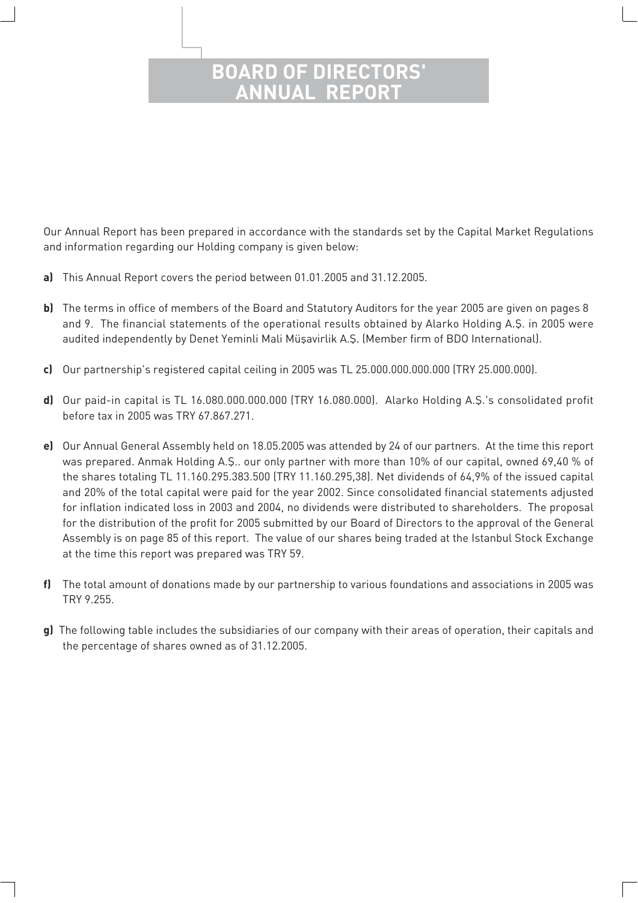### **BOARD OF DIRECTORS' ANNUAL REPORT**

Our Annual Report has been prepared in accordance with the standards set by the Capital Market Regulations and information regarding our Holding company is given below:

- **a)** This Annual Report covers the period between 01.01.2005 and 31.12.2005.
- **b)** The terms in office of members of the Board and Statutory Auditors for the year 2005 are given on pages 8 and 9. The financial statements of the operational results obtained by Alarko Holding A.S. in 2005 were audited independently by Denet Yeminli Mali Müşavirlik A.Ş. (Member firm of BDO International).
- **c)** Our partnership's registered capital ceiling in 2005 was TL 25.000.000.000.000 (TRY 25.000.000).
- **d)** Our paid-in capital is TL 16.080.000.000.000 (TRY 16.080.000). Alarko Holding A.Ş.'s consolidated profit before tax in 2005 was TRY 67.867.271.
- **e)** Our Annual General Assembly held on 18.05.2005 was attended by 24 of our partners. At the time this report was prepared. Anmak Holding A.Ş.. our only partner with more than 10% of our capital, owned 69,40 % of the shares totaling TL 11.160.295.383.500 (TRY 11.160.295,38). Net dividends of 64,9% of the issued capital and 20% of the total capital were paid for the year 2002. Since consolidated financial statements adjusted for inflation indicated loss in 2003 and 2004, no dividends were distributed to shareholders. The proposal for the distribution of the profit for 2005 submitted by our Board of Directors to the approval of the General Assembly is on page 85 of this report. The value of our shares being traded at the Istanbul Stock Exchange at the time this report was prepared was TRY 59.
- **f)** The total amount of donations made by our partnership to various foundations and associations in 2005 was TRY 9.255.
- **g)** The following table includes the subsidiaries of our company with their areas of operation, their capitals and the percentage of shares owned as of 31.12.2005.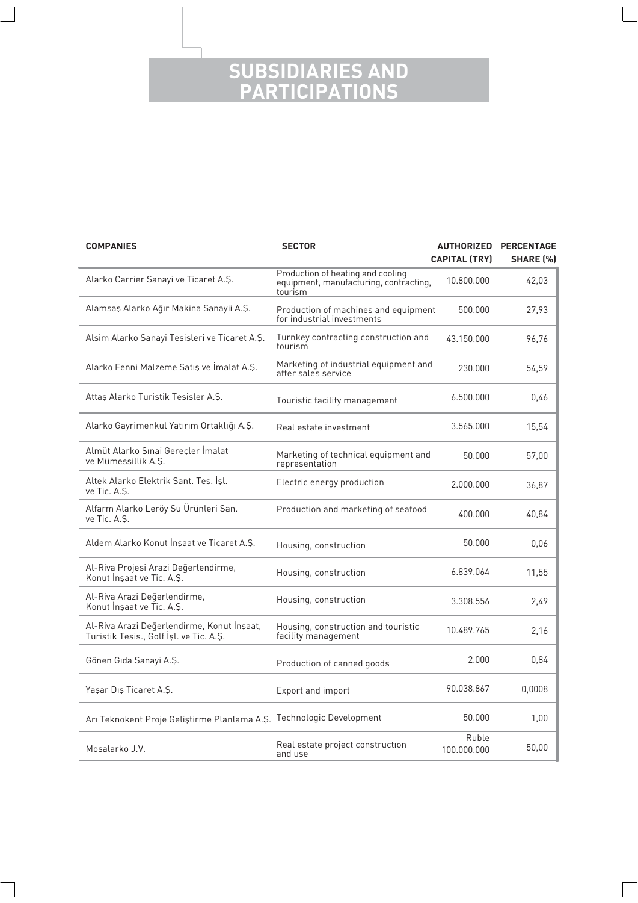### **SUBSIDIARIES AND PARTICIPATIONS**

| <b>COMPANIES</b>                                                                      | <b>SECTOR</b>                                                                          | <b>CAPITAL (TRY)</b> | <b>AUTHORIZED PERCENTAGE</b><br><b>SHARE [%]</b> |  |
|---------------------------------------------------------------------------------------|----------------------------------------------------------------------------------------|----------------------|--------------------------------------------------|--|
| Alarko Carrier Sanayi ve Ticaret A.S.                                                 | Production of heating and cooling<br>equipment, manufacturing, contracting,<br>tourism | 10.800.000           | 42,03                                            |  |
| Alamsaş Alarko Ağır Makina Sanayii A.Ş.                                               | Production of machines and equipment<br>for industrial investments                     | 500.000              | 27,93                                            |  |
| Alsim Alarko Sanayi Tesisleri ve Ticaret A.Ş.                                         | Turnkey contracting construction and<br>tourism                                        | 43.150.000           | 96.76                                            |  |
| Alarko Fenni Malzeme Satış ve İmalat A.Ş.                                             | Marketing of industrial equipment and<br>after sales service                           | 230.000              | 54,59                                            |  |
| Attas Alarko Turistik Tesisler A.Ş.                                                   | Touristic facility management                                                          | 6.500.000            | 0,46                                             |  |
| Alarko Gayrimenkul Yatırım Ortaklığı A.Ş.                                             | Real estate investment                                                                 | 3.565.000            | 15,54                                            |  |
| Almüt Alarko Sınai Gerecler İmalat<br>ve Mümessillik A.Ş.                             | Marketing of technical equipment and<br>representation                                 | 50.000               | 57,00                                            |  |
| Altek Alarko Elektrik Sant. Tes. Isl.<br>ve Tic. A.S.                                 | Electric energy production                                                             | 2.000.000            | 36,87                                            |  |
| Alfarm Alarko Leröy Su Ürünleri San.<br>ve Tic. A.S.                                  | Production and marketing of seafood                                                    | 400.000              | 40,84                                            |  |
| Aldem Alarko Konut İnşaat ve Ticaret A.Ş.                                             | Housing, construction                                                                  | 50.000               | 0,06                                             |  |
| Al-Riva Projesi Arazi Değerlendirme,<br>Konut Insaat ve Tic. A.S.                     | Housing, construction                                                                  | 6.839.064            | 11,55                                            |  |
| Al-Riva Arazi Değerlendirme,<br>Konut Insaat ve Tic. A.S.                             | Housing, construction                                                                  | 3.308.556            | 2,49                                             |  |
| Al-Riva Arazi Değerlendirme, Konut İnşaat,<br>Turistik Tesis., Golf İşl. ve Tic. A.Ş. | Housing, construction and touristic<br>facility management                             | 10.489.765           | 2,16                                             |  |
| Gönen Gıda Sanayi A.Ş.                                                                | Production of canned goods                                                             | 2.000                | 0,84                                             |  |
| Yaşar Dış Ticaret A.Ş.                                                                | Export and import                                                                      | 90.038.867           | 0,0008                                           |  |
| Arı Teknokent Proje Geliştirme Planlama A.Ş. Technologic Development                  |                                                                                        | 50.000               | 1,00                                             |  |
| Mosalarko J.V.                                                                        | Real estate project construction<br>and use                                            | Ruble<br>100.000.000 | 50,00                                            |  |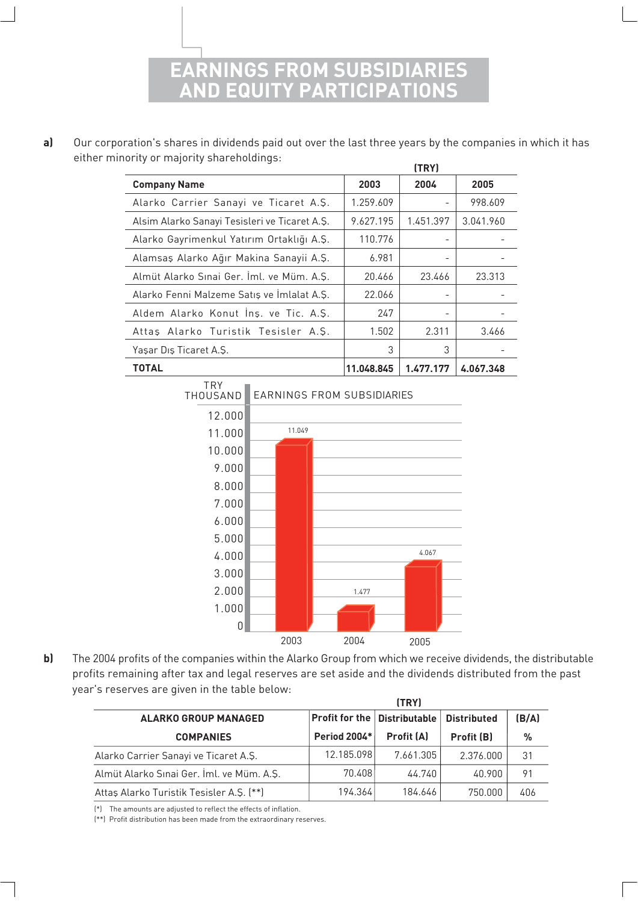**GS FROM SUBSID AND EQUITY PARTICIPATIONS**

**a)** Our corporation's shares in dividends paid out over the last three years by the companies in which it has either minority or majority shareholdings:

|                                               |            | (TRY)     |           |
|-----------------------------------------------|------------|-----------|-----------|
| <b>Company Name</b>                           | 2003       | 2004      | 2005      |
| Alarko Carrier Sanayi ve Ticaret A.S.         | 1.259.609  |           | 998.609   |
| Alsim Alarko Sanayi Tesisleri ve Ticaret A.Ş. | 9.627.195  | 1.451.397 | 3.041.960 |
| Alarko Gayrimenkul Yatırım Ortaklığı A.Ş.     | 110.776    |           |           |
| Alamsaş Alarko Ağır Makina Sanayii A.Ş.       | 6.981      |           |           |
| Almüt Alarko Sınai Ger. İml. ve Müm. A.Ş.     | 20.466     | 23.466    | 23.313    |
| Alarko Fenni Malzeme Satis ve Imlalat A.S.    | 22.066     |           |           |
| Aldem Alarko Konut Ins. ve Tic. A.S.          | 247        |           |           |
| Attas Alarko Turistik Tesisler A.S.           | 1.502      | 2.311     | 3.466     |
| Yaşar Dış Ticaret A.Ş.                        | 3          | 3         |           |
| TOTAL                                         | 11.048.845 | 1.477.177 | 4.067.348 |



**b)** The 2004 profits of the companies within the Alarko Group from which we receive dividends, the distributable profits remaining after tax and legal reserves are set aside and the dividends distributed from the past year's reserves are given in the table below:

|                                           |                                            | (TRY)             |                    |       |
|-------------------------------------------|--------------------------------------------|-------------------|--------------------|-------|
| <b>ALARKO GROUP MANAGED</b>               | $\sf{Profit}$ for the $\sf{Distributable}$ |                   | <b>Distributed</b> | (B/A) |
| <b>COMPANIES</b>                          | <b>Period 2004*</b>                        | <b>Profit (A)</b> | Profit (B)         | %     |
| Alarko Carrier Sanayi ve Ticaret A.Ş.     | 12.185.098                                 | 7.661.305         | 2.376.000          | 31    |
| Almüt Alarko Sınai Ger. İml. ve Müm. A.Ş. | 70.408                                     | 44.740            | 40.900             | 91    |
| Attas Alarko Turistik Tesisler A.S. (**)  | 194.364                                    | 184.646           | 750.000            | 406   |

(\*) The amounts are adjusted to reflect the effects of inflation.

(\*\*) Profit distribution has been made from the extraordinary reserves.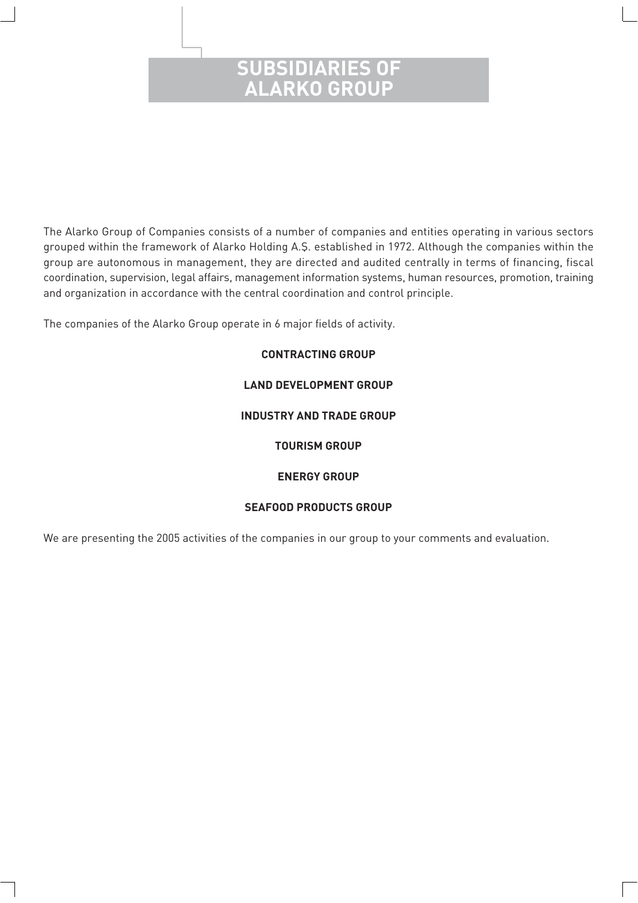### **SUBSIDIARIES OF ALARKO GROUP**

The Alarko Group of Companies consists of a number of companies and entities operating in various sectors grouped within the framework of Alarko Holding A.Ş. established in 1972. Although the companies within the group are autonomous in management, they are directed and audited centrally in terms of financing, fiscal coordination, supervision, legal affairs, management information systems, human resources, promotion, training and organization in accordance with the central coordination and control principle.

The companies of the Alarko Group operate in 6 major fields of activity.

#### **CONTRACTING GROUP**

#### **LAND DEVELOPMENT GROUP**

#### **INDUSTRY AND TRADE GROUP**

#### **TOURISM GROUP**

#### **ENERGY GROUP**

#### **SEAFOOD PRODUCTS GROUP**

We are presenting the 2005 activities of the companies in our group to your comments and evaluation.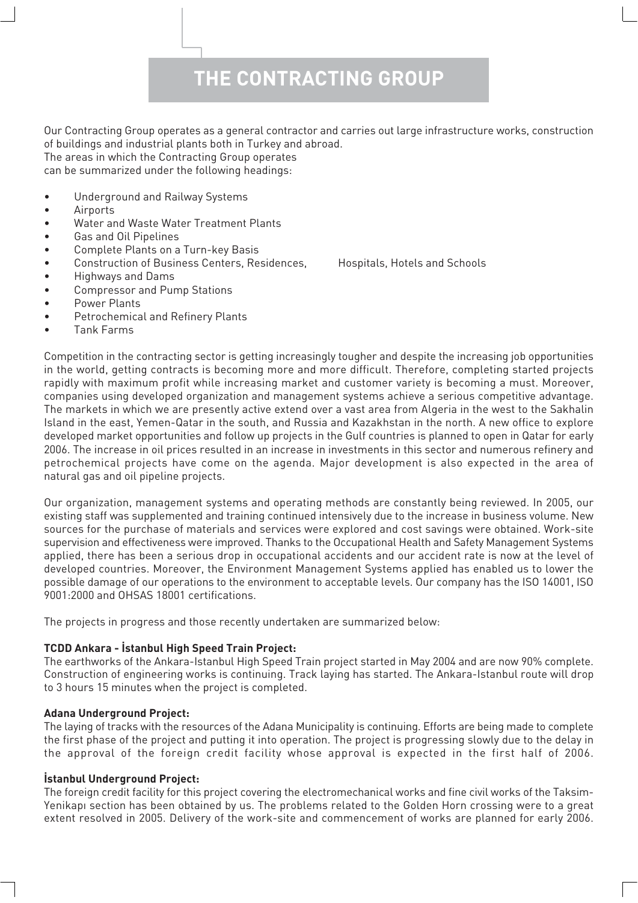# **THE CONTRACTING GROUP**

Our Contracting Group operates as a general contractor and carries out large infrastructure works, construction of buildings and industrial plants both in Turkey and abroad. The areas in which the Contracting Group operates

can be summarized under the following headings:

- Underground and Railway Systems
- Airports
- Water and Waste Water Treatment Plants
- Gas and Oil Pipelines
- Complete Plants on a Turn-key Basis
- Construction of Business Centers, Residences, Hospitals, Hotels and Schools
- Highways and Dams
- Compressor and Pump Stations
- Power Plants
- Petrochemical and Refinery Plants
- Tank Farms

Competition in the contracting sector is getting increasingly tougher and despite the increasing job opportunities in the world, getting contracts is becoming more and more difficult. Therefore, completing started projects rapidly with maximum profit while increasing market and customer variety is becoming a must. Moreover, companies using developed organization and management systems achieve a serious competitive advantage. The markets in which we are presently active extend over a vast area from Algeria in the west to the Sakhalin Island in the east, Yemen-Qatar in the south, and Russia and Kazakhstan in the north. A new office to explore developed market opportunities and follow up projects in the Gulf countries is planned to open in Qatar for early 2006. The increase in oil prices resulted in an increase in investments in this sector and numerous refinery and petrochemical projects have come on the agenda. Major development is also expected in the area of natural gas and oil pipeline projects.

Our organization, management systems and operating methods are constantly being reviewed. In 2005, our existing staff was supplemented and training continued intensively due to the increase in business volume. New sources for the purchase of materials and services were explored and cost savings were obtained. Work-site supervision and effectiveness were improved. Thanks to the Occupational Health and Safety Management Systems applied, there has been a serious drop in occupational accidents and our accident rate is now at the level of developed countries. Moreover, the Environment Management Systems applied has enabled us to lower the possible damage of our operations to the environment to acceptable levels. Our company has the ISO 14001, ISO 9001:2000 and OHSAS 18001 certifications.

The projects in progress and those recently undertaken are summarized below:

#### **TCDD Ankara - İstanbul High Speed Train Project:**

The earthworks of the Ankara-Istanbul High Speed Train project started in May 2004 and are now 90% complete. Construction of engineering works is continuing. Track laying has started. The Ankara-Istanbul route will drop to 3 hours 15 minutes when the project is completed.

#### **Adana Underground Project:**

The laying of tracks with the resources of the Adana Municipality is continuing. Efforts are being made to complete the first phase of the project and putting it into operation. The project is progressing slowly due to the delay in the approval of the foreign credit facility whose approval is expected in the first half of 2006.

#### **istanbul Underground Project:**

The foreign credit facility for this project covering the electromechanical works and fine civil works of the Taksim-Yenikapı section has been obtained by us. The problems related to the Golden Horn crossing were to a great extent resolved in 2005. Delivery of the work-site and commencement of works are planned for early 2006.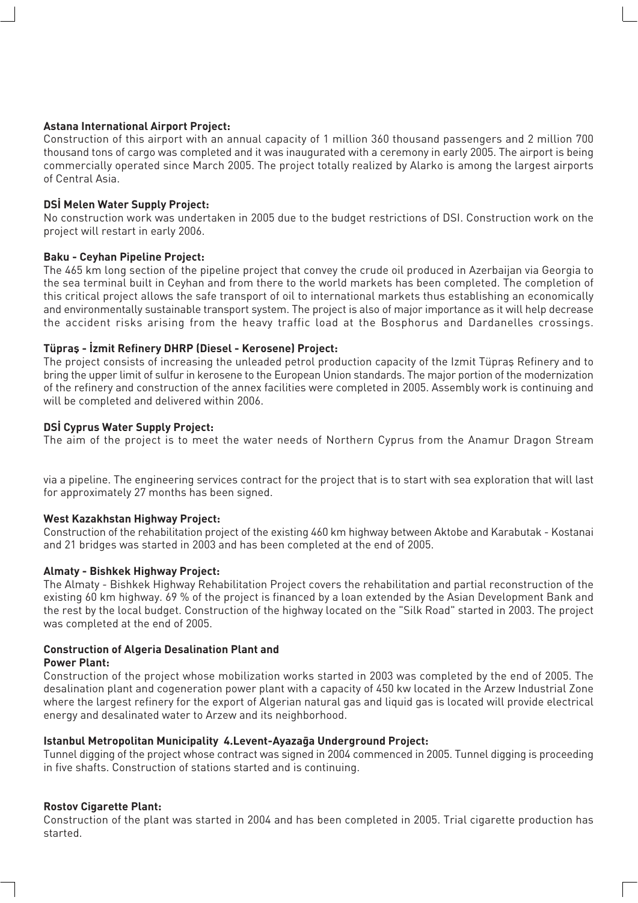#### **Astana International Airport Project:**

Construction of this airport with an annual capacity of 1 million 360 thousand passengers and 2 million 700 thousand tons of cargo was completed and it was inaugurated with a ceremony in early 2005. The airport is being commercially operated since March 2005. The project totally realized by Alarko is among the largest airports of Central Asia.

#### **DSI Melen Water Supply Project:**

No construction work was undertaken in 2005 due to the budget restrictions of DSI. Construction work on the project will restart in early 2006.

#### **Baku - Ceyhan Pipeline Project:**

The 465 km long section of the pipeline project that convey the crude oil produced in Azerbaijan via Georgia to the sea terminal built in Ceyhan and from there to the world markets has been completed. The completion of this critical project allows the safe transport of oil to international markets thus establishing an economically and environmentally sustainable transport system. The project is also of major importance as it will help decrease the accident risks arising from the heavy traffic load at the Bosphorus and Dardanelles crossings.

#### Tüpras - İzmit Refinery DHRP (Diesel - Kerosene) Project:

The project consists of increasing the unleaded petrol production capacity of the Izmit Tüpras Refinery and to bring the upper limit of sulfur in kerosene to the European Union standards. The major portion of the modernization of the refinery and construction of the annex facilities were completed in 2005. Assembly work is continuing and will be completed and delivered within 2006.

#### **DSI Cyprus Water Supply Project:**

The aim of the project is to meet the water needs of Northern Cyprus from the Anamur Dragon Stream

via a pipeline. The engineering services contract for the project that is to start with sea exploration that will last for approximately 27 months has been signed.

#### **West Kazakhstan Highway Project:**

Construction of the rehabilitation project of the existing 460 km highway between Aktobe and Karabutak - Kostanai and 21 bridges was started in 2003 and has been completed at the end of 2005.

#### **Almaty - Bishkek Highway Project:**

The Almaty - Bishkek Highway Rehabilitation Project covers the rehabilitation and partial reconstruction of the existing 60 km highway. 69 % of the project is financed by a loan extended by the Asian Development Bank and the rest by the local budget. Construction of the highway located on the "Silk Road" started in 2003. The project was completed at the end of 2005.

#### **Construction of Algeria Desalination Plant and**

#### **Power Plant:**

Construction of the project whose mobilization works started in 2003 was completed by the end of 2005. The desalination plant and cogeneration power plant with a capacity of 450 kw located in the Arzew Industrial Zone where the largest refinery for the export of Algerian natural gas and liquid gas is located will provide electrical energy and desalinated water to Arzew and its neighborhood.

#### **Istanbul Metropolitan Municipality 4. Levent-Ayazağa Underground Project:**

Tunnel digging of the project whose contract was signed in 2004 commenced in 2005. Tunnel digging is proceeding in five shafts. Construction of stations started and is continuing.

#### **Rostov Cigarette Plant:**

Construction of the plant was started in 2004 and has been completed in 2005. Trial cigarette production has started.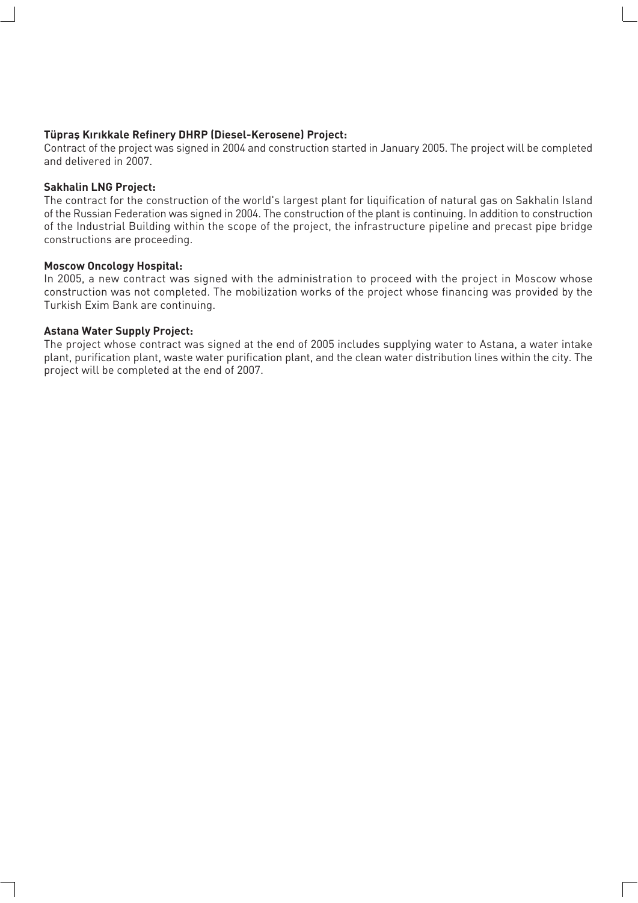#### **Tüpras Kırıkkale Refinery DHRP (Diesel-Kerosene) Project:**

Contract of the project was signed in 2004 and construction started in January 2005. The project will be completed and delivered in 2007.

#### **Sakhalin LNG Project:**

The contract for the construction of the world's largest plant for liquification of natural gas on Sakhalin Island of the Russian Federation was signed in 2004. The construction of the plant is continuing. In addition to construction of the Industrial Building within the scope of the project, the infrastructure pipeline and precast pipe bridge constructions are proceeding.

#### **Moscow Oncology Hospital:**

In 2005, a new contract was signed with the administration to proceed with the project in Moscow whose construction was not completed. The mobilization works of the project whose financing was provided by the Turkish Exim Bank are continuing.

#### **Astana Water Supply Project:**

The project whose contract was signed at the end of 2005 includes supplying water to Astana, a water intake plant, purification plant, waste water purification plant, and the clean water distribution lines within the city. The project will be completed at the end of 2007.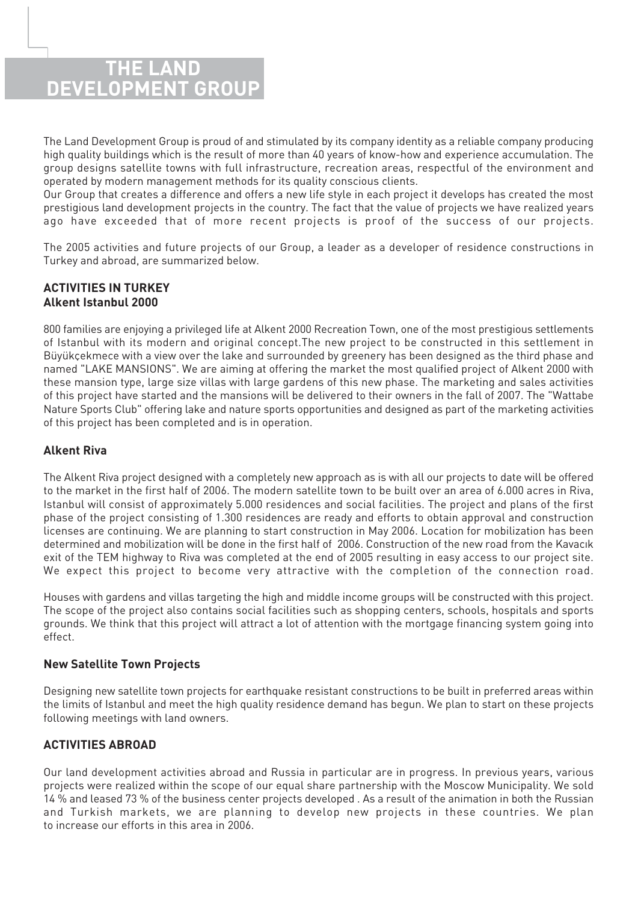### **THE LAND DEVELOPMENT GROUP**

The Land Development Group is proud of and stimulated by its company identity as a reliable company producing high quality buildings which is the result of more than 40 years of know-how and experience accumulation. The group designs satellite towns with full infrastructure, recreation areas, respectful of the environment and operated by modern management methods for its quality conscious clients.

Our Group that creates a difference and offers a new life style in each project it develops has created the most prestigious land development projects in the country. The fact that the value of projects we have realized years ago have exceeded that of more recent projects is proof of the success of our projects.

The 2005 activities and future projects of our Group, a leader as a developer of residence constructions in Turkey and abroad, are summarized below.

#### **ACTIVITIES IN TURKEY Alkent Istanbul 2000**

800 families are enjoying a privileged life at Alkent 2000 Recreation Town, one of the most prestigious settlements of Istanbul with its modern and original concept.The new project to be constructed in this settlement in Büyükçekmece with a view over the lake and surrounded by greenery has been designed as the third phase and named "LAKE MANSIONS". We are aiming at offering the market the most qualified project of Alkent 2000 with these mansion type, large size villas with large gardens of this new phase. The marketing and sales activities of this project have started and the mansions will be delivered to their owners in the fall of 2007. The "Wattabe Nature Sports Club" offering lake and nature sports opportunities and designed as part of the marketing activities of this project has been completed and is in operation.

#### **Alkent Riva**

The Alkent Riva project designed with a completely new approach as is with all our projects to date will be offered to the market in the first half of 2006. The modern satellite town to be built over an area of 6.000 acres in Riva, Istanbul will consist of approximately 5.000 residences and social facilities. The project and plans of the first phase of the project consisting of 1.300 residences are ready and efforts to obtain approval and construction licenses are continuing. We are planning to start construction in May 2006. Location for mobilization has been determined and mobilization will be done in the first half of 2006. Construction of the new road from the Kavacık exit of the TEM highway to Riva was completed at the end of 2005 resulting in easy access to our project site. We expect this project to become very attractive with the completion of the connection road.

Houses with gardens and villas targeting the high and middle income groups will be constructed with this project. The scope of the project also contains social facilities such as shopping centers, schools, hospitals and sports grounds. We think that this project will attract a lot of attention with the mortgage financing system going into effect.

#### **New Satellite Town Projects**

Designing new satellite town projects for earthquake resistant constructions to be built in preferred areas within the limits of Istanbul and meet the high quality residence demand has begun. We plan to start on these projects following meetings with land owners.

#### **ACTIVITIES ABROAD**

Our land development activities abroad and Russia in particular are in progress. In previous years, various projects were realized within the scope of our equal share partnership with the Moscow Municipality. We sold 14 % and leased 73 % of the business center projects developed . As a result of the animation in both the Russian and Turkish markets, we are planning to develop new projects in these countries. We plan to increase our efforts in this area in 2006.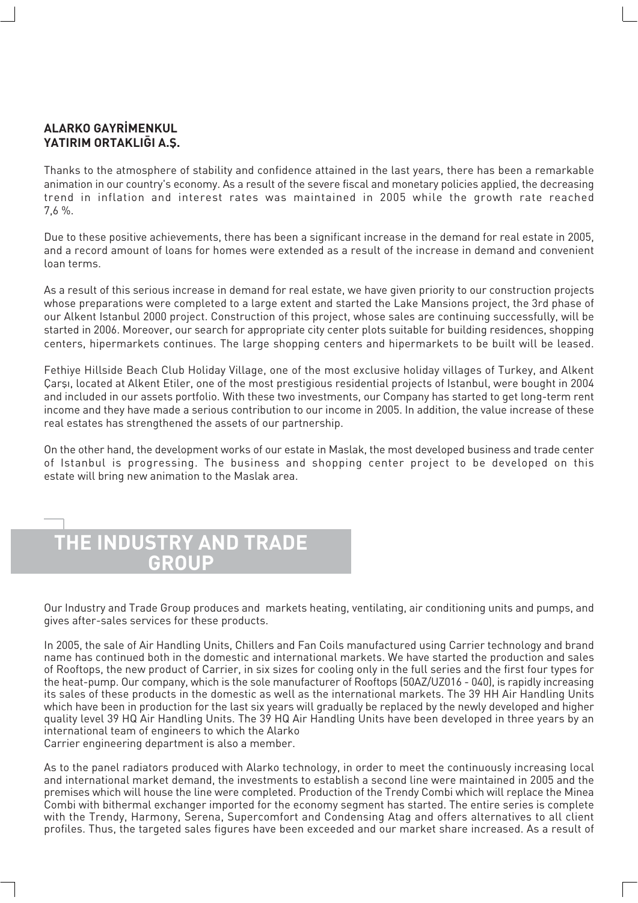#### **ALARKO GAYR‹MENKUL** YATIRIM ORTAKLI**GI A.S.**

Thanks to the atmosphere of stability and confidence attained in the last years, there has been a remarkable animation in our country's economy. As a result of the severe fiscal and monetary policies applied, the decreasing trend in inflation and interest rates was maintained in 2005 while the growth rate reached 7,6 %.

Due to these positive achievements, there has been a significant increase in the demand for real estate in 2005, and a record amount of loans for homes were extended as a result of the increase in demand and convenient loan terms.

As a result of this serious increase in demand for real estate, we have given priority to our construction projects whose preparations were completed to a large extent and started the Lake Mansions project, the 3rd phase of our Alkent Istanbul 2000 project. Construction of this project, whose sales are continuing successfully, will be started in 2006. Moreover, our search for appropriate city center plots suitable for building residences, shopping centers, hipermarkets continues. The large shopping centers and hipermarkets to be built will be leased.

Fethiye Hillside Beach Club Holiday Village, one of the most exclusive holiday villages of Turkey, and Alkent Çarși, located at Alkent Etiler, one of the most prestigious residential projects of Istanbul, were bought in 2004 and included in our assets portfolio. With these two investments, our Company has started to get long-term rent income and they have made a serious contribution to our income in 2005. In addition, the value increase of these real estates has strengthened the assets of our partnership.

On the other hand, the development works of our estate in Maslak, the most developed business and trade center of Istanbul is progressing. The business and shopping center project to be developed on this estate will bring new animation to the Maslak area.



Our Industry and Trade Group produces and markets heating, ventilating, air conditioning units and pumps, and gives after-sales services for these products.

In 2005, the sale of Air Handling Units, Chillers and Fan Coils manufactured using Carrier technology and brand name has continued both in the domestic and international markets. We have started the production and sales of Rooftops, the new product of Carrier, in six sizes for cooling only in the full series and the first four types for the heat-pump. Our company, which is the sole manufacturer of Rooftops (50AZ/UZ016 - 040), is rapidly increasing its sales of these products in the domestic as well as the international markets. The 39 HH Air Handling Units which have been in production for the last six years will gradually be replaced by the newly developed and higher quality level 39 HQ Air Handling Units. The 39 HQ Air Handling Units have been developed in three years by an international team of engineers to which the Alarko

Carrier engineering department is also a member.

As to the panel radiators produced with Alarko technology, in order to meet the continuously increasing local and international market demand, the investments to establish a second line were maintained in 2005 and the premises which will house the line were completed. Production of the Trendy Combi which will replace the Minea Combi with bithermal exchanger imported for the economy segment has started. The entire series is complete with the Trendy, Harmony, Serena, Supercomfort and Condensing Atag and offers alternatives to all client profiles. Thus, the targeted sales figures have been exceeded and our market share increased. As a result of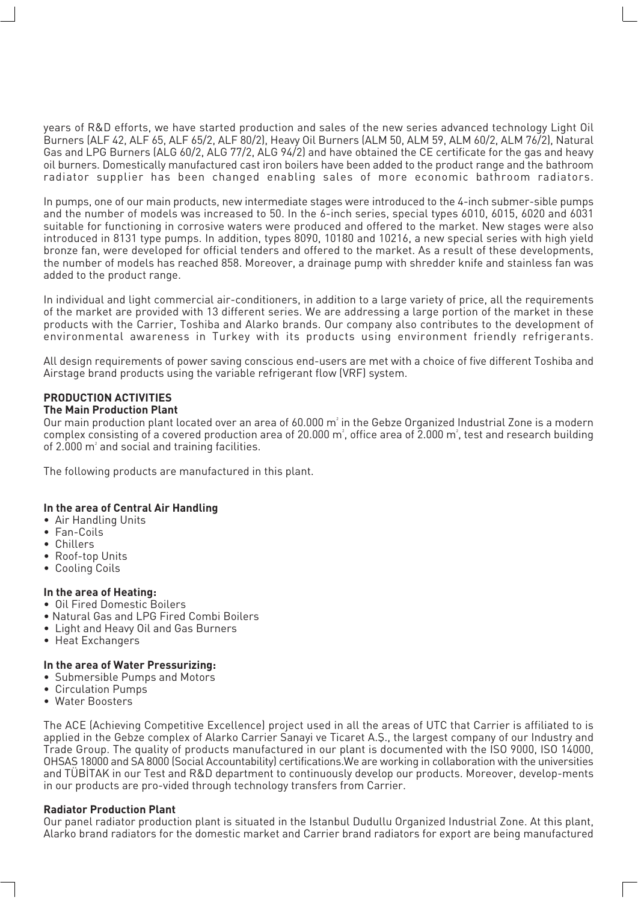years of R&D efforts, we have started production and sales of the new series advanced technology Light Oil Burners (ALF 42, ALF 65, ALF 65/2, ALF 80/2), Heavy Oil Burners (ALM 50, ALM 59, ALM 60/2, ALM 76/2), Natural Gas and LPG Burners (ALG 60/2, ALG 77/2, ALG 94/2) and have obtained the CE certificate for the gas and heavy oil burners. Domestically manufactured cast iron boilers have been added to the product range and the bathroom radiator supplier has been changed enabling sales of more economic bathroom radiators.

In pumps, one of our main products, new intermediate stages were introduced to the 4-inch submer-sible pumps and the number of models was increased to 50. In the 6-inch series, special types 6010, 6015, 6020 and 6031 suitable for functioning in corrosive waters were produced and offered to the market. New stages were also introduced in 8131 type pumps. In addition, types 8090, 10180 and 10216, a new special series with high yield bronze fan, were developed for official tenders and offered to the market. As a result of these developments, the number of models has reached 858. Moreover, a drainage pump with shredder knife and stainless fan was added to the product range.

In individual and light commercial air-conditioners, in addition to a large variety of price, all the requirements of the market are provided with 13 different series. We are addressing a large portion of the market in these products with the Carrier, Toshiba and Alarko brands. Our company also contributes to the development of environmental awareness in Turkey with its products using environment friendly refrigerants.

All design requirements of power saving conscious end-users are met with a choice of five different Toshiba and Airstage brand products using the variable refrigerant flow (VRF) system.

### **PRODUCTION ACTIVITIES**

**The Main Production Plant**

Our main production plant located over an area of 60.000  $\mathsf{m}^{\scriptscriptstyle{2}}$  in the Gebze Organized Industrial Zone is a modern complex consisting of a covered production area of 20.000  $\text{m}^2$ , office area of 2.000  $\text{m}^2$ , test and research building of  $2.000$   $m<sup>2</sup>$  and social and training facilities.

The following products are manufactured in this plant.

#### **In the area of Central Air Handling**

- Air Handling Units
- Fan-Coils
- Chillers
- Roof-top Units
- Cooling Coils

#### **In the area of Heating:**

- Oil Fired Domestic Boilers
- Natural Gas and LPG Fired Combi Boilers
- Light and Heavy Oil and Gas Burners
- Heat Exchangers

#### **In the area of Water Pressurizing:**

- Submersible Pumps and Motors
- Circulation Pumps
- Water Boosters

The ACE (Achieving Competitive Excellence) project used in all the areas of UTC that Carrier is affiliated to is applied in the Gebze complex of Alarko Carrier Sanayi ve Ticaret A.S., the largest company of our Industry and Trade Group. The quality of products manufactured in our plant is documented with the ISO 9000, ISO 14000, OHSAS 18000 and SA 8000 (Social Accountability) certifications.We are working in collaboration with the universities and TÜBİTAK in our Test and R&D department to continuously develop our products. Moreover, develop-ments in our products are pro-vided through technology transfers from Carrier.

#### **Radiator Production Plant**

Our panel radiator production plant is situated in the Istanbul Dudullu Organized Industrial Zone. At this plant, Alarko brand radiators for the domestic market and Carrier brand radiators for export are being manufactured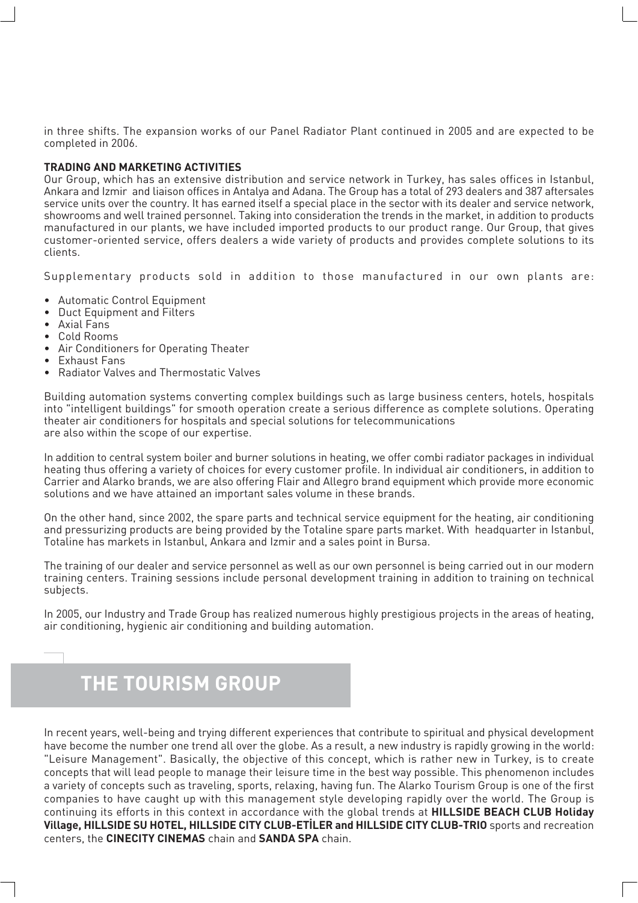in three shifts. The expansion works of our Panel Radiator Plant continued in 2005 and are expected to be completed in 2006.

#### **TRADING AND MARKETING ACTIVITIES**

Our Group, which has an extensive distribution and service network in Turkey, has sales offices in Istanbul, Ankara and Izmir and liaison offices in Antalya and Adana. The Group has a total of 293 dealers and 387 aftersales service units over the country. It has earned itself a special place in the sector with its dealer and service network, showrooms and well trained personnel. Taking into consideration the trends in the market, in addition to products manufactured in our plants, we have included imported products to our product range. Our Group, that gives customer-oriented service, offers dealers a wide variety of products and provides complete solutions to its clients.

Supplementary products sold in addition to those manufactured in our own plants are:

- Automatic Control Equipment
- Duct Equipment and Filters
- Axial Fans
- Cold Rooms
- Air Conditioners for Operating Theater
- Exhaust Fans
- Radiator Valves and Thermostatic Valves

Building automation systems converting complex buildings such as large business centers, hotels, hospitals into "intelligent buildings" for smooth operation create a serious difference as complete solutions. Operating theater air conditioners for hospitals and special solutions for telecommunications are also within the scope of our expertise.

In addition to central system boiler and burner solutions in heating, we offer combi radiator packages in individual heating thus offering a variety of choices for every customer profile. In individual air conditioners, in addition to Carrier and Alarko brands, we are also offering Flair and Allegro brand equipment which provide more economic solutions and we have attained an important sales volume in these brands.

On the other hand, since 2002, the spare parts and technical service equipment for the heating, air conditioning and pressurizing products are being provided by the Totaline spare parts market. With headquarter in Istanbul, Totaline has markets in Istanbul, Ankara and Izmir and a sales point in Bursa.

The training of our dealer and service personnel as well as our own personnel is being carried out in our modern training centers. Training sessions include personal development training in addition to training on technical subjects.

In 2005, our Industry and Trade Group has realized numerous highly prestigious projects in the areas of heating, air conditioning, hygienic air conditioning and building automation.

# **THE TOURISM GROUP**

In recent years, well-being and trying different experiences that contribute to spiritual and physical development have become the number one trend all over the globe. As a result, a new industry is rapidly growing in the world: "Leisure Management". Basically, the objective of this concept, which is rather new in Turkey, is to create concepts that will lead people to manage their leisure time in the best way possible. This phenomenon includes a variety of concepts such as traveling, sports, relaxing, having fun. The Alarko Tourism Group is one of the first companies to have caught up with this management style developing rapidly over the world. The Group is continuing its efforts in this context in accordance with the global trends at **HILLSIDE BEACH CLUB Holiday Village, HILLSIDE SU HOTEL, HILLSIDE CITY CLUB-ETILER and HILLSIDE CITY CLUB-TRIO** sports and recreation centers, the **CINECITY CINEMAS** chain and **SANDA SPA** chain.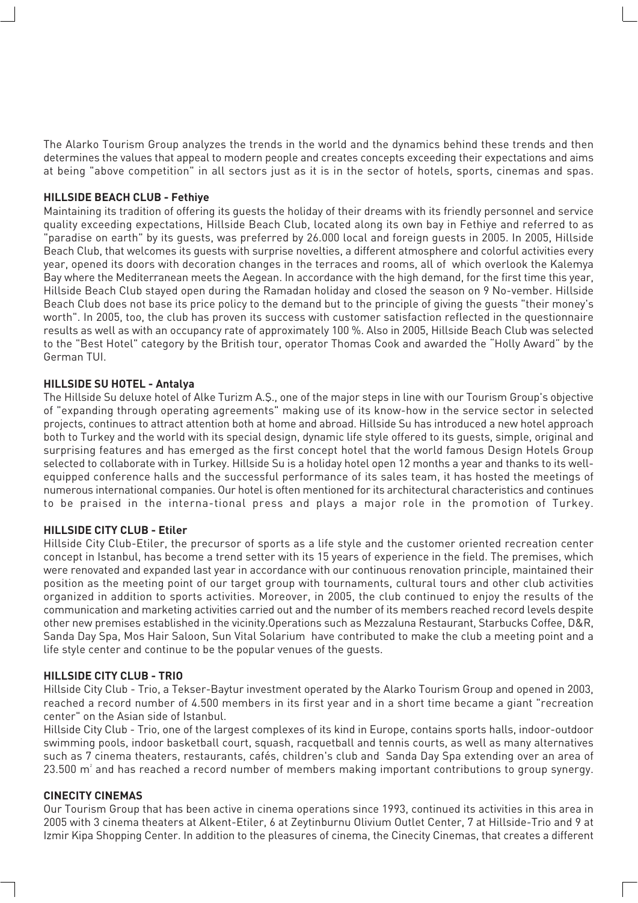The Alarko Tourism Group analyzes the trends in the world and the dynamics behind these trends and then determines the values that appeal to modern people and creates concepts exceeding their expectations and aims at being "above competition" in all sectors just as it is in the sector of hotels, sports, cinemas and spas.

#### **HILLSIDE BEACH CLUB - Fethiye**

Maintaining its tradition of offering its guests the holiday of their dreams with its friendly personnel and service quality exceeding expectations, Hillside Beach Club, located along its own bay in Fethiye and referred to as "paradise on earth" by its guests, was preferred by 26.000 local and foreign guests in 2005. In 2005, Hillside Beach Club, that welcomes its guests with surprise novelties, a different atmosphere and colorful activities every year, opened its doors with decoration changes in the terraces and rooms, all of which overlook the Kalemya Bay where the Mediterranean meets the Aegean. In accordance with the high demand, for the first time this year, Hillside Beach Club stayed open during the Ramadan holiday and closed the season on 9 No-vember. Hillside Beach Club does not base its price policy to the demand but to the principle of giving the guests "their money's worth". In 2005, too, the club has proven its success with customer satisfaction reflected in the questionnaire results as well as with an occupancy rate of approximately 100 %. Also in 2005, Hillside Beach Club was selected to the "Best Hotel" category by the British tour, operator Thomas Cook and awarded the "Holly Award" by the German TUI.

#### **HILLSIDE SU HOTEL - Antalya**

The Hillside Su deluxe hotel of Alke Turizm A.S., one of the major steps in line with our Tourism Group's objective of "expanding through operating agreements" making use of its know-how in the service sector in selected projects, continues to attract attention both at home and abroad. Hillside Su has introduced a new hotel approach both to Turkey and the world with its special design, dynamic life style offered to its guests, simple, original and surprising features and has emerged as the first concept hotel that the world famous Design Hotels Group selected to collaborate with in Turkey. Hillside Su is a holiday hotel open 12 months a year and thanks to its wellequipped conference halls and the successful performance of its sales team, it has hosted the meetings of numerous international companies. Our hotel is often mentioned for its architectural characteristics and continues to be praised in the interna-tional press and plays a major role in the promotion of Turkey.

#### **HILLSIDE CITY CLUB - Etiler**

Hillside City Club-Etiler, the precursor of sports as a life style and the customer oriented recreation center concept in Istanbul, has become a trend setter with its 15 years of experience in the field. The premises, which were renovated and expanded last year in accordance with our continuous renovation principle, maintained their position as the meeting point of our target group with tournaments, cultural tours and other club activities organized in addition to sports activities. Moreover, in 2005, the club continued to enjoy the results of the communication and marketing activities carried out and the number of its members reached record levels despite other new premises established in the vicinity.Operations such as Mezzaluna Restaurant, Starbucks Coffee, D&R, Sanda Day Spa, Mos Hair Saloon, Sun Vital Solarium have contributed to make the club a meeting point and a life style center and continue to be the popular venues of the guests.

#### **HILLSIDE CITY CLUB - TRIO**

Hillside City Club - Trio, a Tekser-Baytur investment operated by the Alarko Tourism Group and opened in 2003, reached a record number of 4.500 members in its first year and in a short time became a giant "recreation center" on the Asian side of Istanbul.

Hillside City Club - Trio, one of the largest complexes of its kind in Europe, contains sports halls, indoor-outdoor swimming pools, indoor basketball court, squash, racquetball and tennis courts, as well as many alternatives such as 7 cinema theaters, restaurants, cafés, children's club and Sanda Day Spa extending over an area of  $23.500$  m $^{\circ}$  and has reached a record number of members making important contributions to group synergy.

#### **CINECITY CINEMAS**

Our Tourism Group that has been active in cinema operations since 1993, continued its activities in this area in 2005 with 3 cinema theaters at Alkent-Etiler, 6 at Zeytinburnu Olivium Outlet Center, 7 at Hillside-Trio and 9 at Izmir Kipa Shopping Center. In addition to the pleasures of cinema, the Cinecity Cinemas, that creates a different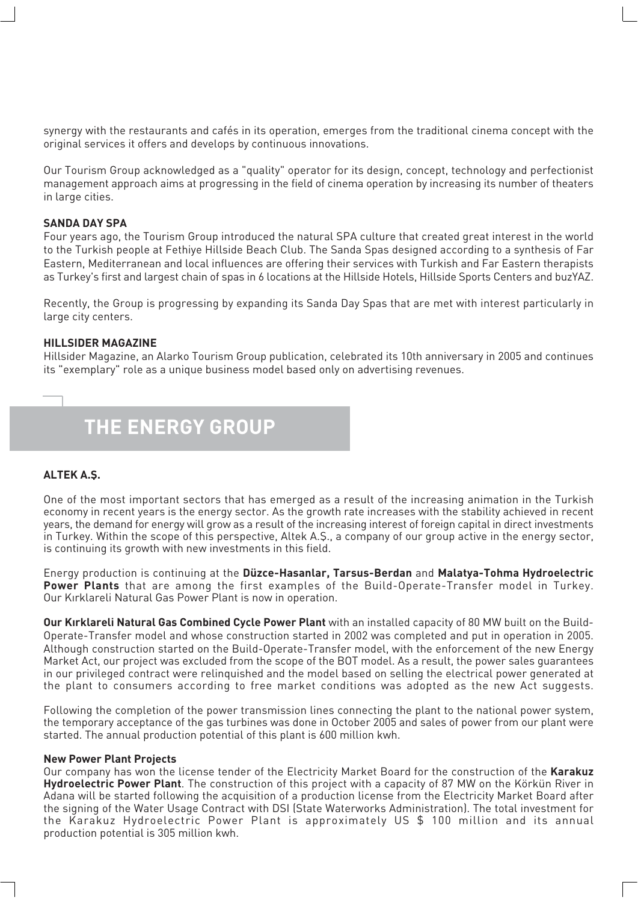synergy with the restaurants and cafés in its operation, emerges from the traditional cinema concept with the original services it offers and develops by continuous innovations.

Our Tourism Group acknowledged as a "quality" operator for its design, concept, technology and perfectionist management approach aims at progressing in the field of cinema operation by increasing its number of theaters in large cities.

#### **SANDA DAY SPA**

Four years ago, the Tourism Group introduced the natural SPA culture that created great interest in the world to the Turkish people at Fethiye Hillside Beach Club. The Sanda Spas designed according to a synthesis of Far Eastern, Mediterranean and local influences are offering their services with Turkish and Far Eastern therapists as Turkey's first and largest chain of spas in 6 locations at the Hillside Hotels, Hillside Sports Centers and buzYAZ.

Recently, the Group is progressing by expanding its Sanda Day Spas that are met with interest particularly in large city centers.

#### **HILLSIDER MAGAZINE**

Hillsider Magazine, an Alarko Tourism Group publication, celebrated its 10th anniversary in 2005 and continues its "exemplary" role as a unique business model based only on advertising revenues.

# **THE ENERGY GROUP**

#### **ALTEK A.fi.**

One of the most important sectors that has emerged as a result of the increasing animation in the Turkish economy in recent years is the energy sector. As the growth rate increases with the stability achieved in recent years, the demand for energy will grow as a result of the increasing interest of foreign capital in direct investments in Turkey. Within the scope of this perspective, Altek A.S., a company of our group active in the energy sector, is continuing its growth with new investments in this field.

Energy production is continuing at the **Düzce-Hasanlar, Tarsus-Berdan** and **Malatya-Tohma Hydroelectric Power Plants** that are among the first examples of the Build-Operate-Transfer model in Turkey. Our Kırklareli Natural Gas Power Plant is now in operation.

**Our K›rklareli Natural Gas Combined Cycle Power Plant** with an installed capacity of 80 MW built on the Build-Operate-Transfer model and whose construction started in 2002 was completed and put in operation in 2005. Although construction started on the Build-Operate-Transfer model, with the enforcement of the new Energy Market Act, our project was excluded from the scope of the BOT model. As a result, the power sales guarantees in our privileged contract were relinquished and the model based on selling the electrical power generated at the plant to consumers according to free market conditions was adopted as the new Act suggests.

Following the completion of the power transmission lines connecting the plant to the national power system, the temporary acceptance of the gas turbines was done in October 2005 and sales of power from our plant were started. The annual production potential of this plant is 600 million kwh.

#### **New Power Plant Projects**

Our company has won the license tender of the Electricity Market Board for the construction of the **Karakuz Hydroelectric Power Plant**. The construction of this project with a capacity of 87 MW on the Körkün River in Adana will be started following the acquisition of a production license from the Electricity Market Board after the signing of the Water Usage Contract with DSI (State Waterworks Administration). The total investment for the Karakuz Hydroelectric Power Plant is approximately US \$ 100 million and its annual production potential is 305 million kwh.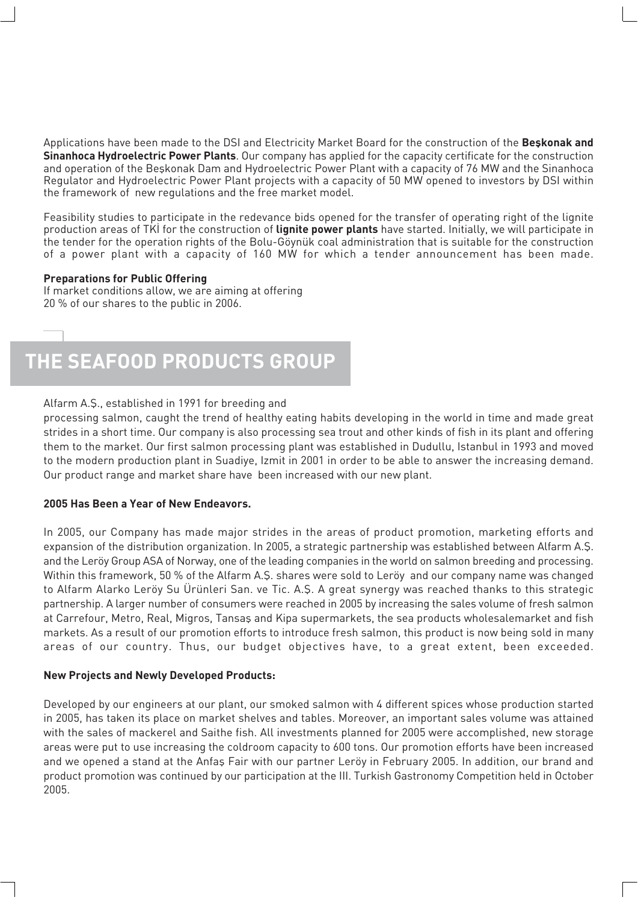Applications have been made to the DSI and Electricity Market Board for the construction of the Beskonak and **Sinanhoca Hydroelectric Power Plants**. Our company has applied for the capacity certificate for the construction and operation of the Beskonak Dam and Hydroelectric Power Plant with a capacity of 76 MW and the Sinanhoca Regulator and Hydroelectric Power Plant projects with a capacity of 50 MW opened to investors by DSI within the framework of new regulations and the free market model.

Feasibility studies to participate in the redevance bids opened for the transfer of operating right of the lignite production areas of TKI for the construction of **lignite power plants** have started. Initially, we will participate in the tender for the operation rights of the Bolu-Göynük coal administration that is suitable for the construction of a power plant with a capacity of 160 MW for which a tender announcement has been made.

#### **Preparations for Public Offering**

If market conditions allow, we are aiming at offering 20 % of our shares to the public in 2006.

# **THE SEAFOOD PRODUCTS GROUP**

#### Alfarm A.Ş., established in 1991 for breeding and

processing salmon, caught the trend of healthy eating habits developing in the world in time and made great strides in a short time. Our company is also processing sea trout and other kinds of fish in its plant and offering them to the market. Our first salmon processing plant was established in Dudullu, Istanbul in 1993 and moved to the modern production plant in Suadiye, Izmit in 2001 in order to be able to answer the increasing demand. Our product range and market share have been increased with our new plant.

#### **2005 Has Been a Year of New Endeavors.**

In 2005, our Company has made major strides in the areas of product promotion, marketing efforts and expansion of the distribution organization. In 2005, a strategic partnership was established between Alfarm A.Ş. and the Leröy Group ASA of Norway, one of the leading companies in the world on salmon breeding and processing. Within this framework, 50 % of the Alfarm A.Ş. shares were sold to Leröy and our company name was changed to Alfarm Alarko Leröy Su Ürünleri San. ve Tic. A.Ş. A great synergy was reached thanks to this strategic partnership. A larger number of consumers were reached in 2005 by increasing the sales volume of fresh salmon at Carrefour, Metro, Real, Migros, Tansas and Kipa supermarkets, the sea products wholesalemarket and fish markets. As a result of our promotion efforts to introduce fresh salmon, this product is now being sold in many areas of our country. Thus, our budget objectives have, to a great extent, been exceeded.

#### **New Projects and Newly Developed Products:**

Developed by our engineers at our plant, our smoked salmon with 4 different spices whose production started in 2005, has taken its place on market shelves and tables. Moreover, an important sales volume was attained with the sales of mackerel and Saithe fish. All investments planned for 2005 were accomplished, new storage areas were put to use increasing the coldroom capacity to 600 tons. Our promotion efforts have been increased and we opened a stand at the Anfas Fair with our partner Leröy in February 2005. In addition, our brand and product promotion was continued by our participation at the III. Turkish Gastronomy Competition held in October 2005.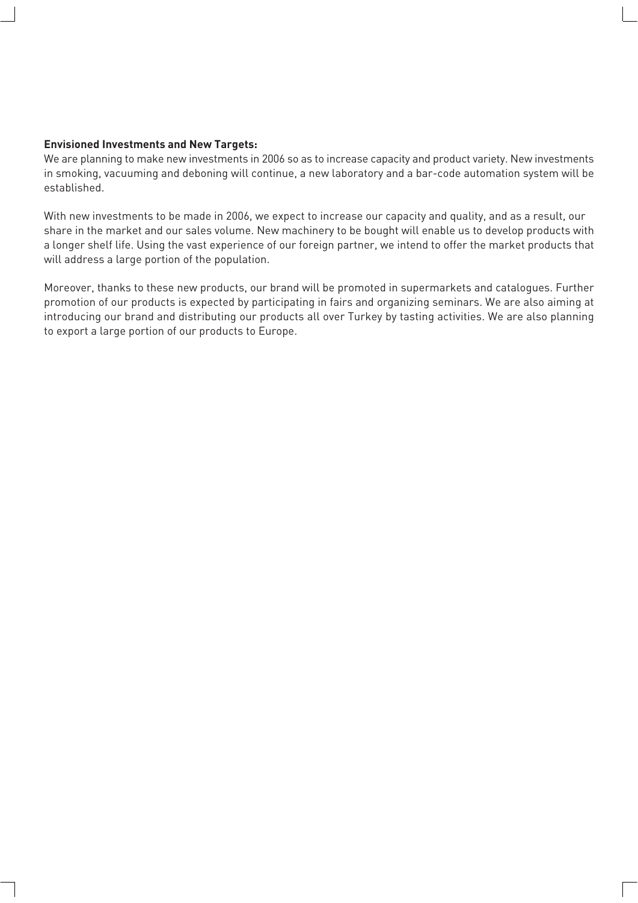#### **Envisioned Investments and New Targets:**

We are planning to make new investments in 2006 so as to increase capacity and product variety. New investments in smoking, vacuuming and deboning will continue, a new laboratory and a bar-code automation system will be established.

With new investments to be made in 2006, we expect to increase our capacity and quality, and as a result, our share in the market and our sales volume. New machinery to be bought will enable us to develop products with a longer shelf life. Using the vast experience of our foreign partner, we intend to offer the market products that will address a large portion of the population.

Moreover, thanks to these new products, our brand will be promoted in supermarkets and catalogues. Further promotion of our products is expected by participating in fairs and organizing seminars. We are also aiming at introducing our brand and distributing our products all over Turkey by tasting activities. We are also planning to export a large portion of our products to Europe.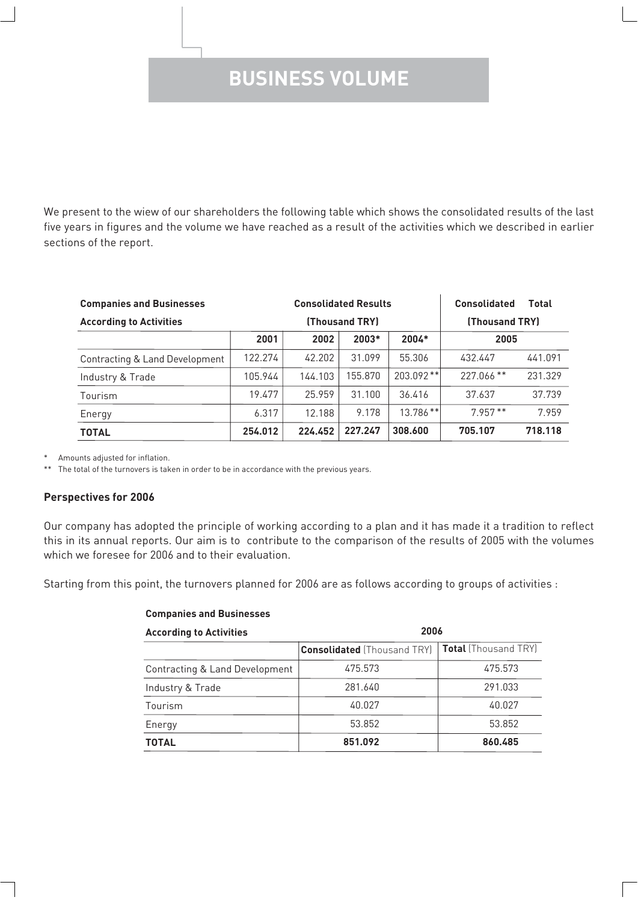### **BUSINESS VOLUME**

We present to the wiew of our shareholders the following table which shows the consolidated results of the last five years in figures and the volume we have reached as a result of the activities which we described in earlier sections of the report.

| <b>Companies and Businesses</b> | <b>Consolidated Results</b> |                |         |             | <b>Consolidated</b> | <b>Total</b>   |
|---------------------------------|-----------------------------|----------------|---------|-------------|---------------------|----------------|
| <b>According to Activities</b>  |                             | (Thousand TRY) |         |             |                     | (Thousand TRY) |
|                                 | 2001                        | 2002           | $2003*$ | 2004*       | 2005                |                |
| Contracting & Land Development  | 122.274                     | 42.202         | 31.099  | 55.306      | 432.447             | 441.091        |
| Industry & Trade                | 105.944                     | 144.103        | 155.870 | $203.092**$ | $227.066$ **        | 231.329        |
| Tourism                         | 19.477                      | 25.959         | 31.100  | 36.416      | 37.637              | 37.739         |
| Energy                          | 6.317                       | 12.188         | 9.178   | $13.786**$  | $7.957**$           | 7.959          |
| <b>TOTAL</b>                    | 254.012                     | 224.452        | 227.247 | 308,600     | 705.107             | 718.118        |

Amounts adjusted for inflation.

The total of the turnovers is taken in order to be in accordance with the previous years.

#### **Perspectives for 2006**

Our company has adopted the principle of working according to a plan and it has made it a tradition to reflect this in its annual reports. Our aim is to contribute to the comparison of the results of 2005 with the volumes which we foresee for 2006 and to their evaluation.

Starting from this point, the turnovers planned for 2006 are as follows according to groups of activities :

| <b>Companies and Businesses</b> |                                    |                             |  |  |
|---------------------------------|------------------------------------|-----------------------------|--|--|
| <b>According to Activities</b>  | 2006                               |                             |  |  |
|                                 | <b>Consolidated</b> (Thousand TRY) | <b>Total</b> (Thousand TRY) |  |  |
| Contracting & Land Development  | 475.573                            | 475.573                     |  |  |
| Industry & Trade                | 281.640                            | 291.033                     |  |  |
| Tourism                         | 40.027                             | 40.027                      |  |  |
| Energy                          | 53.852                             | 53.852                      |  |  |
| <b>TOTAL</b>                    | 851.092                            | 860,485                     |  |  |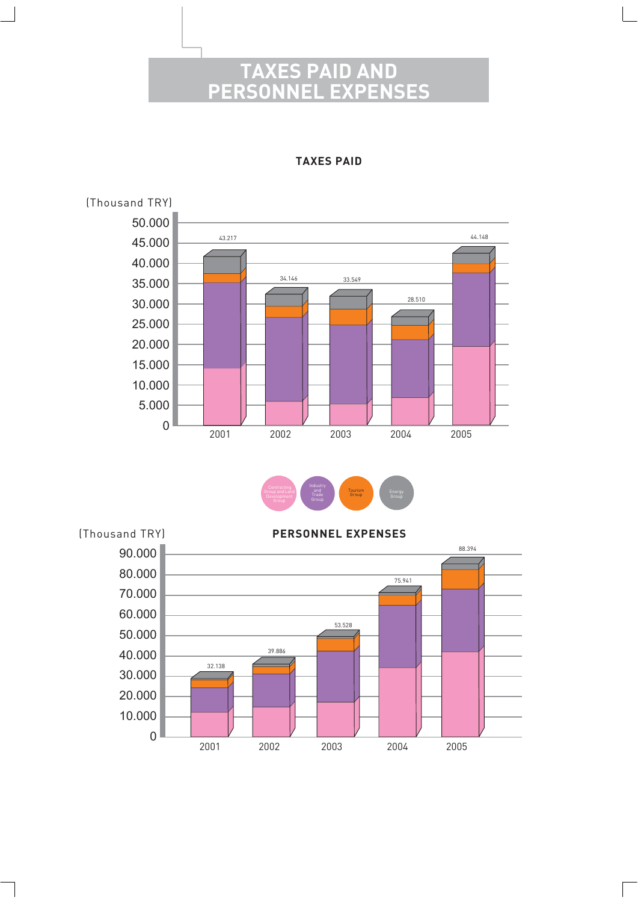### ES PAID AND<br>INEL EXPENSES **PERSO**



**TAXES PAID**



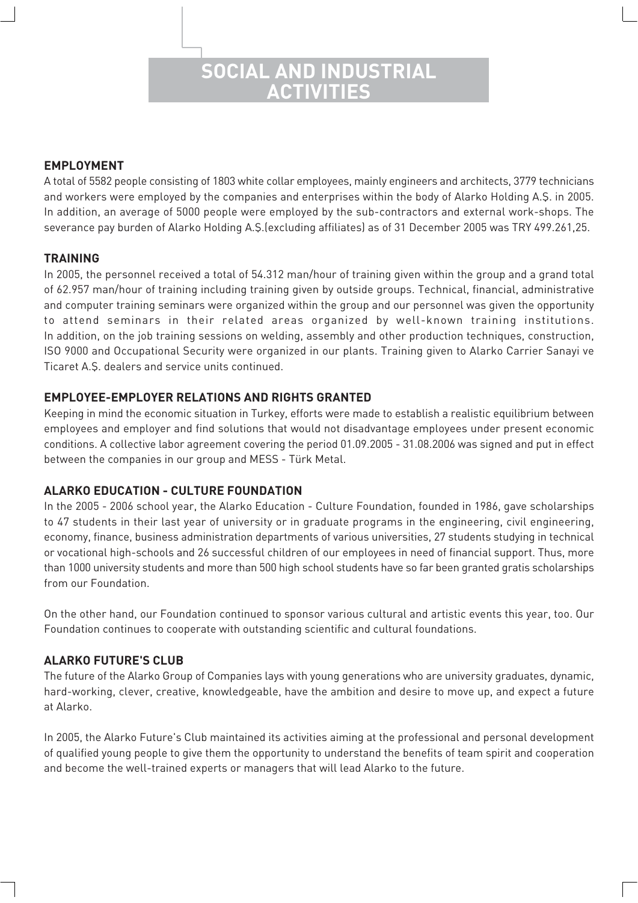### **SOCIAL AND INDUSTRIAL ACTIVITIES**

#### **EMPLOYMENT**

A total of 5582 people consisting of 1803 white collar employees, mainly engineers and architects, 3779 technicians and workers were employed by the companies and enterprises within the body of Alarko Holding A.Ş. in 2005. In addition, an average of 5000 people were employed by the sub-contractors and external work-shops. The severance pay burden of Alarko Holding A.S.(excluding affiliates) as of 31 December 2005 was TRY 499.261,25.

#### **TRAINING**

In 2005, the personnel received a total of 54.312 man/hour of training given within the group and a grand total of 62.957 man/hour of training including training given by outside groups. Technical, financial, administrative and computer training seminars were organized within the group and our personnel was given the opportunity to attend seminars in their related areas organized by well-known training institutions. In addition, on the job training sessions on welding, assembly and other production techniques, construction, ISO 9000 and Occupational Security were organized in our plants. Training given to Alarko Carrier Sanayi ve Ticaret A.S. dealers and service units continued.

#### **EMPLOYEE-EMPLOYER RELATIONS AND RIGHTS GRANTED**

Keeping in mind the economic situation in Turkey, efforts were made to establish a realistic equilibrium between employees and employer and find solutions that would not disadvantage employees under present economic conditions. A collective labor agreement covering the period 01.09.2005 - 31.08.2006 was signed and put in effect between the companies in our group and MESS - Türk Metal.

#### **ALARKO EDUCATION - CULTURE FOUNDATION**

In the 2005 - 2006 school year, the Alarko Education - Culture Foundation, founded in 1986, gave scholarships to 47 students in their last year of university or in graduate programs in the engineering, civil engineering, economy, finance, business administration departments of various universities, 27 students studying in technical or vocational high-schools and 26 successful children of our employees in need of financial support. Thus, more than 1000 university students and more than 500 high school students have so far been granted gratis scholarships from our Foundation.

On the other hand, our Foundation continued to sponsor various cultural and artistic events this year, too. Our Foundation continues to cooperate with outstanding scientific and cultural foundations.

#### **ALARKO FUTURE'S CLUB**

The future of the Alarko Group of Companies lays with young generations who are university graduates, dynamic, hard-working, clever, creative, knowledgeable, have the ambition and desire to move up, and expect a future at Alarko.

In 2005, the Alarko Future's Club maintained its activities aiming at the professional and personal development of qualified young people to give them the opportunity to understand the benefits of team spirit and cooperation and become the well-trained experts or managers that will lead Alarko to the future.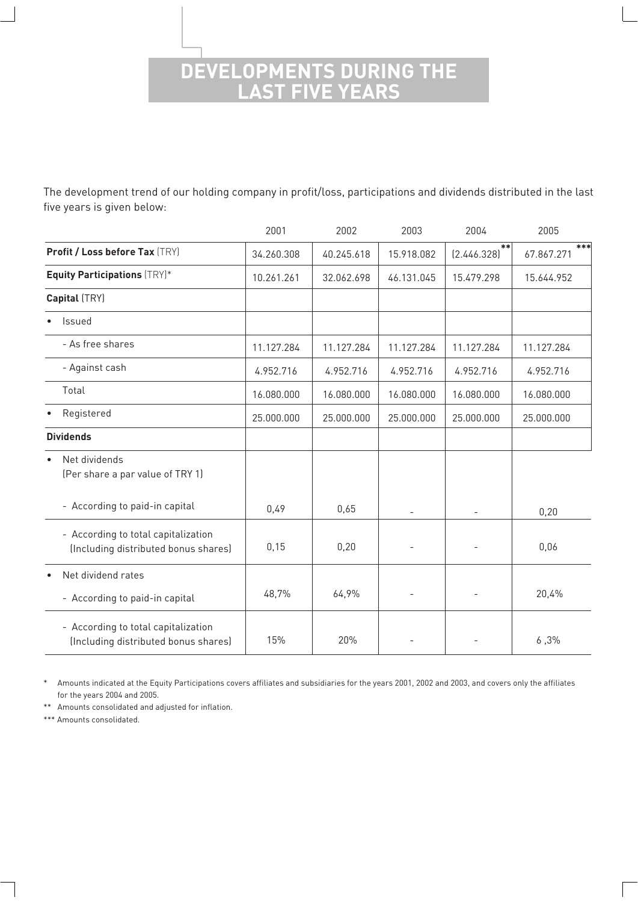### **DEVELOPMENTS DURING THE LAST FIVE YEARS**

The development trend of our holding company in profit/loss, participations and dividends distributed in the last five years is given below:

|                                                                             | 2001       | 2002       | 2003       | 2004                 | 2005              |
|-----------------------------------------------------------------------------|------------|------------|------------|----------------------|-------------------|
| Profit / Loss before Tax (TRY)                                              | 34.260.308 | 40.245.618 | 15.918.082 | $* *$<br>[2.446.328] | ***<br>67.867.271 |
| <b>Equity Participations (TRY)*</b>                                         | 10.261.261 | 32.062.698 | 46.131.045 | 15.479.298           | 15.644.952        |
| Capital (TRY)                                                               |            |            |            |                      |                   |
| Issued                                                                      |            |            |            |                      |                   |
| - As free shares                                                            | 11.127.284 | 11.127.284 | 11.127.284 | 11.127.284           | 11.127.284        |
| - Against cash                                                              | 4.952.716  | 4.952.716  | 4.952.716  | 4.952.716            | 4.952.716         |
| Total                                                                       | 16.080.000 | 16.080.000 | 16.080.000 | 16.080.000           | 16.080.000        |
| Registered                                                                  | 25.000.000 | 25.000.000 | 25.000.000 | 25.000.000           | 25.000.000        |
| <b>Dividends</b>                                                            |            |            |            |                      |                   |
| Net dividends<br>$\bullet$<br>(Per share a par value of TRY 1)              |            |            |            |                      |                   |
| - According to paid-in capital                                              | 0,49       | 0,65       |            |                      | 0,20              |
| - According to total capitalization<br>(Including distributed bonus shares) | 0,15       | 0,20       |            |                      | 0,06              |
| Net dividend rates<br>$\bullet$                                             |            |            |            |                      |                   |
| - According to paid-in capital                                              | 48,7%      | 64,9%      |            |                      | 20,4%             |
| - According to total capitalization<br>(Including distributed bonus shares) | 15%        | 20%        |            |                      | 6,3%              |

\* Amounts indicated at the Equity Participations covers affiliates and subsidiaries for the years 2001, 2002 and 2003, and covers only the affiliates for the years 2004 and 2005.

\*\* Amounts consolidated and adjusted for inflation.

\*\*\* Amounts consolidated.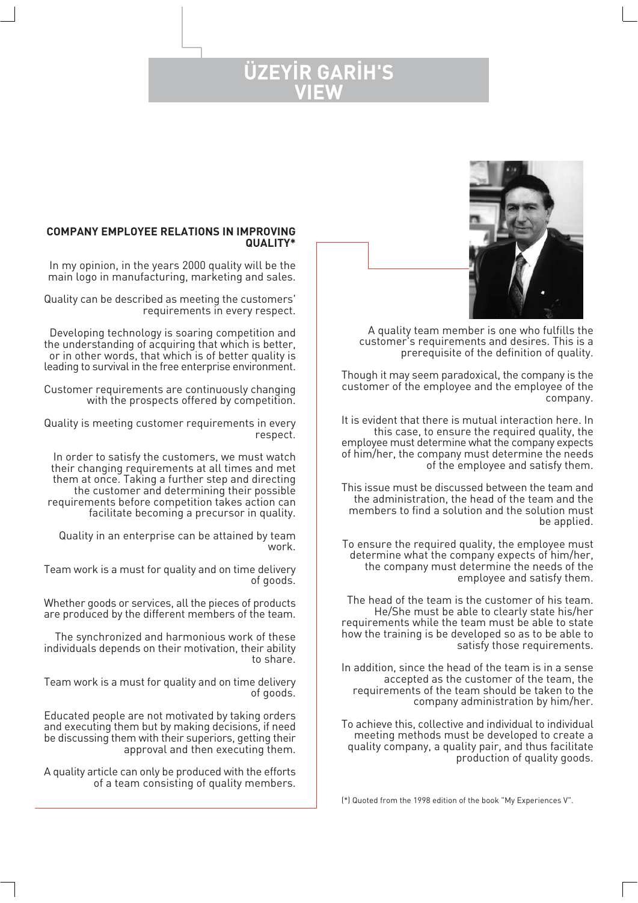### **ÜZEYİR GARİH'S VIEW**



A quality team member is one who fulfills the customer's requirements and desires. This is a prerequisite of the definition of quality.

Though it may seem paradoxical, the company is the customer of the employee and the employee of the company.

It is evident that there is mutual interaction here. In this case, to ensure the required quality, the employee must determine what the company expects of him/her, the company must determine the needs of the employee and satisfy them.

This issue must be discussed between the team and the administration, the head of the team and the members to find a solution and the solution must be applied.

To ensure the required quality, the employee must determine what the company expects of him/her, the company must determine the needs of the employee and satisfy them.

The head of the team is the customer of his team. He/She must be able to clearly state his/her requirements while the team must be able to state how the training is be developed so as to be able to satisfy those requirements.

In addition, since the head of the team is in a sense accepted as the customer of the team, the requirements of the team should be taken to the company administration by him/her.

To achieve this, collective and individual to individual meeting methods must be developed to create a quality company, a quality pair, and thus facilitate production of quality goods.

(\*) Quoted from the 1998 edition of the book "My Experiences V".

#### **COMPANY EMPLOYEE RELATIONS IN IMPROVING QUALITY\***

In my opinion, in the years 2000 quality will be the main logo in manufacturing, marketing and sales.

Quality can be described as meeting the customers' requirements in every respect.

Developing technology is soaring competition and the understanding of acquiring that which is better, or in other words, that which is of better quality is leading to survival in the free enterprise environment.

Customer requirements are continuously changing with the prospects offered by competition.

Quality is meeting customer requirements in every respect.

In order to satisfy the customers, we must watch their changing requirements at all times and met them at once. Taking a further step and directing the customer and determining their possible requirements before competition takes action can facilitate becoming a precursor in quality.

Quality in an enterprise can be attained by team work.

Team work is a must for quality and on time delivery of goods.

Whether goods or services, all the pieces of products are produced by the different members of the team.

The synchronized and harmonious work of these individuals depends on their motivation, their ability to share.

Team work is a must for quality and on time delivery of goods.

Educated people are not motivated by taking orders and executing them but by making decisions, if need be discussing them with their superiors, getting their approval and then executing them.

A quality article can only be produced with the efforts of a team consisting of quality members.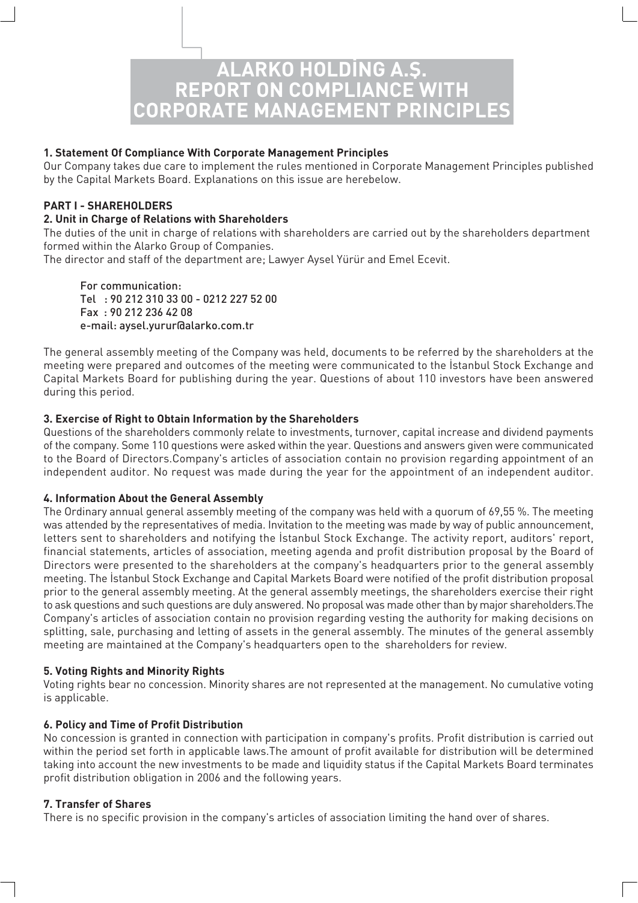# **ALARKO HOLD‹NG A.fi. REPORT ON COMPLIANCE WITH CORPORATE MANAGEMENT PRINCIPLES**

#### **1. Statement Of Compliance With Corporate Management Principles**

Our Company takes due care to implement the rules mentioned in Corporate Management Principles published by the Capital Markets Board. Explanations on this issue are herebelow.

#### **PART I - SHAREHOLDERS**

#### **2. Unit in Charge of Relations with Shareholders**

The duties of the unit in charge of relations with shareholders are carried out by the shareholders department formed within the Alarko Group of Companies.

The director and staff of the department are; Lawyer Aysel Yürür and Emel Ecevit.

For communication: Tel : 90 212 310 33 00 - 0212 227 52 00 Fax : 90 212 236 42 08 e-mail: aysel.yurur@alarko.com.tr

The general assembly meeting of the Company was held, documents to be referred by the shareholders at the meeting were prepared and outcomes of the meeting were communicated to the Istanbul Stock Exchange and Capital Markets Board for publishing during the year. Questions of about 110 investors have been answered during this period.

#### **3. Exercise of Right to Obtain Information by the Shareholders**

Questions of the shareholders commonly relate to investments, turnover, capital increase and dividend payments of the company. Some 110 questions were asked within the year. Questions and answers given were communicated to the Board of Directors.Company's articles of association contain no provision regarding appointment of an independent auditor. No request was made during the year for the appointment of an independent auditor.

#### **4. Information About the General Assembly**

The Ordinary annual general assembly meeting of the company was held with a quorum of 69,55 %. The meeting was attended by the representatives of media. Invitation to the meeting was made by way of public announcement, letters sent to shareholders and notifying the Istanbul Stock Exchange. The activity report, auditors' report, financial statements, articles of association, meeting agenda and profit distribution proposal by the Board of Directors were presented to the shareholders at the company's headquarters prior to the general assembly meeting. The İstanbul Stock Exchange and Capital Markets Board were notified of the profit distribution proposal prior to the general assembly meeting. At the general assembly meetings, the shareholders exercise their right to ask questions and such questions are duly answered. No proposal was made other than by major shareholders.The Company's articles of association contain no provision regarding vesting the authority for making decisions on splitting, sale, purchasing and letting of assets in the general assembly. The minutes of the general assembly meeting are maintained at the Company's headquarters open to the shareholders for review.

#### **5. Voting Rights and Minority Rights**

Voting rights bear no concession. Minority shares are not represented at the management. No cumulative voting is applicable.

#### **6. Policy and Time of Profit Distribution**

No concession is granted in connection with participation in company's profits. Profit distribution is carried out within the period set forth in applicable laws.The amount of profit available for distribution will be determined taking into account the new investments to be made and liquidity status if the Capital Markets Board terminates profit distribution obligation in 2006 and the following years.

#### **7. Transfer of Shares**

There is no specific provision in the company's articles of association limiting the hand over of shares.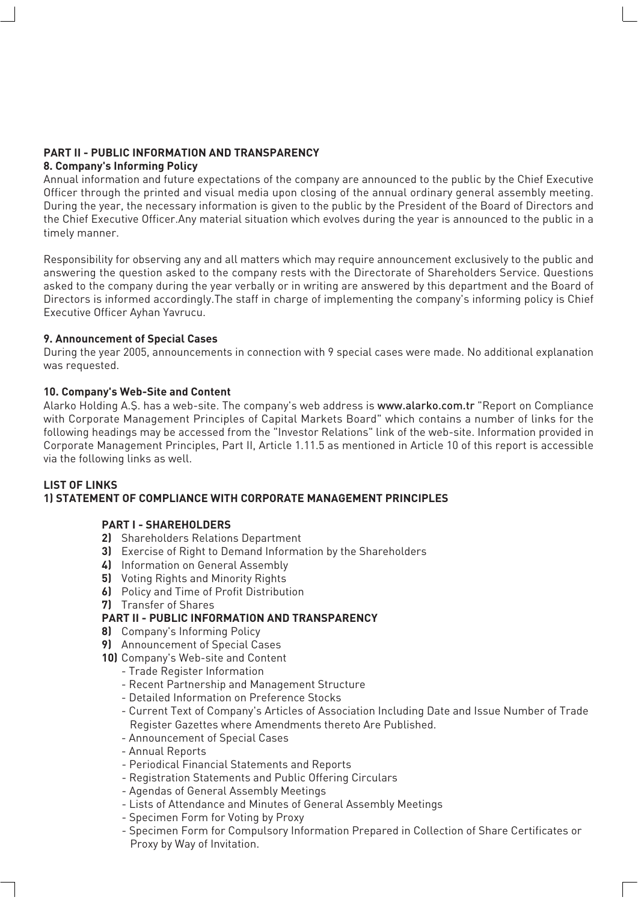#### **PART II - PUBLIC INFORMATION AND TRANSPARENCY 8. Company's Informing Policy**

Annual information and future expectations of the company are announced to the public by the Chief Executive Officer through the printed and visual media upon closing of the annual ordinary general assembly meeting. During the year, the necessary information is given to the public by the President of the Board of Directors and the Chief Executive Officer.Any material situation which evolves during the year is announced to the public in a timely manner.

Responsibility for observing any and all matters which may require announcement exclusively to the public and answering the question asked to the company rests with the Directorate of Shareholders Service. Questions asked to the company during the year verbally or in writing are answered by this department and the Board of Directors is informed accordingly.The staff in charge of implementing the company's informing policy is Chief Executive Officer Ayhan Yavrucu.

#### **9. Announcement of Special Cases**

During the year 2005, announcements in connection with 9 special cases were made. No additional explanation was requested.

#### **10. Company's Web-Site and Content**

Alarko Holding A.Ş. has a web-site. The company's web address is www.alarko.com.tr "Report on Compliance with Corporate Management Principles of Capital Markets Board" which contains a number of links for the following headings may be accessed from the "Investor Relations" link of the web-site. Information provided in Corporate Management Principles, Part II, Article 1.11.5 as mentioned in Article 10 of this report is accessible via the following links as well.

#### **LIST OF LINKS 1) STATEMENT OF COMPLIANCE WITH CORPORATE MANAGEMENT PRINCIPLES**

#### **PART I - SHAREHOLDERS**

- **2)** Shareholders Relations Department
- **3)** Exercise of Right to Demand Information by the Shareholders
- **4)** Information on General Assembly
- **5)** Voting Rights and Minority Rights
- **6)** Policy and Time of Profit Distribution
- **7)** Transfer of Shares

#### **PART II - PUBLIC INFORMATION AND TRANSPARENCY**

- **8)** Company's Informing Policy
- **9)** Announcement of Special Cases
- **10)** Company's Web-site and Content
	- Trade Register Information
	- Recent Partnership and Management Structure
	- Detailed Information on Preference Stocks
	- Current Text of Company's Articles of Association Including Date and Issue Number of Trade Register Gazettes where Amendments thereto Are Published.
	- Announcement of Special Cases
	- Annual Reports
	- Periodical Financial Statements and Reports
	- Registration Statements and Public Offering Circulars
	- Agendas of General Assembly Meetings
	- Lists of Attendance and Minutes of General Assembly Meetings
	- Specimen Form for Voting by Proxy
	- Specimen Form for Compulsory Information Prepared in Collection of Share Certificates or Proxy by Way of Invitation.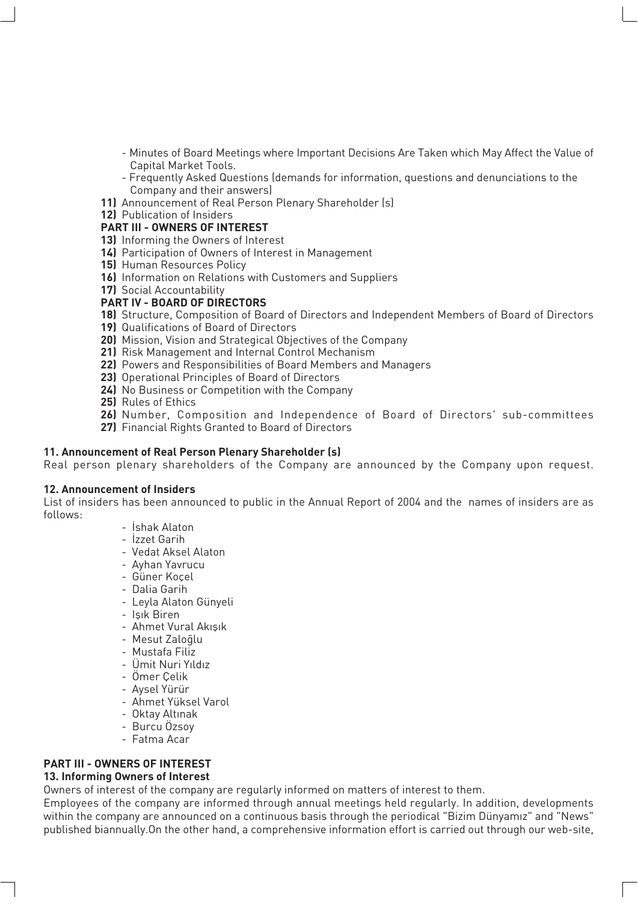- Minutes of Board Meetings where Important Decisions Are Taken which May Affect the Value of Capital Market Tools.
- Frequently Asked Questions (demands for information, questions and denunciations to the Company and their answers)
- **11)** Announcement of Real Person Plenary Shareholder (s)
- **12)** Publication of Insiders

#### **PART III - OWNERS OF INTEREST**

- **13)** Informing the Owners of Interest
- **14)** Participation of Owners of Interest in Management
- **15)** Human Resources Policy
- **16)** Information on Relations with Customers and Suppliers
- **17)** Social Accountability

#### **PART IV - BOARD OF DIRECTORS**

- **18)** Structure, Composition of Board of Directors and Independent Members of Board of Directors
- **19)** Qualifications of Board of Directors
- **20)** Mission, Vision and Strategical Objectives of the Company
- **21)** Risk Management and Internal Control Mechanism
- **22)** Powers and Responsibilities of Board Members and Managers
- **23)** Operational Principles of Board of Directors
- **24)** No Business or Competition with the Company
- **25)** Rules of Ethics
- **26)** Number, Composition and Independence of Board of Directors' sub-committees
- **27)** Financial Rights Granted to Board of Directors

#### **11. Announcement of Real Person Plenary Shareholder (s)**

Real person plenary shareholders of the Company are announced by the Company upon request.

#### **12. Announcement of Insiders**

List of insiders has been announced to public in the Annual Report of 2004 and the names of insiders are as follows:

- İshak Alaton
- İzzet Garih
- Vedat Aksel Alaton
- Ayhan Yavrucu
- Güner Koçel
- Dalia Garih
- Leyla Alaton Günyeli
- Isık Biren
- Ahmet Vural Akışık
- Mesut Zaloqlu
- Mustafa Filiz
- Ümit Nuri Yıldız
- Ömer Çelik
- Aysel Yürür
- Ahmet Yüksel Varol
- Oktay Altınak
- Burcu Özsoy
- Fatma Acar

#### **PART III - OWNERS OF INTEREST 13. Informing Owners of Interest**

Owners of interest of the company are regularly informed on matters of interest to them.

Employees of the company are informed through annual meetings held regularly. In addition, developments within the company are announced on a continuous basis through the periodical "Bizim Dünyamız" and "News" published biannually.On the other hand, a comprehensive information effort is carried out through our web-site,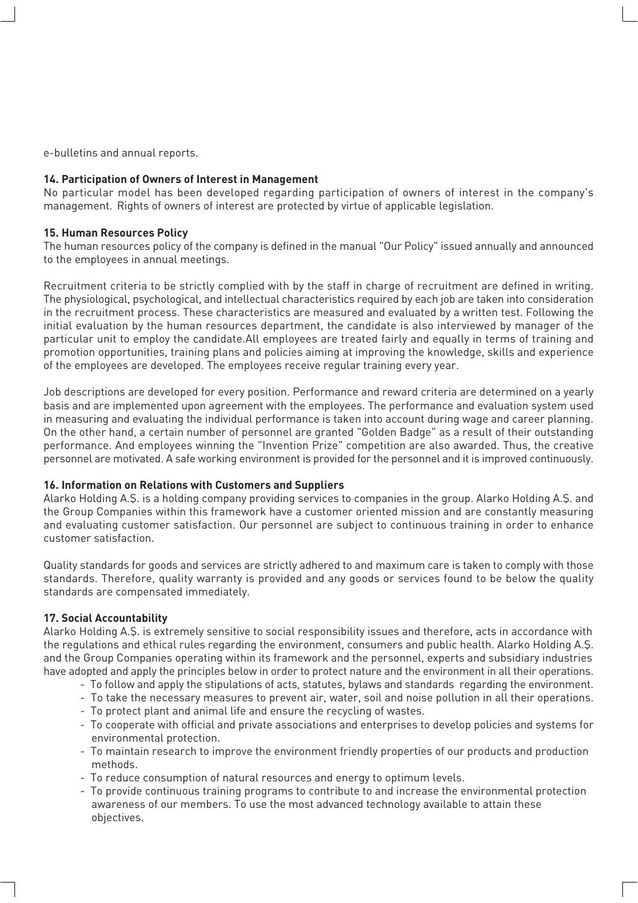e-bulletins and annual reports.

#### **14. Participation of Owners of Interest in Management**

No particular model has been developed regarding participation of owners of interest in the company's management. Rights of owners of interest are protected by virtue of applicable legislation.

#### **15. Human Resources Policy**

The human resources policy of the company is defined in the manual "Our Policy" issued annually and announced to the employees in annual meetings.

Recruitment criteria to be strictly complied with by the staff in charge of recruitment are defined in writing. The physiological, psychological, and intellectual characteristics required by each job are taken into consideration in the recruitment process. These characteristics are measured and evaluated by a written test. Following the initial evaluation by the human resources department, the candidate is also interviewed by manager of the particular unit to employ the candidate.All employees are treated fairly and equally in terms of training and promotion opportunities, training plans and policies aiming at improving the knowledge, skills and experience of the employees are developed. The employees receive regular training every year.

Job descriptions are developed for every position. Performance and reward criteria are determined on a yearly basis and are implemented upon agreement with the employees. The performance and evaluation system used in measuring and evaluating the individual performance is taken into account during wage and career planning. On the other hand, a certain number of personnel are granted "Golden Badge" as a result of their outstanding performance. And employees winning the "Invention Prize" competition are also awarded. Thus, the creative personnel are motivated. A safe working environment is provided for the personnel and it is improved continuously.

#### **16. Information on Relations with Customers and Suppliers**

Alarko Holding A.Ş. is a holding company providing services to companies in the group. Alarko Holding A.Ş. and the Group Companies within this framework have a customer oriented mission and are constantly measuring and evaluating customer satisfaction. Our personnel are subject to continuous training in order to enhance customer satisfaction.

Quality standards for goods and services are strictly adhered to and maximum care is taken to comply with those standards. Therefore, quality warranty is provided and any goods or services found to be below the quality standards are compensated immediately.

#### **17. Social Accountability**

Alarko Holding A.fi. is extremely sensitive to social responsibility issues and therefore, acts in accordance with the regulations and ethical rules regarding the environment, consumers and public health. Alarko Holding A.Ş. and the Group Companies operating within its framework and the personnel, experts and subsidiary industries have adopted and apply the principles below in order to protect nature and the environment in all their operations.

- To follow and apply the stipulations of acts, statutes, bylaws and standards regarding the environment.
- To take the necessary measures to prevent air, water, soil and noise pollution in all their operations.
- To protect plant and animal life and ensure the recycling of wastes.
- To cooperate with official and private associations and enterprises to develop policies and systems for environmental protection.
- To maintain research to improve the environment friendly properties of our products and production methods.
- To reduce consumption of natural resources and energy to optimum levels.
- To provide continuous training programs to contribute to and increase the environmental protection awareness of our members. To use the most advanced technology available to attain these objectives.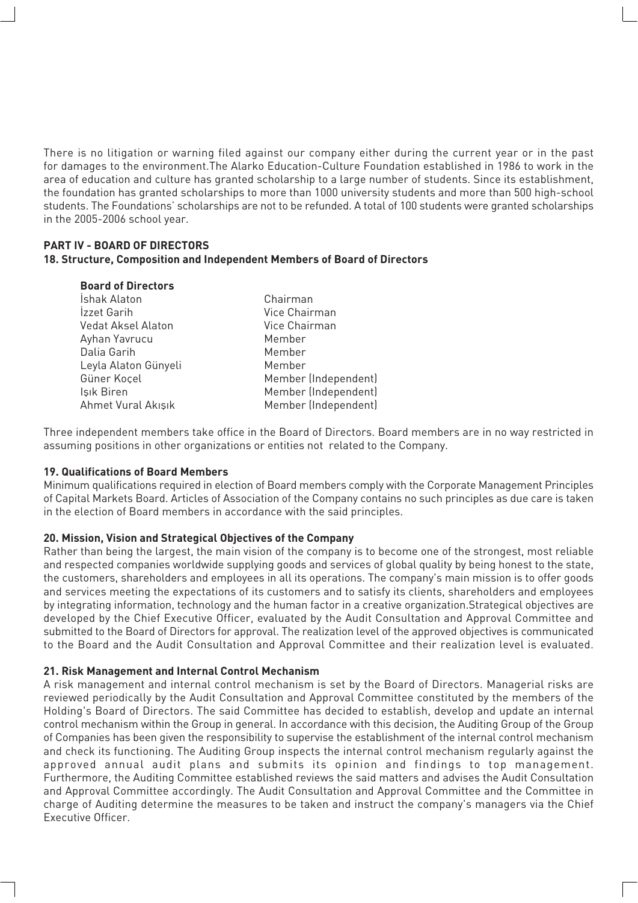There is no litigation or warning filed against our company either during the current year or in the past for damages to the environment.The Alarko Education-Culture Foundation established in 1986 to work in the area of education and culture has granted scholarship to a large number of students. Since its establishment, the foundation has granted scholarships to more than 1000 university students and more than 500 high-school students. The Foundations' scholarships are not to be refunded. A total of 100 students were granted scholarships in the 2005-2006 school year.

#### **PART IV - BOARD OF DIRECTORS 18. Structure, Composition and Independent Members of Board of Directors**

| <b>Board of Directors</b> |                      |
|---------------------------|----------------------|
| İshak Alaton              | Chairman             |
| Izzet Garih               | Vice Chairman        |
| Vedat Aksel Alaton        | Vice Chairman        |
| Ayhan Yavrucu             | Member               |
| Dalia Garih               | Member               |
| Leyla Alaton Günyeli      | Member               |
| Güner Koçel               | Member (Independent) |
| Işık Biren                | Member (Independent) |
| Ahmet Vural Akışık        | Member (Independent) |
|                           |                      |

Three independent members take office in the Board of Directors. Board members are in no way restricted in assuming positions in other organizations or entities not related to the Company.

#### **19. Qualifications of Board Members**

Minimum qualifications required in election of Board members comply with the Corporate Management Principles of Capital Markets Board. Articles of Association of the Company contains no such principles as due care is taken in the election of Board members in accordance with the said principles.

#### **20. Mission, Vision and Strategical Objectives of the Company**

Rather than being the largest, the main vision of the company is to become one of the strongest, most reliable and respected companies worldwide supplying goods and services of global quality by being honest to the state, the customers, shareholders and employees in all its operations. The company's main mission is to offer goods and services meeting the expectations of its customers and to satisfy its clients, shareholders and employees by integrating information, technology and the human factor in a creative organization.Strategical objectives are developed by the Chief Executive Officer, evaluated by the Audit Consultation and Approval Committee and submitted to the Board of Directors for approval. The realization level of the approved objectives is communicated to the Board and the Audit Consultation and Approval Committee and their realization level is evaluated.

#### **21. Risk Management and Internal Control Mechanism**

A risk management and internal control mechanism is set by the Board of Directors. Managerial risks are reviewed periodically by the Audit Consultation and Approval Committee constituted by the members of the Holding's Board of Directors. The said Committee has decided to establish, develop and update an internal control mechanism within the Group in general. In accordance with this decision, the Auditing Group of the Group of Companies has been given the responsibility to supervise the establishment of the internal control mechanism and check its functioning. The Auditing Group inspects the internal control mechanism regularly against the approved annual audit plans and submits its opinion and findings to top management. Furthermore, the Auditing Committee established reviews the said matters and advises the Audit Consultation and Approval Committee accordingly. The Audit Consultation and Approval Committee and the Committee in charge of Auditing determine the measures to be taken and instruct the company's managers via the Chief Executive Officer.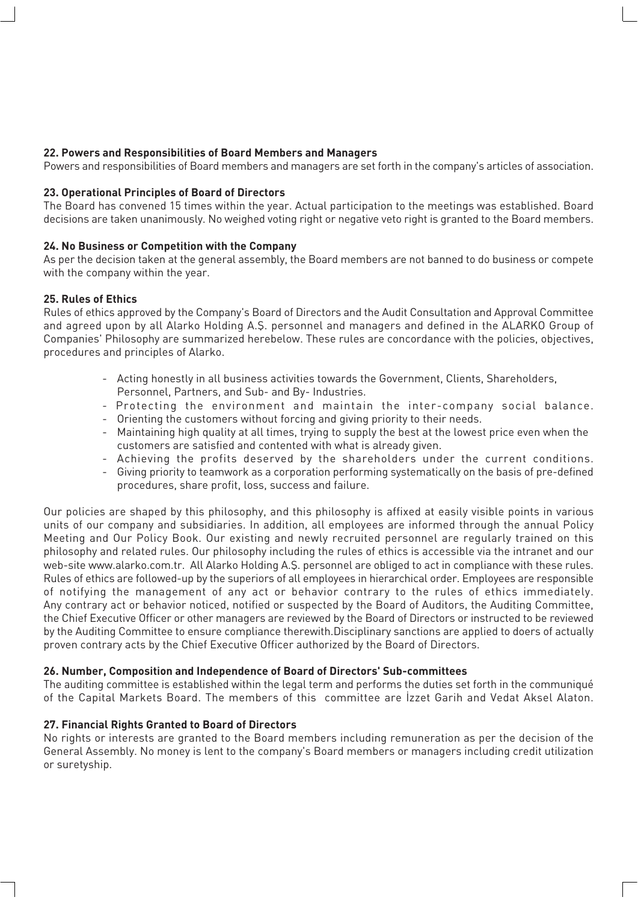#### **22. Powers and Responsibilities of Board Members and Managers**

Powers and responsibilities of Board members and managers are set forth in the company's articles of association.

#### **23. Operational Principles of Board of Directors**

The Board has convened 15 times within the year. Actual participation to the meetings was established. Board decisions are taken unanimously. No weighed voting right or negative veto right is granted to the Board members.

#### **24. No Business or Competition with the Company**

As per the decision taken at the general assembly, the Board members are not banned to do business or compete with the company within the year.

#### **25. Rules of Ethics**

Rules of ethics approved by the Company's Board of Directors and the Audit Consultation and Approval Committee and agreed upon by all Alarko Holding A.Ş. personnel and managers and defined in the ALARKO Group of Companies' Philosophy are summarized herebelow. These rules are concordance with the policies, objectives, procedures and principles of Alarko.

- Acting honestly in all business activities towards the Government, Clients, Shareholders, Personnel, Partners, and Sub- and By- Industries.
- Protecting the environment and maintain the inter-company social balance.
- Orienting the customers without forcing and giving priority to their needs.
- Maintaining high quality at all times, trying to supply the best at the lowest price even when the customers are satisfied and contented with what is already given.
- Achieving the profits deserved by the shareholders under the current conditions.
- Giving priority to teamwork as a corporation performing systematically on the basis of pre-defined procedures, share profit, loss, success and failure.

Our policies are shaped by this philosophy, and this philosophy is affixed at easily visible points in various units of our company and subsidiaries. In addition, all employees are informed through the annual Policy Meeting and Our Policy Book. Our existing and newly recruited personnel are regularly trained on this philosophy and related rules. Our philosophy including the rules of ethics is accessible via the intranet and our web-site www.alarko.com.tr. All Alarko Holding A.Ş. personnel are obliged to act in compliance with these rules. Rules of ethics are followed-up by the superiors of all employees in hierarchical order. Employees are responsible of notifying the management of any act or behavior contrary to the rules of ethics immediately. Any contrary act or behavior noticed, notified or suspected by the Board of Auditors, the Auditing Committee, the Chief Executive Officer or other managers are reviewed by the Board of Directors or instructed to be reviewed by the Auditing Committee to ensure compliance therewith.Disciplinary sanctions are applied to doers of actually proven contrary acts by the Chief Executive Officer authorized by the Board of Directors.

#### **26. Number, Composition and Independence of Board of Directors' Sub-committees**

The auditing committee is established within the legal term and performs the duties set forth in the communiqué of the Capital Markets Board. The members of this committee are Izzet Garih and Vedat Aksel Alaton.

#### **27. Financial Rights Granted to Board of Directors**

No rights or interests are granted to the Board members including remuneration as per the decision of the General Assembly. No money is lent to the company's Board members or managers including credit utilization or suretyship.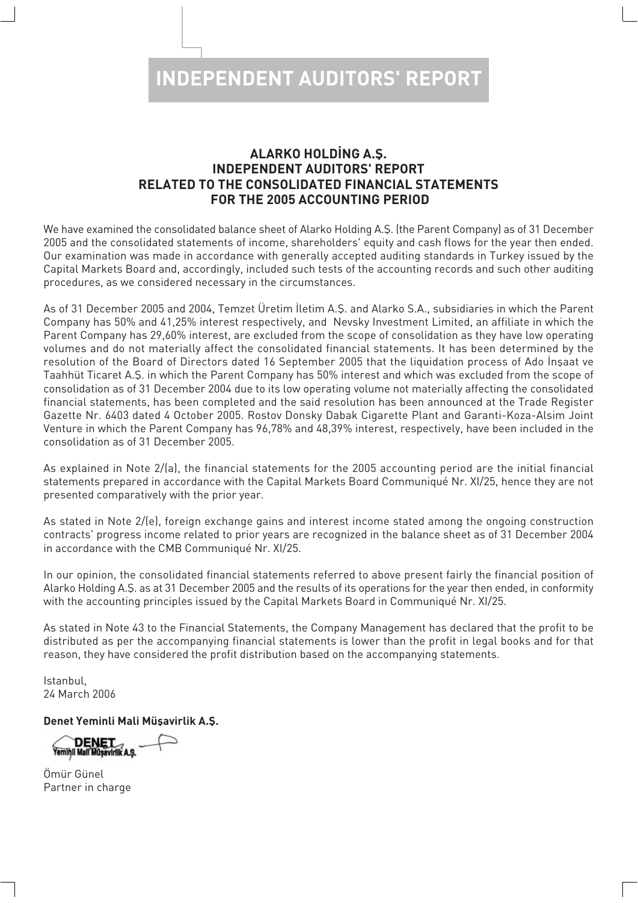## **ALARKO HOLDING A.S. INDEPENDENT AUDITORS' REPORT RELATED TO THE CONSOLIDATED FINANCIAL STATEMENTS FOR THE 2005 ACCOUNTING PERIOD**

We have examined the consolidated balance sheet of Alarko Holding A.S. (the Parent Company) as of 31 December 2005 and the consolidated statements of income, shareholders' equity and cash flows for the year then ended. Our examination was made in accordance with generally accepted auditing standards in Turkey issued by the Capital Markets Board and, accordingly, included such tests of the accounting records and such other auditing procedures, as we considered necessary in the circumstances.

As of 31 December 2005 and 2004, Temzet Üretim İletim A.Ş. and Alarko S.A., subsidiaries in which the Parent Company has 50% and 41,25% interest respectively, and Nevsky Investment Limited, an affiliate in which the Parent Company has 29,60% interest, are excluded from the scope of consolidation as they have low operating volumes and do not materially affect the consolidated financial statements. It has been determined by the resolution of the Board of Directors dated 16 September 2005 that the liquidation process of Ado Insaat ve Taahhüt Ticaret A.Ş. in which the Parent Company has 50% interest and which was excluded from the scope of consolidation as of 31 December 2004 due to its low operating volume not materially affecting the consolidated financial statements, has been completed and the said resolution has been announced at the Trade Register Gazette Nr. 6403 dated 4 October 2005. Rostov Donsky Dabak Cigarette Plant and Garanti-Koza-Alsim Joint Venture in which the Parent Company has 96,78% and 48,39% interest, respectively, have been included in the consolidation as of 31 December 2005.

As explained in Note 2/(a), the financial statements for the 2005 accounting period are the initial financial statements prepared in accordance with the Capital Markets Board Communiqué Nr. XI/25, hence they are not presented comparatively with the prior year.

As stated in Note 2/(e), foreign exchange gains and interest income stated among the ongoing construction contracts' progress income related to prior years are recognized in the balance sheet as of 31 December 2004 in accordance with the CMB Communiqué Nr. XI/25.

In our opinion, the consolidated financial statements referred to above present fairly the financial position of Alarko Holding A.S. as at 31 December 2005 and the results of its operations for the year then ended, in conformity with the accounting principles issued by the Capital Markets Board in Communiqué Nr. XI/25.

As stated in Note 43 to the Financial Statements, the Company Management has declared that the profit to be distributed as per the accompanying financial statements is lower than the profit in legal books and for that reason, they have considered the profit distribution based on the accompanying statements.

Istanbul, 24 March 2006

**Denet Yeminli Mali Müsavirlik A.S.** 

DENET<br>Yemînli Malî Mûşavirilk A.Ş.

Ömür Günel Partner in charge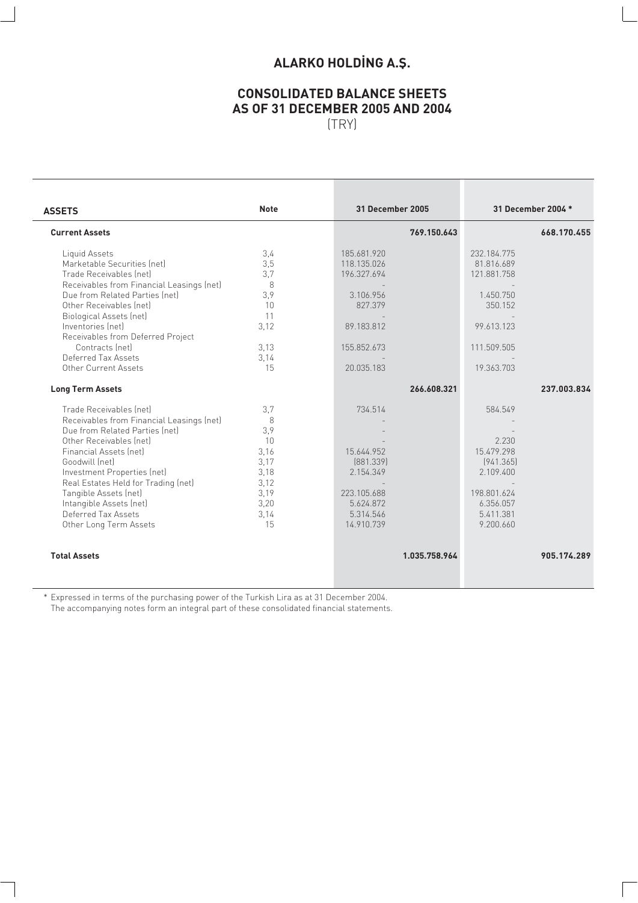# **ALARKO HOLDING A.Ş.**

# **CONSOLIDATED BALANCE SHEETS AS OF 31 DECEMBER 2005 AND 2004**

(TRY)

| <b>ASSETS</b>                                                                                                                                                                                                                                                                                                                                            | <b>Note</b>                                                                         | <b>31 December 2005</b>                                                                                      | 31 December 2004 *                                                                                             |
|----------------------------------------------------------------------------------------------------------------------------------------------------------------------------------------------------------------------------------------------------------------------------------------------------------------------------------------------------------|-------------------------------------------------------------------------------------|--------------------------------------------------------------------------------------------------------------|----------------------------------------------------------------------------------------------------------------|
| <b>Current Assets</b>                                                                                                                                                                                                                                                                                                                                    |                                                                                     | 769.150.643                                                                                                  | 668.170.455                                                                                                    |
| Liquid Assets<br>Marketable Securities (net)<br>Trade Receivables (net)<br>Receivables from Financial Leasings (net)<br>Due from Related Parties (net)<br>Other Receivables (net)<br><b>Biological Assets (net)</b><br>Inventories (net)<br>Receivables from Deferred Project<br>Contracts (net)<br>Deferred Tax Assets<br>Other Current Assets          | 3.4<br>3,5<br>3.7<br>8<br>3,9<br>10<br>11<br>3,12<br>3.13<br>3.14<br>15             | 185.681.920<br>118.135.026<br>196.327.694<br>3.106.956<br>827.379<br>89.183.812<br>155.852.673<br>20.035.183 | 232.184.775<br>81.816.689<br>121.881.758<br>1.450.750<br>350.152<br>99.613.123<br>111.509.505<br>19.363.703    |
| <b>Long Term Assets</b>                                                                                                                                                                                                                                                                                                                                  |                                                                                     | 266.608.321                                                                                                  | 237.003.834                                                                                                    |
| Trade Receivables (net)<br>Receivables from Financial Leasings (net)<br>Due from Related Parties (net)<br>Other Receivables (net)<br>Financial Assets (net)<br>Goodwill (net)<br>Investment Properties (net)<br>Real Estates Held for Trading (net)<br>Tangible Assets (net)<br>Intangible Assets (net)<br>Deferred Tax Assets<br>Other Long Term Assets | 3.7<br>8<br>3.9<br>10<br>3.16<br>3,17<br>3.18<br>3,12<br>3.19<br>3,20<br>3.14<br>15 | 734.514<br>15.644.952<br>[881.339]<br>2.154.349<br>223.105.688<br>5.624.872<br>5.314.546<br>14.910.739       | 584.549<br>2.230<br>15.479.298<br>[941.365]<br>2.109.400<br>198.801.624<br>6.356.057<br>5.411.381<br>9.200.660 |
| <b>Total Assets</b>                                                                                                                                                                                                                                                                                                                                      |                                                                                     | 1.035.758.964                                                                                                | 905.174.289                                                                                                    |

\* Expressed in terms of the purchasing power of the Turkish Lira as at 31 December 2004. The accompanying notes form an integral part of these consolidated financial statements.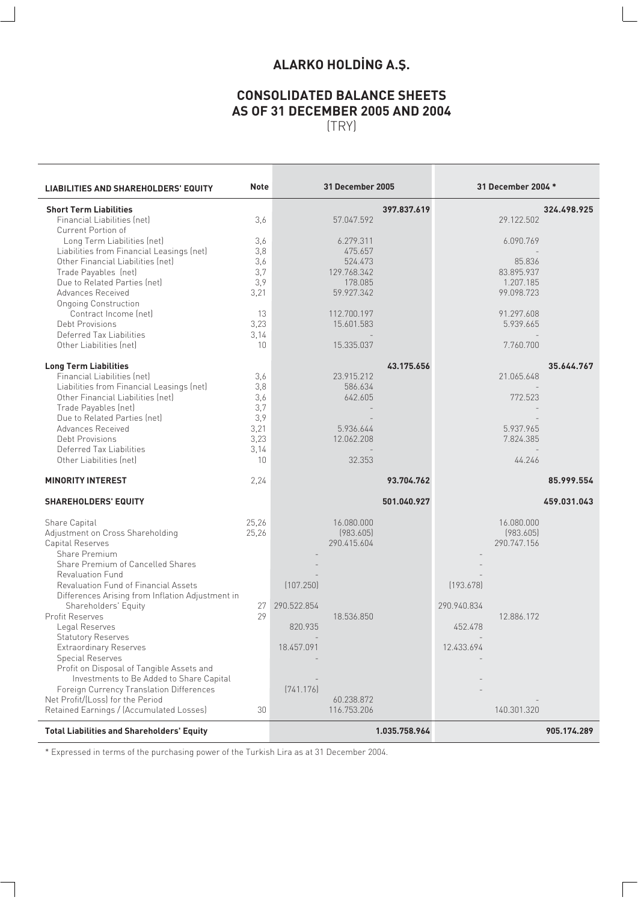# **ALARKO HOLDING A.Ş.**

# **CONSOLIDATED BALANCE SHEETS AS OF 31 DECEMBER 2005 AND 2004**

(TRY)

| <b>LIABILITIES AND SHAREHOLDERS' EQUITY</b>                                              | <b>Note</b>  |             | <b>31 December 2005</b>   |               |             | 31 December 2004 *      |             |
|------------------------------------------------------------------------------------------|--------------|-------------|---------------------------|---------------|-------------|-------------------------|-------------|
| <b>Short Term Liabilities</b>                                                            |              |             |                           | 397.837.619   |             |                         | 324.498.925 |
| Financial Liabilities (net)                                                              | 3,6          |             | 57.047.592                |               |             | 29.122.502              |             |
| Current Portion of<br>Long Term Liabilities (net)                                        | 3,6          |             | 6.279.311                 |               |             | 6.090.769               |             |
| Liabilities from Financial Leasings (net)                                                | 3,8          |             | 475.657                   |               |             |                         |             |
| Other Financial Liabilities (net)                                                        | 3,6          |             | 524.473                   |               |             | 85.836                  |             |
| Trade Payables (net)                                                                     | 3.7          |             | 129.768.342               |               |             | 83.895.937              |             |
| Due to Related Parties (net)                                                             | 3,9          |             | 178.085                   |               |             | 1.207.185               |             |
| Advances Received                                                                        | 3,21         |             | 59.927.342                |               |             | 99.098.723              |             |
| <b>Ongoing Construction</b>                                                              |              |             |                           |               |             |                         |             |
| Contract Income (net)<br>Debt Provisions                                                 | 13<br>3,23   |             | 112.700.197<br>15.601.583 |               |             | 91.297.608<br>5.939.665 |             |
| Deferred Tax Liabilities                                                                 | 3.14         |             |                           |               |             |                         |             |
| Other Liabilities (net)                                                                  | 10           |             | 15.335.037                |               |             | 7.760.700               |             |
|                                                                                          |              |             |                           |               |             |                         |             |
| <b>Long Term Liabilities</b>                                                             |              |             |                           | 43.175.656    |             |                         | 35.644.767  |
| Financial Liabilities (net)                                                              | 3,6          |             | 23.915.212                |               |             | 21.065.648              |             |
| Liabilities from Financial Leasings (net)                                                | 3,8          |             | 586.634                   |               |             |                         |             |
| Other Financial Liabilities (net)                                                        | 3,6          |             | 642.605                   |               |             | 772.523                 |             |
| Trade Payables (net)                                                                     | 3,7          |             |                           |               |             |                         |             |
| Due to Related Parties (net)                                                             | 3,9          |             | 5.936.644                 |               |             | 5.937.965               |             |
| Advances Received<br>Debt Provisions                                                     | 3,21<br>3,23 |             | 12.062.208                |               |             | 7.824.385               |             |
| Deferred Tax Liabilities                                                                 | 3.14         |             |                           |               |             |                         |             |
| Other Liabilities (net)                                                                  | 10           |             | 32.353                    |               |             | 44.246                  |             |
| <b>MINORITY INTEREST</b>                                                                 | 2,24         |             |                           | 93.704.762    |             |                         | 85.999.554  |
|                                                                                          |              |             |                           |               |             |                         |             |
| <b>SHAREHOLDERS' EQUITY</b>                                                              |              |             |                           | 501.040.927   |             |                         | 459.031.043 |
| Share Capital                                                                            | 25,26        |             | 16.080.000                |               |             | 16.080.000              |             |
| Adjustment on Cross Shareholding                                                         | 25,26        |             | [983.605]                 |               |             | (983.605)               |             |
| Capital Reserves                                                                         |              |             | 290.415.604               |               |             | 290.747.156             |             |
| Share Premium                                                                            |              |             |                           |               |             |                         |             |
| Share Premium of Cancelled Shares                                                        |              |             |                           |               |             |                         |             |
| <b>Revaluation Fund</b>                                                                  |              |             |                           |               |             |                         |             |
| Revaluation Fund of Financial Assets<br>Differences Arising from Inflation Adjustment in |              | (107.250)   |                           |               | [193.678]   |                         |             |
| Shareholders' Equity                                                                     | 27           | 290.522.854 |                           |               | 290.940.834 |                         |             |
| Profit Reserves<br>Legal Reserves                                                        | 29           | 820.935     | 18.536.850                |               | 452.478     | 12.886.172              |             |
| <b>Statutory Reserves</b>                                                                |              |             |                           |               |             |                         |             |
| Extraordinary Reserves                                                                   |              | 18.457.091  |                           |               | 12.433.694  |                         |             |
| <b>Special Reserves</b>                                                                  |              |             |                           |               |             |                         |             |
| Profit on Disposal of Tangible Assets and                                                |              |             |                           |               |             |                         |             |
| Investments to Be Added to Share Capital                                                 |              |             |                           |               |             |                         |             |
| Foreign Currency Translation Differences<br>Net Profit/(Loss) for the Period             |              | [741.176]   | 60.238.872                |               |             |                         |             |
| Retained Earnings / (Accumulated Losses)                                                 | 30           |             | 116.753.206               |               |             | 140.301.320             |             |
|                                                                                          |              |             |                           |               |             |                         |             |
| <b>Total Liabilities and Shareholders' Equity</b>                                        |              |             |                           | 1.035.758.964 |             |                         | 905.174.289 |

\* Expressed in terms of the purchasing power of the Turkish Lira as at 31 December 2004.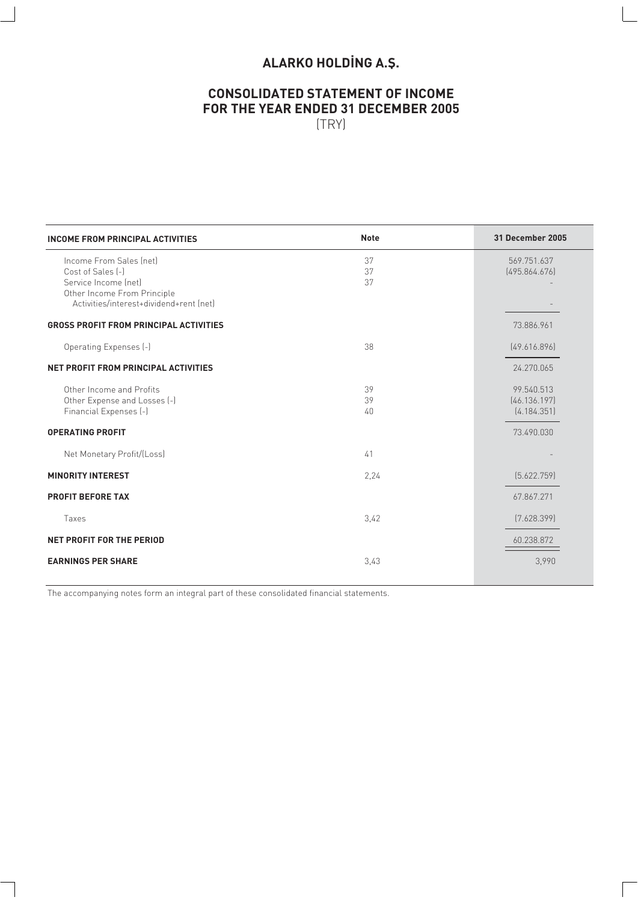# **ALARKO HOLDING A.Ş.**

### **CONSOLIDATED STATEMENT OF INCOME FOR THE YEAR ENDED 31 DECEMBER 2005** (TRY)

| <b>INCOME FROM PRINCIPAL ACTIVITIES</b>                                                                                                        | <b>Note</b>          | <b>31 December 2005</b>                   |
|------------------------------------------------------------------------------------------------------------------------------------------------|----------------------|-------------------------------------------|
| Income From Sales (net)<br>Cost of Sales [-]<br>Service Income (net)<br>Other Income From Principle<br>Activities/interest+dividend+rent (net) | 37<br>37<br>37       | 569.751.637<br>[495.864.676]              |
| <b>GROSS PROFIT FROM PRINCIPAL ACTIVITIES</b>                                                                                                  |                      | 73.886.961                                |
| Operating Expenses (-)                                                                                                                         | 38                   | [49.616.896]                              |
| NET PROFIT FROM PRINCIPAL ACTIVITIES                                                                                                           |                      | 24.270.065                                |
| Other Income and Profits<br>Other Expense and Losses (-)<br>Financial Expenses (-)                                                             | 39<br>39<br>$40^{1}$ | 99.540.513<br>[46.136.197]<br>[4.184.351] |
| <b>OPERATING PROFIT</b>                                                                                                                        |                      | 73.490.030                                |
| Net Monetary Profit/(Loss)                                                                                                                     | 41                   |                                           |
| <b>MINORITY INTEREST</b>                                                                                                                       | 2,24                 | [5.622.759]                               |
| <b>PROFIT BEFORE TAX</b>                                                                                                                       |                      | 67.867.271                                |
| Taxes                                                                                                                                          | 3,42                 | [7.628.399]                               |
| NET PROFIT FOR THE PERIOD                                                                                                                      |                      | 60.238.872                                |
| <b>EARNINGS PER SHARE</b>                                                                                                                      | 3,43                 | 3,990                                     |

The accompanying notes form an integral part of these consolidated financial statements.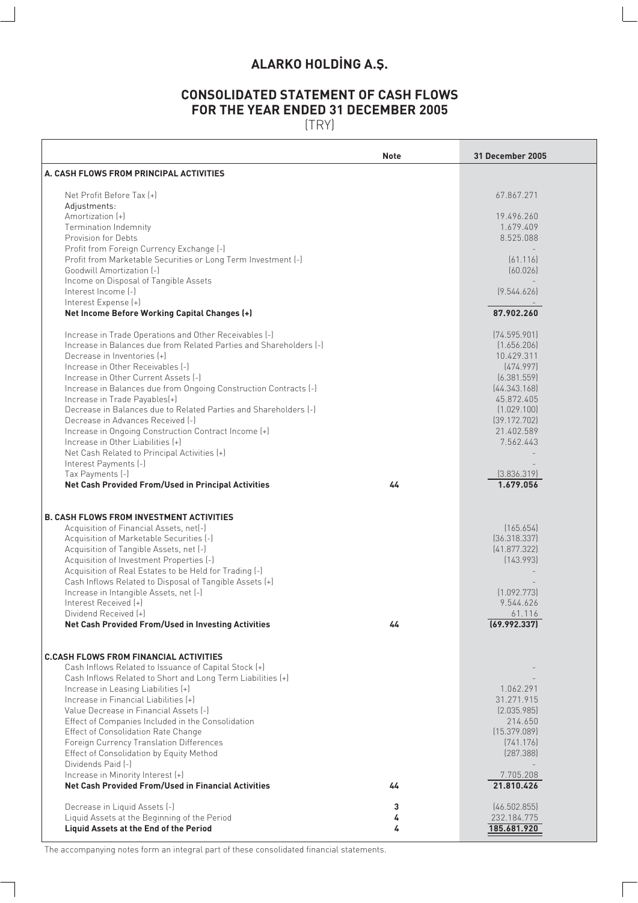# **ALARKO HOLDING A.S.**

# **CONSOLIDATED STATEMENT OF CASH FLOWS FOR THE YEAR ENDED 31 DECEMBER 2005**

(TRY)

 $\sqrt{ }$ 

|                                                                                                   | <b>Note</b> | <b>31 December 2005</b>    |
|---------------------------------------------------------------------------------------------------|-------------|----------------------------|
| A. CASH FLOWS FROM PRINCIPAL ACTIVITIES                                                           |             |                            |
| Net Profit Before Tax [+]                                                                         |             | 67.867.271                 |
| Adjustments:                                                                                      |             |                            |
| Amortization (+)<br><b>Termination Indemnity</b>                                                  |             | 19.496.260<br>1.679.409    |
| <b>Provision for Debts</b>                                                                        |             | 8.525.088                  |
| Profit from Foreign Currency Exchange [-]                                                         |             |                            |
| Profit from Marketable Securities or Long Term Investment [-]                                     |             | [61.116]                   |
| Goodwill Amortization [-]                                                                         |             | [60.026]                   |
| Income on Disposal of Tangible Assets                                                             |             |                            |
| Interest Income [-]                                                                               |             | (9.544.626)                |
| Interest Expense (+)                                                                              |             |                            |
| Net Income Before Working Capital Changes (+)                                                     |             | 87.902.260                 |
| Increase in Trade Operations and Other Receivables [-]                                            |             | (74.595.901)               |
| Increase in Balances due from Related Parties and Shareholders [-]                                |             | (1.656.206)                |
| Decrease in Inventories [+]                                                                       |             | 10.429.311                 |
| Increase in Other Receivables [-]                                                                 |             | [474.997]                  |
| Increase in Other Current Assets [-]                                                              |             | [6.381.559]                |
| Increase in Balances due from Ongoing Construction Contracts [-]                                  |             | [44.343.168]<br>45.872.405 |
| Increase in Trade Payables(+)<br>Decrease in Balances due to Related Parties and Shareholders [-] |             | (1.029.100)                |
| Decrease in Advances Received [-]                                                                 |             | [39.172.702]               |
| Increase in Ongoing Construction Contract Income [+]                                              |             | 21.402.589                 |
| Increase in Other Liabilities [+]                                                                 |             | 7.562.443                  |
| Net Cash Related to Principal Activities [+]                                                      |             |                            |
| Interest Payments [-]                                                                             |             |                            |
| Tax Payments (-)                                                                                  |             | [3.836.319]                |
| Net Cash Provided From/Used in Principal Activities                                               | 44          | 1.679.056                  |
| <b>B. CASH FLOWS FROM INVESTMENT ACTIVITIES</b>                                                   |             |                            |
| Acquisition of Financial Assets, net[-]                                                           |             | (165.654)                  |
| Acquisition of Marketable Securities [-]                                                          |             | (36.318.337)               |
| Acquisition of Tangible Assets, net [-]                                                           |             | (41.877.322)               |
| Acquisition of Investment Properties (-)                                                          |             | (143.993)                  |
| Acquisition of Real Estates to be Held for Trading (-)                                            |             |                            |
| Cash Inflows Related to Disposal of Tangible Assets [+]                                           |             |                            |
| Increase in Intangible Assets, net [-]                                                            |             | (1.092.773)                |
| Interest Received [+]                                                                             |             | 9.544.626                  |
| Dividend Received [+]<br>Net Cash Provided From/Used in Investing Activities                      | 44          | 61.116<br>(69.992.337)     |
|                                                                                                   |             |                            |
| <b>C.CASH FLOWS FROM FINANCIAL ACTIVITIES</b>                                                     |             |                            |
| Cash Inflows Related to Issuance of Capital Stock [+]                                             |             |                            |
| Cash Inflows Related to Short and Long Term Liabilities (+)                                       |             |                            |
| Increase in Leasing Liabilities (+)                                                               |             | 1.062.291                  |
| Increase in Financial Liabilities [+]                                                             |             | 31.271.915                 |
| Value Decrease in Financial Assets [-]                                                            |             | [2.035.985]                |
| Effect of Companies Included in the Consolidation<br>Effect of Consolidation Rate Change          |             | 214.650<br>(15.379.089)    |
| Foreign Currency Translation Differences                                                          |             | [741.176]                  |
| Effect of Consolidation by Equity Method                                                          |             | [287.388]                  |
| Dividends Paid [-]                                                                                |             |                            |
| Increase in Minority Interest [+]                                                                 |             | 7.705.208                  |
| <b>Net Cash Provided From/Used in Financial Activities</b>                                        | 44          | 21.810.426                 |
| Decrease in Liquid Assets (-)                                                                     | 3           | [46.502.855]               |
| Liquid Assets at the Beginning of the Period                                                      | 4           | 232.184.775                |
| Liquid Assets at the End of the Period                                                            | 4           | 185.681.920                |
|                                                                                                   |             |                            |

The accompanying notes form an integral part of these consolidated financial statements.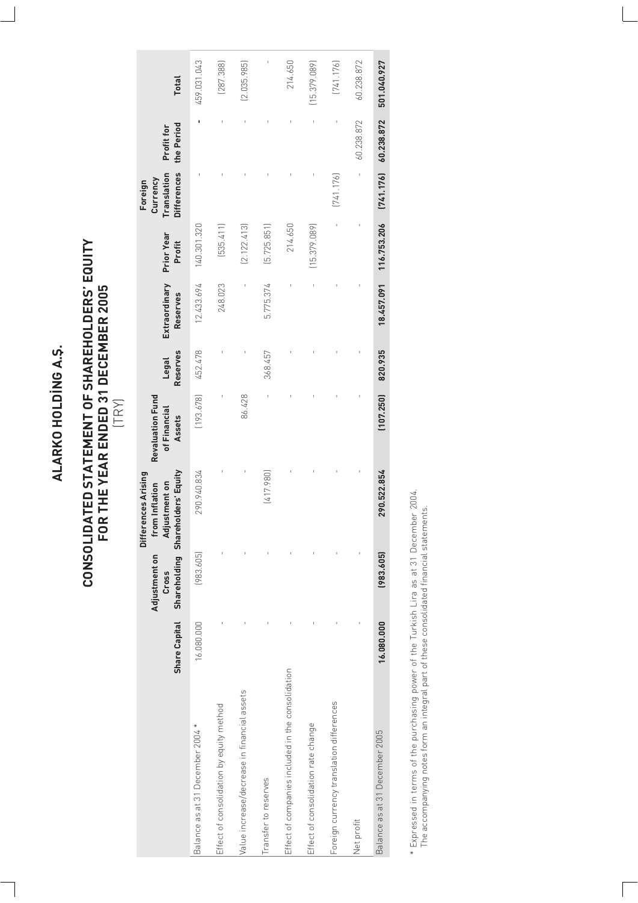# ALARKO HOLDING A.S. **ALARKO HOLD‹NG A.fi.**

# **CONSOLIDATED STATEMENT OF SHAREHOLDERS' EQUITY FOR THE YEAR ENDED 31 DECEMBER 2005** CONSOLIDATED STATEMENT OF SHAREHOLDERS' EQUITY<br>FOR THE YEAR ENDED 31 DECEMBER 2005<br> $(\top \mathsf{R})$

|                                                   | <b>Share Capital</b> | Adjustment on<br>Cross | Shareholding Shareholders' Equity<br>Differences Arising<br>Adjustment on<br>om Inflation | <b>Revaluation Fund</b><br>of Financial<br>Assets | <b>Reserves</b><br>Legal | Extraordinary<br><b>Reserves</b> | <b>Prior Year</b><br>Profit | Translation<br><b>Differences</b><br>Currency<br>Foreign | the Period<br>Profit for | <b>Total</b> |
|---------------------------------------------------|----------------------|------------------------|-------------------------------------------------------------------------------------------|---------------------------------------------------|--------------------------|----------------------------------|-----------------------------|----------------------------------------------------------|--------------------------|--------------|
| Balance as at 31 December 2004 *                  | 16.080.000           | (983.605)              | 290.940.834                                                                               | (193.678)                                         | 452.478                  | 12.433.694                       | 140.301.320                 |                                                          |                          | 459.031.043  |
| Effect of consolidation by equity method          |                      |                        |                                                                                           |                                                   |                          | 248.023                          | [535.411]                   |                                                          |                          | (287.388)    |
| Value increase/decrease in financial assets       |                      |                        |                                                                                           | 86.428                                            |                          |                                  | (2.122.413)                 |                                                          |                          | (2.035.985)  |
| Transfer to reserves                              |                      |                        | (417.980)                                                                                 |                                                   | 368.457                  | 5.775.374                        | [5.725.851]                 |                                                          |                          |              |
| Effect of companies included in the consolidation |                      |                        |                                                                                           |                                                   |                          |                                  | 214.650                     |                                                          |                          | 214.650      |
| Effect of consolidation rate change               |                      |                        |                                                                                           |                                                   |                          |                                  | (15.379.089)                |                                                          |                          | (15.379.089) |
| Foreign currency translation differences          |                      |                        |                                                                                           |                                                   |                          |                                  |                             | [741.176]                                                |                          | [741.176]    |
| Net profit                                        |                      |                        |                                                                                           |                                                   |                          |                                  |                             |                                                          | 60.238.872               | 60.238.872   |
| Balance as at 31 December 2005                    | 16.080.000           | (983.605)              | 290.522.854                                                                               | (107.250)                                         | 820.935                  | 18.457.091                       | 116.753.206                 | [741.176]                                                | 60.238.872               | 501.040.927  |

\* Expressed in terms of the purchasing power of the Turkish Lira as at 31 December 2004.<br>The accompanying notes form an integral part of these consolidated financial statements. \* Expressed in terms of the purchasing power of the Turkish Lira as at 31 December 2004. The accompanying notes form an integral part of these consolidated financial statements.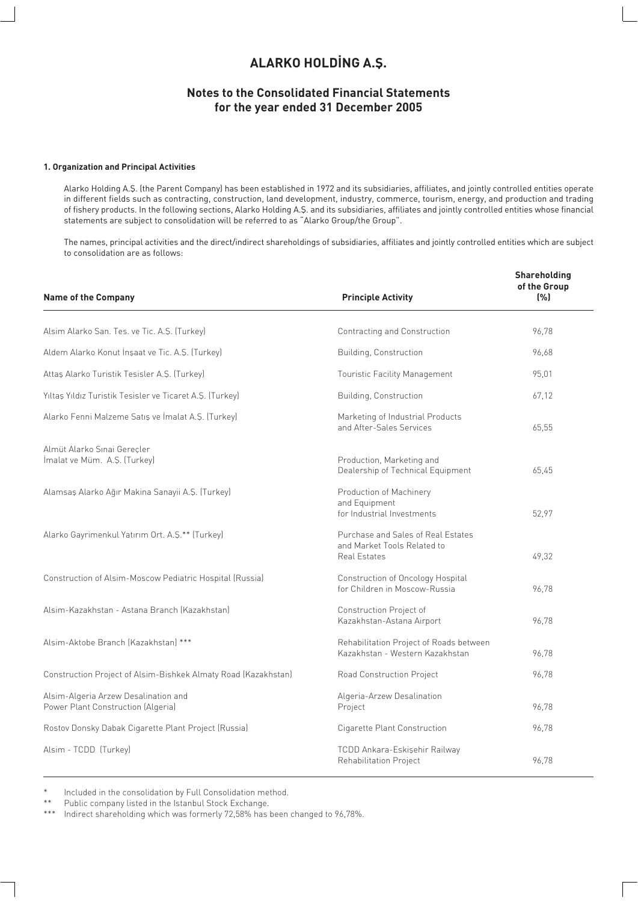# **ALARKO HOLDING A.S.**

#### **Notes to the Consolidated Financial Statements for the year ended 31 December 2005**

#### **1. Organization and Principal Activities**

Alarko Holding A.fi. (the Parent Company) has been established in 1972 and its subsidiaries, affiliates, and jointly controlled entities operate in different fields such as contracting, construction, land development, industry, commerce, tourism, energy, and production and trading of fishery products. In the following sections, Alarko Holding A.fi. and its subsidiaries, affiliates and jointly controlled entities whose financial statements are subject to consolidation will be referred to as "Alarko Group/the Group".

The names, principal activities and the direct/indirect shareholdings of subsidiaries, affiliates and jointly controlled entities which are subject to consolidation are as follows:

| <b>Name of the Company</b>                                                 | <b>Principle Activity</b>                                                                | Shareholding<br>of the Group<br>(% ) |
|----------------------------------------------------------------------------|------------------------------------------------------------------------------------------|--------------------------------------|
| Alsim Alarko San. Tes. ve Tic. A.S. (Turkey)                               | Contracting and Construction                                                             | 96.78                                |
| Aldem Alarko Konut İnşaat ve Tic. A.Ş. (Turkey)                            | Building, Construction                                                                   | 96,68                                |
| Attas Alarko Turistik Tesisler A.S. (Turkey)                               | <b>Touristic Facility Management</b>                                                     | 95,01                                |
| Yıltaş Yıldız Turistik Tesisler ve Ticaret A.Ş. (Turkey)                   | Building, Construction                                                                   | 67.12                                |
| Alarko Fenni Malzeme Satış ve İmalat A.Ş. (Turkey)                         | Marketing of Industrial Products<br>and After-Sales Services                             | 65,55                                |
| Almüt Alarko Sınai Gerecler<br>İmalat ve Müm. A.Ş. (Turkey)                | Production, Marketing and<br>Dealership of Technical Equipment                           | 65,45                                |
| Alamsaş Alarko Ağır Makina Sanayii A.Ş. (Turkey)                           | Production of Machinery<br>and Equipment<br>for Industrial Investments                   | 52,97                                |
| Alarko Gayrimenkul Yatırım Ort. A.Ş.** (Turkey)                            | Purchase and Sales of Real Estates<br>and Market Tools Related to<br><b>Real Estates</b> | 49,32                                |
| Construction of Alsim-Moscow Pediatric Hospital (Russia)                   | Construction of Oncology Hospital<br>for Children in Moscow-Russia                       | 96.78                                |
| Alsim-Kazakhstan - Astana Branch (Kazakhstan)                              | Construction Project of<br>Kazakhstan-Astana Airport                                     | 96,78                                |
| Alsim-Aktobe Branch (Kazakhstan) ***                                       | Rehabilitation Project of Roads between<br>Kazakhstan - Western Kazakhstan               | 96,78                                |
| Construction Project of Alsim-Bishkek Almaty Road (Kazakhstan)             | Road Construction Project                                                                | 96,78                                |
| Alsim-Algeria Arzew Desalination and<br>Power Plant Construction (Algeria) | Algeria-Arzew Desalination<br>Project                                                    | 96,78                                |
| Rostov Donsky Dabak Cigarette Plant Project (Russia)                       | Cigarette Plant Construction                                                             | 96,78                                |
| Alsim - TCDD (Turkey)                                                      | TCDD Ankara-Eskişehir Railway<br>Rehabilitation Project                                  | 96,78                                |

\* Included in the consolidation by Full Consolidation method.<br>\*\* Public company listed in the Istanbul Steek Exchange

\*\* Public company listed in the Istanbul Stock Exchange.<br>\*\*\* Indirect shareholding which was formerly 72.58% has

Indirect shareholding which was formerly 72,58% has been changed to 96,78%.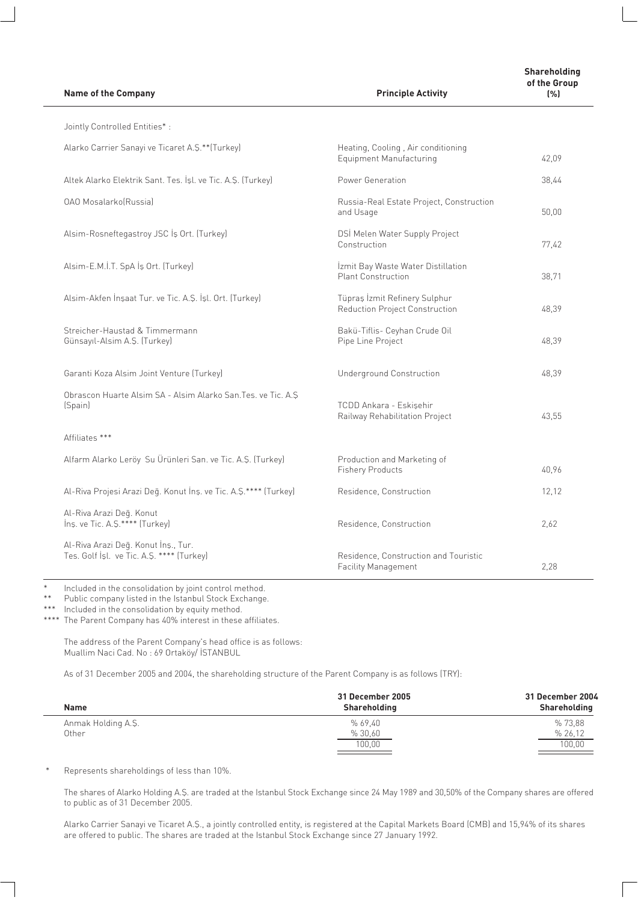**Name of the Company** *Principle Activity**Principle Activity* 

| Jointly Controlled Entities*:                                                    |                                                                      |       |
|----------------------------------------------------------------------------------|----------------------------------------------------------------------|-------|
| Alarko Carrier Sanayi ve Ticaret A.S.**(Turkey)                                  | Heating, Cooling, Air conditioning<br><b>Equipment Manufacturing</b> | 42,09 |
| Altek Alarko Elektrik Sant. Tes. İşl. ve Tic. A.Ş. (Turkey)                      | Power Generation                                                     | 38,44 |
| <b>OAO MosalarkolRussial</b>                                                     | Russia-Real Estate Project, Construction<br>and Usage                | 50,00 |
| Alsim-Rosneftegastroy JSC İş Ort. (Turkey)                                       | DSİ Melen Water Supply Project<br>Construction                       | 77,42 |
| Alsim-E.M.İ.T. SpA İş Ort. (Turkey)                                              | İzmit Bay Waste Water Distillation<br><b>Plant Construction</b>      | 38,71 |
| Alsim-Akfen İnşaat Tur. ve Tic. A.Ş. İşl. Ort. (Turkey)                          | Tüpraş İzmit Refinery Sulphur<br>Reduction Project Construction      | 48,39 |
| Streicher-Haustad & Timmermann<br>Günsayıl-Alsim A.Ş. (Turkey)                   | Bakü-Tiflis- Ceyhan Crude Oil<br>Pipe Line Project                   | 48,39 |
| Garanti Koza Alsim Joint Venture (Turkey)                                        | <b>Underground Construction</b>                                      | 48,39 |
| Obrascon Huarte Alsim SA - Alsim Alarko San. Tes. ve Tic. A.S<br>(Spain)         | TCDD Ankara - Eskisehir<br>Railway Rehabilitation Project            | 43,55 |
| Affiliates ***                                                                   |                                                                      |       |
| Alfarm Alarko Leröy Su Ürünleri San. ve Tic. A.Ş. (Turkey)                       | Production and Marketing of<br><b>Fishery Products</b>               | 40,96 |
| Al-Riva Projesi Arazi Değ. Konut İnş. ve Tic. A.Ş.**** (Turkey)                  | Residence, Construction                                              | 12,12 |
| Al-Riva Arazi Değ. Konut<br>Ins. ve Tic. A.S.**** (Turkey)                       | Residence, Construction                                              | 2,62  |
| Al-Riva Arazi Değ. Konut İnş., Tur.<br>Tes. Golf İşl. ve Tic. A.Ş. **** (Turkey) | Residence, Construction and Touristic<br>Facility Management         | 2,28  |

\* Included in the consolidation by joint control method.

Public company listed in the Istanbul Stock Exchange.

\*\*\* Included in the consolidation by equity method.

\*\*\*\* The Parent Company has 40% interest in these affiliates.

The address of the Parent Company's head office is as follows: Muallim Naci Cad. No : 69 Ortaköy/ İSTANBUL

As of 31 December 2005 and 2004, the shareholding structure of the Parent Company is as follows (TRY):

| <b>Name</b>        | 31 December 2005<br>Shareholding | 31 December 2004<br>Shareholding |
|--------------------|----------------------------------|----------------------------------|
| Anmak Holding A.Ş. | %69.40                           | %73.88                           |
| Other              | % 30,60                          | % 26.12                          |
|                    | 100.00                           | 100,00                           |

Represents shareholdings of less than 10%.

The shares of Alarko Holding A.S. are traded at the Istanbul Stock Exchange since 24 May 1989 and 30,50% of the Company shares are offered to public as of 31 December 2005.

Alarko Carrier Sanayi ve Ticaret A.S., a jointly controlled entity, is registered at the Capital Markets Board (CMB) and 15,94% of its shares are offered to public. The shares are traded at the Istanbul Stock Exchange since 27 January 1992.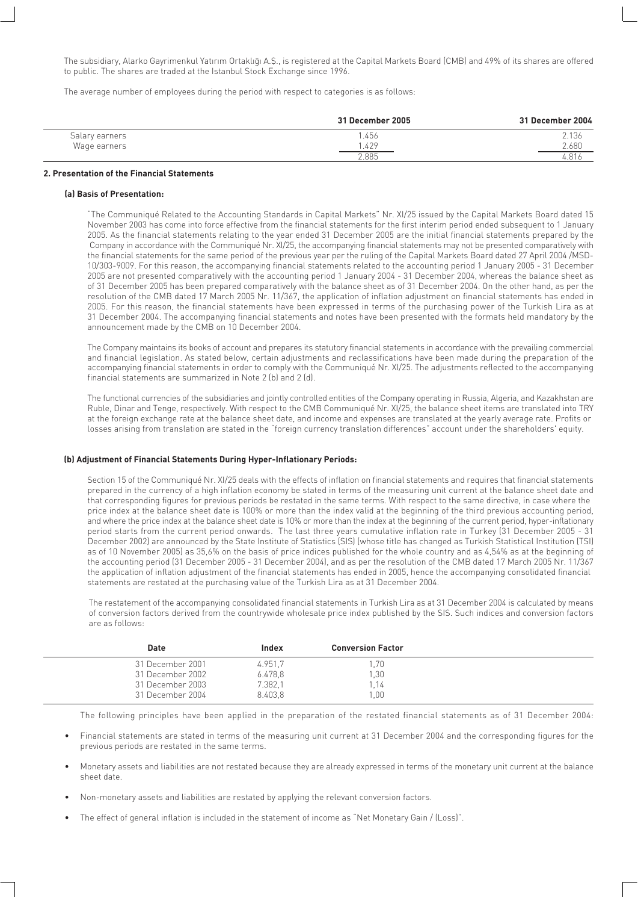The subsidiary, Alarko Gayrimenkul Yatırım Ortaklığı A.Ş., is registered at the Capital Markets Board (CMB) and 49% of its shares are offered to public. The shares are traded at the Istanbul Stock Exchange since 1996.

The average number of employees during the period with respect to categories is as follows:

|                | 31 December 2005 | 31 December 2004   |
|----------------|------------------|--------------------|
| Salary earners | .456             | 2.136              |
| Wage earners   | .429             | 2.680              |
|                | .885             | $^{\circ}$<br>.OIC |

#### **2. Presentation of the Financial Statements**

#### **(a) Basis of Presentation:**

"The Communiqué Related to the Accounting Standards in Capital Markets" Nr. XI/25 issued by the Capital Markets Board dated 15 November 2003 has come into force effective from the financial statements for the first interim period ended subsequent to 1 January 2005. As the financial statements relating to the year ended 31 December 2005 are the initial financial statements prepared by the Company in accordance with the Communiqué Nr. XI/25, the accompanying financial statements may not be presented comparatively with the financial statements for the same period of the previous year per the ruling of the Capital Markets Board dated 27 April 2004 /MSD-10/303-9009. For this reason, the accompanying financial statements related to the accounting period 1 January 2005 - 31 December 2005 are not presented comparatively with the accounting period 1 January 2004 - 31 December 2004, whereas the balance sheet as of 31 December 2005 has been prepared comparatively with the balance sheet as of 31 December 2004. On the other hand, as per the resolution of the CMB dated 17 March 2005 Nr. 11/367, the application of inflation adjustment on financial statements has ended in 2005. For this reason, the financial statements have been expressed in terms of the purchasing power of the Turkish Lira as at 31 December 2004. The accompanying financial statements and notes have been presented with the formats held mandatory by the announcement made by the CMB on 10 December 2004.

The Company maintains its books of account and prepares its statutory financial statements in accordance with the prevailing commercial and financial legislation. As stated below, certain adjustments and reclassifications have been made during the preparation of the accompanying financial statements in order to comply with the Communiqué Nr. XI/25. The adjustments reflected to the accompanying financial statements are summarized in Note 2 (b) and 2 (d).

The functional currencies of the subsidiaries and jointly controlled entities of the Company operating in Russia, Algeria, and Kazakhstan are Ruble, Dinar and Tenge, respectively. With respect to the CMB Communiqué Nr. XI/25, the balance sheet items are translated into TRY at the foreign exchange rate at the balance sheet date, and income and expenses are translated at the yearly average rate. Profits or losses arising from translation are stated in the "foreign currency translation differences" account under the shareholders' equity.

#### **(b) Adjustment of Financial Statements During Hyper-Inflationary Periods:**

Section 15 of the Communiqué Nr. XI/25 deals with the effects of inflation on financial statements and requires that financial statements prepared in the currency of a high inflation economy be stated in terms of the measuring unit current at the balance sheet date and that corresponding figures for previous periods be restated in the same terms. With respect to the same directive, in case where the price index at the balance sheet date is 100% or more than the index valid at the beginning of the third previous accounting period, and where the price index at the balance sheet date is 10% or more than the index at the beginning of the current period, hyper-inflationary period starts from the current period onwards. The last three years cumulative inflation rate in Turkey (31 December 2005 - 31 December 2002) are announced by the State Institute of Statistics (SIS) (whose title has changed as Turkish Statistical Institution (TSI) as of 10 November 2005) as 35,6% on the basis of price indices published for the whole country and as 4,54% as at the beginning of the accounting period (31 December 2005 - 31 December 2004), and as per the resolution of the CMB dated 17 March 2005 Nr. 11/367 the application of inflation adjustment of the financial statements has ended in 2005, hence the accompanying consolidated financial statements are restated at the purchasing value of the Turkish Lira as at 31 December 2004.

The restatement of the accompanying consolidated financial statements in Turkish Lira as at 31 December 2004 is calculated by means of conversion factors derived from the countrywide wholesale price index published by the SIS. Such indices and conversion factors are as follows:

| Date             | Index   | <b>Conversion Factor</b> |  |
|------------------|---------|--------------------------|--|
| 31 December 2001 | 4.951.7 | .70                      |  |
| 31 December 2002 | 6.478,8 | ,30                      |  |
| 31 December 2003 | 7.382,1 | .14                      |  |
| 31 December 2004 | 8.403,8 | .00                      |  |

The following principles have been applied in the preparation of the restated financial statements as of 31 December 2004:

- Financial statements are stated in terms of the measuring unit current at 31 December 2004 and the corresponding figures for the previous periods are restated in the same terms.
- Monetary assets and liabilities are not restated because they are already expressed in terms of the monetary unit current at the balance sheet date.
- Non-monetary assets and liabilities are restated by applying the relevant conversion factors.
- The effect of general inflation is included in the statement of income as "Net Monetary Gain / (Loss)".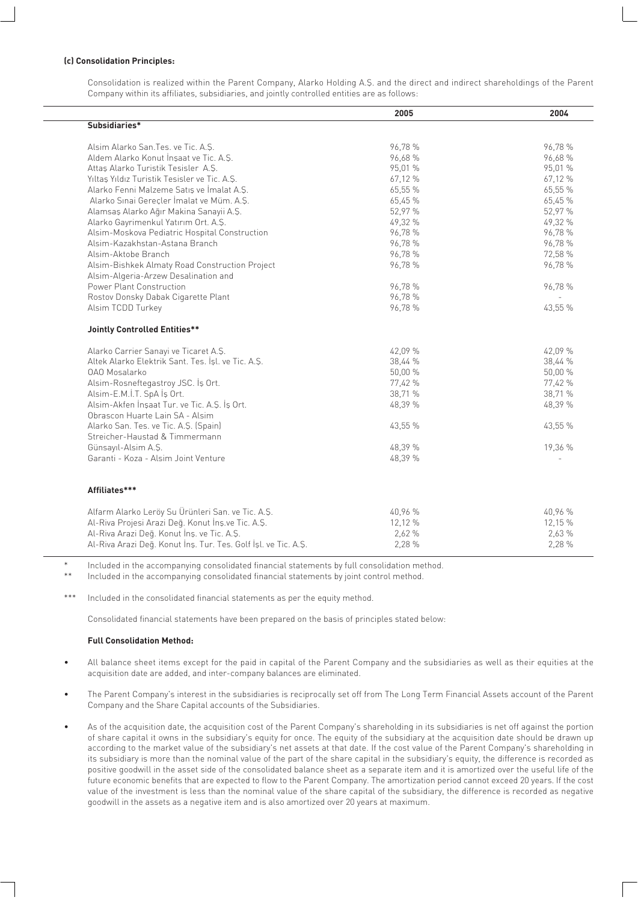#### **(c) Consolidation Principles:**

Consolidation is realized within the Parent Company, Alarko Holding A.fi. and the direct and indirect shareholdings of the Parent Company within its affiliates, subsidiaries, and jointly controlled entities are as follows:

|                                                                | 2005    | 2004    |
|----------------------------------------------------------------|---------|---------|
| Subsidiaries*                                                  |         |         |
|                                                                |         |         |
| Alsim Alarko San. Tes. ve Tic. A.S.                            | 96,78 % | 96,78 % |
| Aldem Alarko Konut İnşaat ve Tic. A.Ş.                         | 96,68%  | 96,68%  |
| Attas Alarko Turistik Tesisler A.S.                            | 95,01 % | 95,01 % |
| Yıltaş Yıldız Turistik Tesisler ve Tic. A.Ş.                   | 67,12 % | 67,12 % |
| Alarko Fenni Malzeme Satış ve İmalat A.Ş.                      | 65,55 % | 65,55 % |
| Alarko Sınai Gereçler İmalat ve Müm. A.Ş.                      | 65,45 % | 65,45 % |
| Alamsaş Alarko Ağır Makina Sanayii A.Ş.                        | 52,97 % | 52,97 % |
| Alarko Gayrimenkul Yatırım Ort. A.Ş.                           | 49,32 % | 49,32 % |
| Alsim-Moskova Pediatric Hospital Construction                  | 96,78 % | 96,78 % |
| Alsim-Kazakhstan-Astana Branch                                 | 96,78 % | 96,78 % |
| Alsim-Aktobe Branch                                            | 96,78 % | 72,58 % |
| Alsim-Bishkek Almaty Road Construction Project                 | 96,78 % | 96,78 % |
| Alsim-Algeria-Arzew Desalination and                           |         |         |
| Power Plant Construction                                       | 96,78 % | 96,78 % |
| Rostov Donsky Dabak Cigarette Plant                            | 96,78 % |         |
| Alsim TCDD Turkey                                              | 96,78 % | 43,55 % |
| <b>Jointly Controlled Entities**</b>                           |         |         |
|                                                                |         |         |
| Alarko Carrier Sanayi ve Ticaret A.S.                          | 42,09 % | 42,09 % |
| Altek Alarko Elektrik Sant. Tes. İşl. ve Tic. A.Ş.             | 38,44 % | 38,44 % |
| 0A0 Mosalarko                                                  | 50,00 % | 50,00 % |
| Alsim-Rosneftegastroy JSC. İş Ort.                             | 77,42 % | 77,42 % |
| Alsim-E.M.İ.T. SpA İş Ort.                                     | 38,71 % | 38,71 % |
| Alsim-Akfen Insaat Tur. ve Tic. A.S. Is Ort.                   | 48,39 % | 48,39 % |
| Obrascon Huarte Lain SA - Alsim                                |         |         |
| Alarko San. Tes. ve Tic. A.Ş. (Spain)                          | 43,55 % | 43,55 % |
| Streicher-Haustad & Timmermann                                 |         |         |
| Günsayıl-Alsim A.S.                                            | 48,39 % | 19,36 % |
| Garanti - Koza - Alsim Joint Venture                           | 48,39 % |         |
|                                                                |         |         |
| Affiliates***                                                  |         |         |
| Alfarm Alarko Leröy Su Ürünleri San. ve Tic. A.Ş.              | 40,96 % | 40,96 % |
| Al-Riva Projesi Arazi Deq. Konut İnş.ve Tic. A.Ş.              | 12,12 % | 12,15 % |
| Al-Riva Arazi Değ. Konut İnş. ve Tic. A.Ş.                     | 2,62 %  | 2,63 %  |
| Al-Riva Arazi Değ. Konut İnş. Tur. Tes. Golf İşl. ve Tic. A.Ş. | 2,28 %  | 2,28 %  |
|                                                                |         |         |

Included in the accompanying consolidated financial statements by full consolidation method.

Included in the accompanying consolidated financial statements by joint control method.

\*\*\* Included in the consolidated financial statements as per the equity method.

Consolidated financial statements have been prepared on the basis of principles stated below:

#### **Full Consolidation Method:**

- All balance sheet items except for the paid in capital of the Parent Company and the subsidiaries as well as their equities at the acquisition date are added, and inter-company balances are eliminated.
- The Parent Company's interest in the subsidiaries is reciprocally set off from The Long Term Financial Assets account of the Parent Company and the Share Capital accounts of the Subsidiaries.
- As of the acquisition date, the acquisition cost of the Parent Company's shareholding in its subsidiaries is net off against the portion of share capital it owns in the subsidiary's equity for once. The equity of the subsidiary at the acquisition date should be drawn up according to the market value of the subsidiary's net assets at that date. If the cost value of the Parent Company's shareholding in its subsidiary is more than the nominal value of the part of the share capital in the subsidiary's equity, the difference is recorded as positive goodwill in the asset side of the consolidated balance sheet as a separate item and it is amortized over the useful life of the future economic benefits that are expected to flow to the Parent Company. The amortization period cannot exceed 20 years. If the cost value of the investment is less than the nominal value of the share capital of the subsidiary, the difference is recorded as negative goodwill in the assets as a negative item and is also amortized over 20 years at maximum.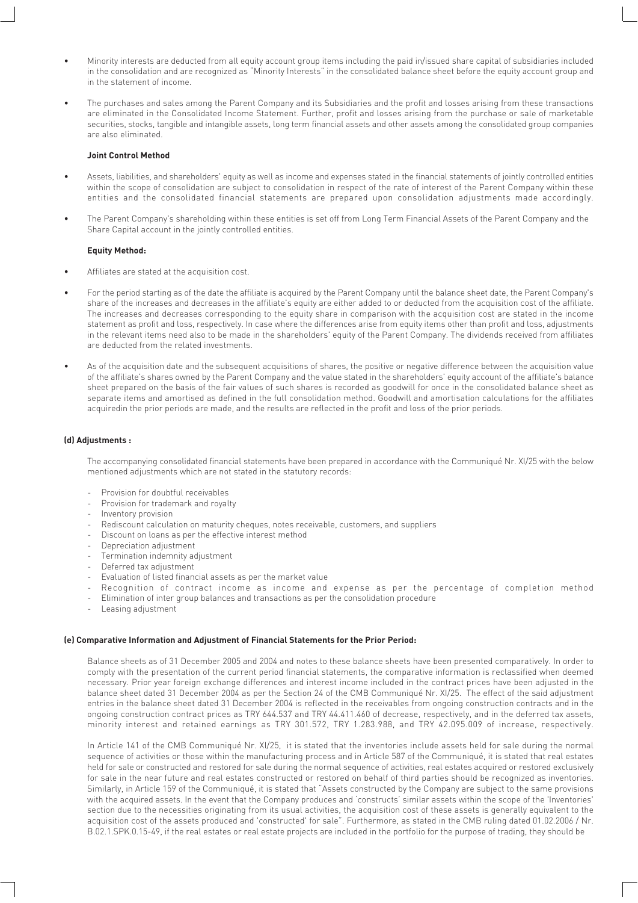- Minority interests are deducted from all equity account group items including the paid in/issued share capital of subsidiaries included in the consolidation and are recognized as "Minority Interests" in the consolidated balance sheet before the equity account group and in the statement of income.
- The purchases and sales among the Parent Company and its Subsidiaries and the profit and losses arising from these transactions are eliminated in the Consolidated Income Statement. Further, profit and losses arising from the purchase or sale of marketable securities, stocks, tangible and intangible assets, long term financial assets and other assets among the consolidated group companies are also eliminated.

#### **Joint Control Method**

- Assets, liabilities, and shareholders' equity as well as income and expenses stated in the financial statements of jointly controlled entities within the scope of consolidation are subject to consolidation in respect of the rate of interest of the Parent Company within these entities and the consolidated financial statements are prepared upon consolidation adjustments made accordingly.
- The Parent Company's shareholding within these entities is set off from Long Term Financial Assets of the Parent Company and the Share Capital account in the jointly controlled entities.

#### **Equity Method:**

- Affiliates are stated at the acquisition cost.
- For the period starting as of the date the affiliate is acquired by the Parent Company until the balance sheet date, the Parent Company's share of the increases and decreases in the affiliate's equity are either added to or deducted from the acquisition cost of the affiliate. The increases and decreases corresponding to the equity share in comparison with the acquisition cost are stated in the income statement as profit and loss, respectively. In case where the differences arise from equity items other than profit and loss, adjustments in the relevant items need also to be made in the shareholders' equity of the Parent Company. The dividends received from affiliates are deducted from the related investments.
- As of the acquisition date and the subsequent acquisitions of shares, the positive or negative difference between the acquisition value of the affiliate's shares owned by the Parent Company and the value stated in the shareholders' equity account of the affiliate's balance sheet prepared on the basis of the fair values of such shares is recorded as goodwill for once in the consolidated balance sheet as separate items and amortised as defined in the full consolidation method. Goodwill and amortisation calculations for the affiliates acquiredin the prior periods are made, and the results are reflected in the profit and loss of the prior periods.

#### **(d) Adjustments :**

The accompanying consolidated financial statements have been prepared in accordance with the Communiqué Nr. XI/25 with the below mentioned adjustments which are not stated in the statutory records:

- Provision for doubtful receivables
- Provision for trademark and royalty
- Inventory provision
- Rediscount calculation on maturity cheques, notes receivable, customers, and suppliers
- Discount on loans as per the effective interest method
- Depreciation adjustment
- Termination indemnity adjustment
- Deferred tax adjustment
- Evaluation of listed financial assets as per the market value
- Recognition of contract income as income and expense as per the percentage of completion method
- Elimination of inter group balances and transactions as per the consolidation procedure
- Leasing adjustment

#### **(e) Comparative Information and Adjustment of Financial Statements for the Prior Period:**

Balance sheets as of 31 December 2005 and 2004 and notes to these balance sheets have been presented comparatively. In order to comply with the presentation of the current period financial statements, the comparative information is reclassified when deemed necessary. Prior year foreign exchange differences and interest income included in the contract prices have been adjusted in the balance sheet dated 31 December 2004 as per the Section 24 of the CMB Communiqué Nr. XI/25. The effect of the said adjustment entries in the balance sheet dated 31 December 2004 is reflected in the receivables from ongoing construction contracts and in the ongoing construction contract prices as TRY 644.537 and TRY 44.411.460 of decrease, respectively, and in the deferred tax assets, minority interest and retained earnings as TRY 301.572, TRY 1.283.988, and TRY 42.095.009 of increase, respectively.

In Article 141 of the CMB Communiqué Nr. XI/25, it is stated that the inventories include assets held for sale during the normal sequence of activities or those within the manufacturing process and in Article 587 of the Communiqué, it is stated that real estates held for sale or constructed and restored for sale during the normal sequence of activities, real estates acquired or restored exclusively for sale in the near future and real estates constructed or restored on behalf of third parties should be recognized as inventories. Similarly, in Article 159 of the Communiqué, it is stated that "Assets constructed by the Company are subject to the same provisions with the acquired assets. In the event that the Company produces and 'constructs' similar assets within the scope of the 'Inventories' section due to the necessities originating from its usual activities, the acquisition cost of these assets is generally equivalent to the acquisition cost of the assets produced and 'constructed' for sale". Furthermore, as stated in the CMB ruling dated 01.02.2006 / Nr. B.02.1.SPK.0.15-49, if the real estates or real estate projects are included in the portfolio for the purpose of trading, they should be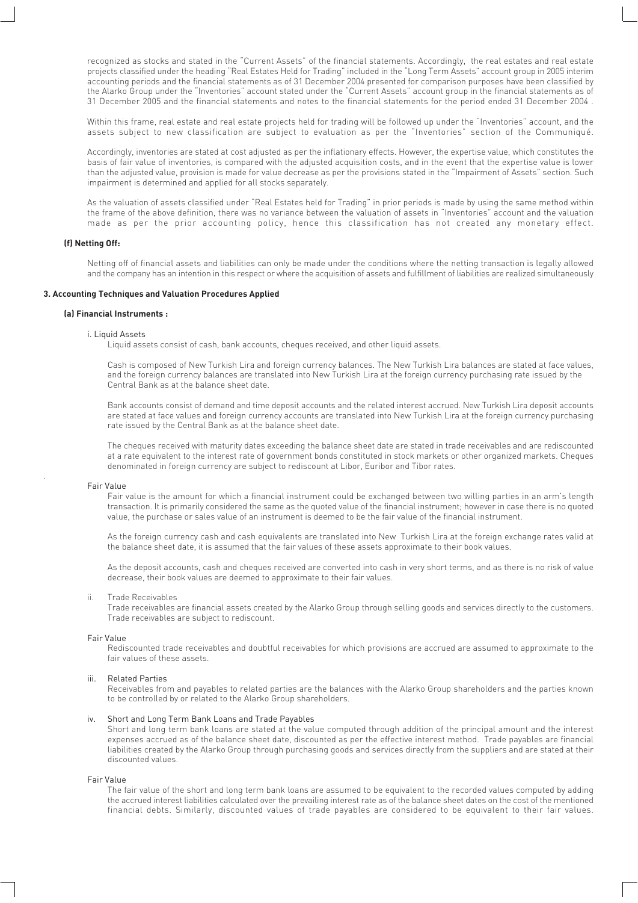recognized as stocks and stated in the "Current Assets" of the financial statements. Accordingly, the real estates and real estate projects classified under the heading "Real Estates Held for Trading" included in the "Long Term Assets" account group in 2005 interim accounting periods and the financial statements as of 31 December 2004 presented for comparison purposes have been classified by the Alarko Group under the "Inventories" account stated under the "Current Assets" account group in the financial statements as of 31 December 2005 and the financial statements and notes to the financial statements for the period ended 31 December 2004 .

Within this frame, real estate and real estate projects held for trading will be followed up under the "Inventories" account, and the assets subject to new classification are subject to evaluation as per the "Inventories" section of the Communiqué.

Accordingly, inventories are stated at cost adjusted as per the inflationary effects. However, the expertise value, which constitutes the basis of fair value of inventories, is compared with the adjusted acquisition costs, and in the event that the expertise value is lower than the adjusted value, provision is made for value decrease as per the provisions stated in the "Impairment of Assets" section. Such impairment is determined and applied for all stocks separately.

As the valuation of assets classified under "Real Estates held for Trading" in prior periods is made by using the same method within the frame of the above definition, there was no variance between the valuation of assets in "Inventories" account and the valuation made as per the prior accounting policy, hence this classification has not created any monetary effect.

#### **(f) Netting Off:**

Netting off of financial assets and liabilities can only be made under the conditions where the netting transaction is legally allowed and the company has an intention in this respect or where the acquisition of assets and fulfillment of liabilities are realized simultaneously

#### **3. Accounting Techniques and Valuation Procedures Applied**

#### **(a) Financial Instruments :**

#### i. Liquid Assets

Liquid assets consist of cash, bank accounts, cheques received, and other liquid assets.

Cash is composed of New Turkish Lira and foreign currency balances. The New Turkish Lira balances are stated at face values, and the foreign currency balances are translated into New Turkish Lira at the foreign currency purchasing rate issued by the Central Bank as at the balance sheet date.

Bank accounts consist of demand and time deposit accounts and the related interest accrued. New Turkish Lira deposit accounts are stated at face values and foreign currency accounts are translated into New Turkish Lira at the foreign currency purchasing rate issued by the Central Bank as at the balance sheet date.

The cheques received with maturity dates exceeding the balance sheet date are stated in trade receivables and are rediscounted at a rate equivalent to the interest rate of government bonds constituted in stock markets or other organized markets. Cheques denominated in foreign currency are subject to rediscount at Libor, Euribor and Tibor rates.

#### Fair Value

.

Fair value is the amount for which a financial instrument could be exchanged between two willing parties in an arm's length transaction. It is primarily considered the same as the quoted value of the financial instrument; however in case there is no quoted value, the purchase or sales value of an instrument is deemed to be the fair value of the financial instrument.

As the foreign currency cash and cash equivalents are translated into New Turkish Lira at the foreign exchange rates valid at the balance sheet date, it is assumed that the fair values of these assets approximate to their book values.

As the deposit accounts, cash and cheques received are converted into cash in very short terms, and as there is no risk of value decrease, their book values are deemed to approximate to their fair values.

#### ii. Trade Receivables

Trade receivables are financial assets created by the Alarko Group through selling goods and services directly to the customers. Trade receivables are subject to rediscount.

#### Fair Value

Rediscounted trade receivables and doubtful receivables for which provisions are accrued are assumed to approximate to the fair values of these assets.

#### iii. Related Parties

Receivables from and payables to related parties are the balances with the Alarko Group shareholders and the parties known to be controlled by or related to the Alarko Group shareholders.

#### iv. Short and Long Term Bank Loans and Trade Payables

Short and long term bank loans are stated at the value computed through addition of the principal amount and the interest expenses accrued as of the balance sheet date, discounted as per the effective interest method. Trade payables are financial liabilities created by the Alarko Group through purchasing goods and services directly from the suppliers and are stated at their discounted values.

#### Fair Value

The fair value of the short and long term bank loans are assumed to be equivalent to the recorded values computed by adding the accrued interest liabilities calculated over the prevailing interest rate as of the balance sheet dates on the cost of the mentioned financial debts. Similarly, discounted values of trade payables are considered to be equivalent to their fair values.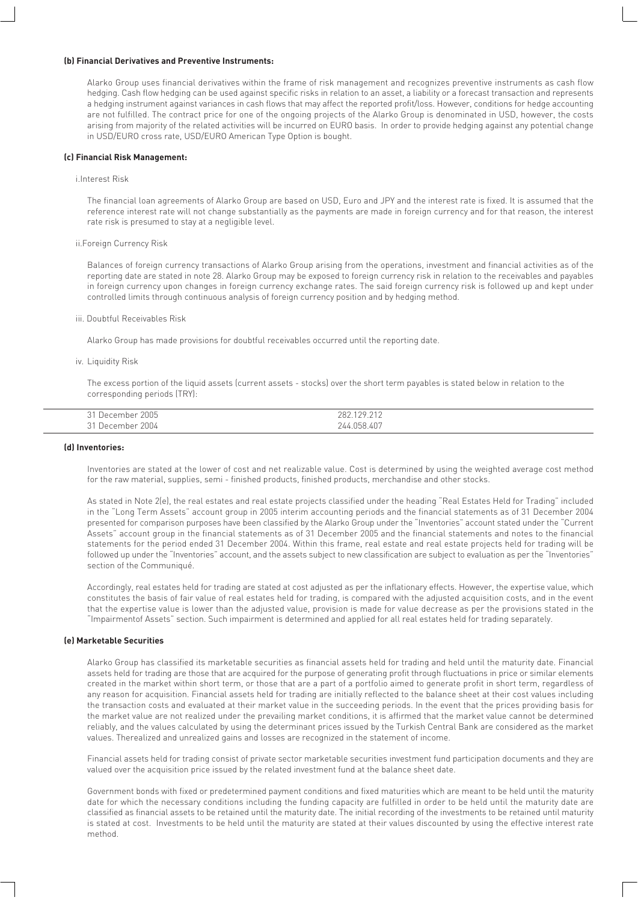#### **(b) Financial Derivatives and Preventive Instruments:**

Alarko Group uses financial derivatives within the frame of risk management and recognizes preventive instruments as cash flow hedging. Cash flow hedging can be used against specific risks in relation to an asset, a liability or a forecast transaction and represents a hedging instrument against variances in cash flows that may affect the reported profit/loss. However, conditions for hedge accounting are not fulfilled. The contract price for one of the ongoing projects of the Alarko Group is denominated in USD, however, the costs arising from majority of the related activities will be incurred on EURO basis. In order to provide hedging against any potential change in USD/EURO cross rate, USD/EURO American Type Option is bought.

#### **(c) Financial Risk Management:**

#### i.Interest Risk

The financial loan agreements of Alarko Group are based on USD, Euro and JPY and the interest rate is fixed. It is assumed that the reference interest rate will not change substantially as the payments are made in foreign currency and for that reason, the interest rate risk is presumed to stay at a negligible level.

#### ii.Foreign Currency Risk

Balances of foreign currency transactions of Alarko Group arising from the operations, investment and financial activities as of the reporting date are stated in note 28. Alarko Group may be exposed to foreign currency risk in relation to the receivables and payables in foreign currency upon changes in foreign currency exchange rates. The said foreign currency risk is followed up and kept under controlled limits through continuous analysis of foreign currency position and by hedging method.

#### iii. Doubtful Receivables Risk

Alarko Group has made provisions for doubtful receivables occurred until the reporting date.

#### iv. Liquidity Risk

The excess portion of the liquid assets (current assets - stocks) over the short term payables is stated below in relation to the corresponding periods (TRY):

| 2005<br>$\sim$ $\sim$<br>,December " | 0.000018<br>282<br>79.<br>. <i>. .</i> . <i>.</i> . <i>.</i> |  |
|--------------------------------------|--------------------------------------------------------------|--|
| 2004<br>$^{\circ}$ 1<br>llecember    | 244.058.407                                                  |  |

#### **(d) Inventories:**

Inventories are stated at the lower of cost and net realizable value. Cost is determined by using the weighted average cost method for the raw material, supplies, semi - finished products, finished products, merchandise and other stocks.

As stated in Note 2(e), the real estates and real estate projects classified under the heading "Real Estates Held for Trading" included in the "Long Term Assets" account group in 2005 interim accounting periods and the financial statements as of 31 December 2004 presented for comparison purposes have been classified by the Alarko Group under the "Inventories" account stated under the "Current Assets" account group in the financial statements as of 31 December 2005 and the financial statements and notes to the financial statements for the period ended 31 December 2004. Within this frame, real estate and real estate projects held for trading will be followed up under the "Inventories" account, and the assets subject to new classification are subject to evaluation as per the "Inventories" section of the Communiqué.

Accordingly, real estates held for trading are stated at cost adjusted as per the inflationary effects. However, the expertise value, which constitutes the basis of fair value of real estates held for trading, is compared with the adjusted acquisition costs, and in the event that the expertise value is lower than the adjusted value, provision is made for value decrease as per the provisions stated in the "Impairmentof Assets" section. Such impairment is determined and applied for all real estates held for trading separately.

#### **(e) Marketable Securities**

Alarko Group has classified its marketable securities as financial assets held for trading and held until the maturity date. Financial assets held for trading are those that are acquired for the purpose of generating profit through fluctuations in price or similar elements created in the market within short term, or those that are a part of a portfolio aimed to generate profit in short term, regardless of any reason for acquisition. Financial assets held for trading are initially reflected to the balance sheet at their cost values including the transaction costs and evaluated at their market value in the succeeding periods. In the event that the prices providing basis for the market value are not realized under the prevailing market conditions, it is affirmed that the market value cannot be determined reliably, and the values calculated by using the determinant prices issued by the Turkish Central Bank are considered as the market values. Therealized and unrealized gains and losses are recognized in the statement of income.

Financial assets held for trading consist of private sector marketable securities investment fund participation documents and they are valued over the acquisition price issued by the related investment fund at the balance sheet date.

Government bonds with fixed or predetermined payment conditions and fixed maturities which are meant to be held until the maturity date for which the necessary conditions including the funding capacity are fulfilled in order to be held until the maturity date are classified as financial assets to be retained until the maturity date. The initial recording of the investments to be retained until maturity is stated at cost. Investments to be held until the maturity are stated at their values discounted by using the effective interest rate method.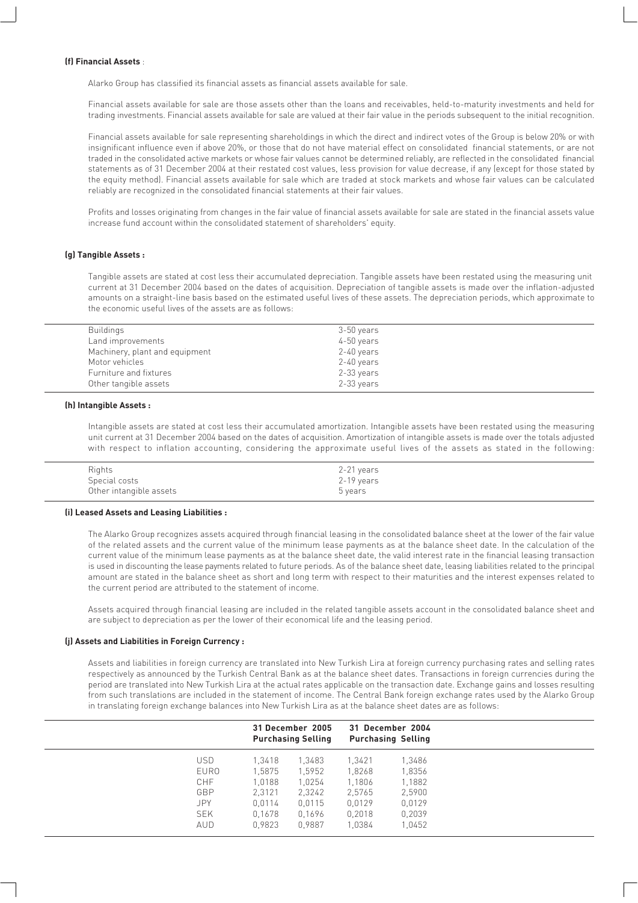#### **(f) Financial Assets** :

Alarko Group has classified its financial assets as financial assets available for sale.

Financial assets available for sale are those assets other than the loans and receivables, held-to-maturity investments and held for trading investments. Financial assets available for sale are valued at their fair value in the periods subsequent to the initial recognition.

Financial assets available for sale representing shareholdings in which the direct and indirect votes of the Group is below 20% or with insignificant influence even if above 20%, or those that do not have material effect on consolidated financial statements, or are not traded in the consolidated active markets or whose fair values cannot be determined reliably, are reflected in the consolidated financial statements as of 31 December 2004 at their restated cost values, less provision for value decrease, if any (except for those stated by the equity method). Financial assets available for sale which are traded at stock markets and whose fair values can be calculated reliably are recognized in the consolidated financial statements at their fair values.

Profits and losses originating from changes in the fair value of financial assets available for sale are stated in the financial assets value increase fund account within the consolidated statement of shareholders' equity.

#### **(g) Tangible Assets :**

Tangible assets are stated at cost less their accumulated depreciation. Tangible assets have been restated using the measuring unit current at 31 December 2004 based on the dates of acquisition. Depreciation of tangible assets is made over the inflation-adjusted amounts on a straight-line basis based on the estimated useful lives of these assets. The depreciation periods, which approximate to the economic useful lives of the assets are as follows:

| 3-50 years |
|------------|
| 4-50 years |
| 2-40 years |
| 2-40 years |
| 2-33 years |
| 2-33 years |
|            |

#### **(h) Intangible Assets :**

Intangible assets are stated at cost less their accumulated amortization. Intangible assets have been restated using the measuring unit current at 31 December 2004 based on the dates of acquisition. Amortization of intangible assets is made over the totals adjusted with respect to inflation accounting, considering the approximate useful lives of the assets as stated in the following:

| Rights                  | 2-21 years |  |
|-------------------------|------------|--|
| Special costs           | 2-19 years |  |
| Other intangible assets | 5 years    |  |

#### **(i) Leased Assets and Leasing Liabilities :**

The Alarko Group recognizes assets acquired through financial leasing in the consolidated balance sheet at the lower of the fair value of the related assets and the current value of the minimum lease payments as at the balance sheet date. In the calculation of the current value of the minimum lease payments as at the balance sheet date, the valid interest rate in the financial leasing transaction is used in discounting the lease payments related to future periods. As of the balance sheet date, leasing liabilities related to the principal amount are stated in the balance sheet as short and long term with respect to their maturities and the interest expenses related to the current period are attributed to the statement of income.

Assets acquired through financial leasing are included in the related tangible assets account in the consolidated balance sheet and are subject to depreciation as per the lower of their economical life and the leasing period.

#### **(j) Assets and Liabilities in Foreign Currency :**

Assets and liabilities in foreign currency are translated into New Turkish Lira at foreign currency purchasing rates and selling rates respectively as announced by the Turkish Central Bank as at the balance sheet dates. Transactions in foreign currencies during the period are translated into New Turkish Lira at the actual rates applicable on the transaction date. Exchange gains and losses resulting from such translations are included in the statement of income. The Central Bank foreign exchange rates used by the Alarko Group in translating foreign exchange balances into New Turkish Lira as at the balance sheet dates are as follows:

|             |        | 31 December 2005<br><b>Purchasing Selling</b> |        | 31 December 2004<br><b>Purchasing Selling</b> |
|-------------|--------|-----------------------------------------------|--------|-----------------------------------------------|
| USD.        | 1.3418 | 1.3483                                        | 1,3421 | 1,3486                                        |
| <b>EURO</b> | 1.5875 | 1.5952                                        | 1,8268 | 1,8356                                        |
| CHF         | 1.0188 | 1,0254                                        | 1,1806 | 1,1882                                        |
| GBP         | 2.3121 | 2,3242                                        | 2,5765 | 2.5900                                        |
| JPY.        | 0.0114 | 0.0115                                        | 0,0129 | 0.0129                                        |
| <b>SEK</b>  | 0.1678 | 0.1696                                        | 0,2018 | 0,2039                                        |
| <b>AUD</b>  | 0,9823 | 0.9887                                        | 1,0384 | 1,0452                                        |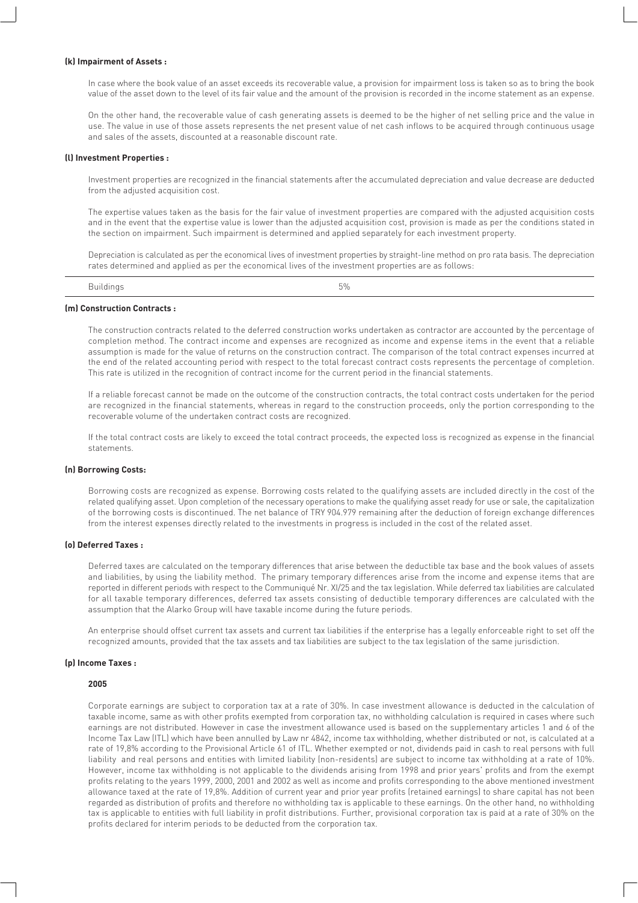#### **(k) Impairment of Assets :**

In case where the book value of an asset exceeds its recoverable value, a provision for impairment loss is taken so as to bring the book value of the asset down to the level of its fair value and the amount of the provision is recorded in the income statement as an expense.

On the other hand, the recoverable value of cash generating assets is deemed to be the higher of net selling price and the value in use. The value in use of those assets represents the net present value of net cash inflows to be acquired through continuous usage and sales of the assets, discounted at a reasonable discount rate.

#### **(l) Investment Properties :**

Investment properties are recognized in the financial statements after the accumulated depreciation and value decrease are deducted from the adjusted acquisition cost.

The expertise values taken as the basis for the fair value of investment properties are compared with the adjusted acquisition costs and in the event that the expertise value is lower than the adjusted acquisition cost, provision is made as per the conditions stated in the section on impairment. Such impairment is determined and applied separately for each investment property.

Depreciation is calculated as per the economical lives of investment properties by straight-line method on pro rata basis. The depreciation rates determined and applied as per the economical lives of the investment properties are as follows:

| . .<br>illaina | --<br>∽<br><b>U</b> / U |
|----------------|-------------------------|
|                |                         |

#### **(m) Construction Contracts :**

The construction contracts related to the deferred construction works undertaken as contractor are accounted by the percentage of completion method. The contract income and expenses are recognized as income and expense items in the event that a reliable assumption is made for the value of returns on the construction contract. The comparison of the total contract expenses incurred at the end of the related accounting period with respect to the total forecast contract costs represents the percentage of completion. This rate is utilized in the recognition of contract income for the current period in the financial statements.

If a reliable forecast cannot be made on the outcome of the construction contracts, the total contract costs undertaken for the period are recognized in the financial statements, whereas in regard to the construction proceeds, only the portion corresponding to the recoverable volume of the undertaken contract costs are recognized.

If the total contract costs are likely to exceed the total contract proceeds, the expected loss is recognized as expense in the financial statements.

#### **(n) Borrowing Costs:**

Borrowing costs are recognized as expense. Borrowing costs related to the qualifying assets are included directly in the cost of the related qualifying asset. Upon completion of the necessary operations to make the qualifying asset ready for use or sale, the capitalization of the borrowing costs is discontinued. The net balance of TRY 904.979 remaining after the deduction of foreign exchange differences from the interest expenses directly related to the investments in progress is included in the cost of the related asset.

#### **(o) Deferred Taxes :**

Deferred taxes are calculated on the temporary differences that arise between the deductible tax base and the book values of assets and liabilities, by using the liability method. The primary temporary differences arise from the income and expense items that are reported in different periods with respect to the Communiqué Nr. XI/25 and the tax legislation. While deferred tax liabilities are calculated for all taxable temporary differences, deferred tax assets consisting of deductible temporary differences are calculated with the assumption that the Alarko Group will have taxable income during the future periods.

An enterprise should offset current tax assets and current tax liabilities if the enterprise has a legally enforceable right to set off the recognized amounts, provided that the tax assets and tax liabilities are subject to the tax legislation of the same jurisdiction.

#### **(p) Income Taxes :**

#### **2005**

Corporate earnings are subject to corporation tax at a rate of 30%. In case investment allowance is deducted in the calculation of taxable income, same as with other profits exempted from corporation tax, no withholding calculation is required in cases where such earnings are not distributed. However in case the investment allowance used is based on the supplementary articles 1 and 6 of the Income Tax Law (ITL) which have been annulled by Law nr 4842, income tax withholding, whether distributed or not, is calculated at a rate of 19,8% according to the Provisional Article 61 of ITL. Whether exempted or not, dividends paid in cash to real persons with full liability and real persons and entities with limited liability (non-residents) are subject to income tax withholding at a rate of 10%. However, income tax withholding is not applicable to the dividends arising from 1998 and prior years' profits and from the exempt profits relating to the years 1999, 2000, 2001 and 2002 as well as income and profits corresponding to the above mentioned investment allowance taxed at the rate of 19,8%. Addition of current year and prior year profits (retained earnings) to share capital has not been regarded as distribution of profits and therefore no withholding tax is applicable to these earnings. On the other hand, no withholding tax is applicable to entities with full liability in profit distributions. Further, provisional corporation tax is paid at a rate of 30% on the profits declared for interim periods to be deducted from the corporation tax.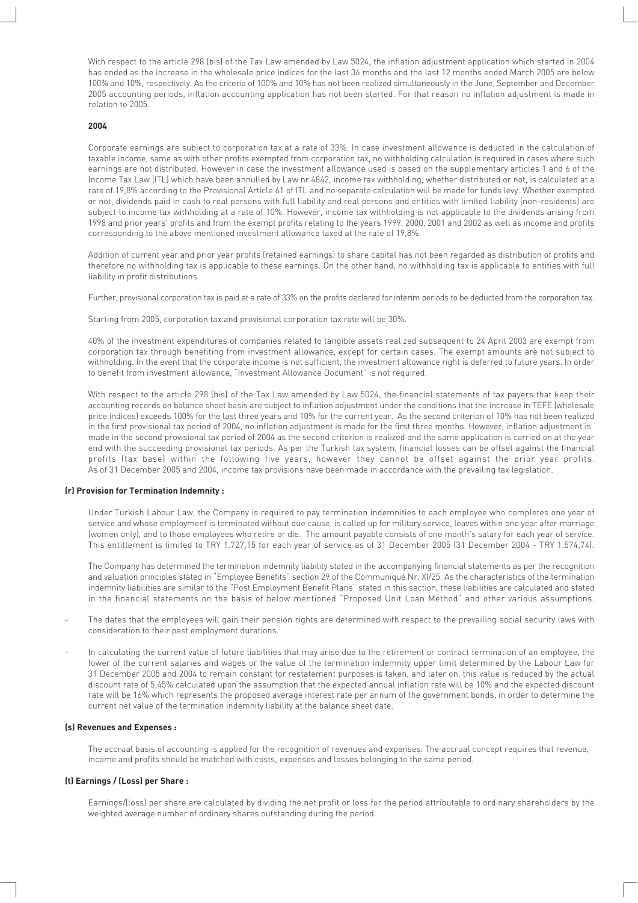With respect to the article 298 (bis) of the Tax Law amended by Law 5024, the inflation adjustment application which started in 2004 has ended as the increase in the wholesale price indices for the last 36 months and the last 12 months ended March 2005 are below 100% and 10%, respectively. As the criteria of 100% and 10% has not been realized simultaneously in the June, September and December 2005 accounting periods, inflation accounting application has not been started. For that reason no inflation adjustment is made in relation to 2005.

#### **2004**

Corporate earnings are subject to corporation tax at a rate of 33%. In case investment allowance is deducted in the calculation of taxable income, same as with other profits exempted from corporation tax, no withholding calculation is required in cases where such earnings are not distributed. However in case the investment allowance used is based on the supplementary articles 1 and 6 of the Income Tax Law (ITL) which have been annulled by Law nr 4842, income tax withholding, whether distributed or not, is calculated at a rate of 19,8% according to the Provisional Article 61 of ITL and no separate calculation will be made for funds levy. Whether exempted or not, dividends paid in cash to real persons with full liability and real persons and entities with limited liability (non-residents) are subject to income tax withholding at a rate of 10%. However, income tax withholding is not applicable to the dividends arising from 1998 and prior years' profits and from the exempt profits relating to the years 1999, 2000, 2001 and 2002 as well as income and profits corresponding to the above mentioned investment allowance taxed at the rate of 19,8%.

Addition of current year and prior year profits (retained earnings) to share capital has not been regarded as distribution of profits and therefore no withholding tax is applicable to these earnings. On the other hand, no withholding tax is applicable to entities with full liability in profit distributions.

Further, provisional corporation tax is paid at a rate of 33% on the profits declared for interim periods to be deducted from the corporation tax.

Starting from 2005, corporation tax and provisional corporation tax rate will be 30%.

40% of the investment expenditures of companies related to tangible assets realized subsequent to 24 April 2003 are exempt from corporation tax through benefiting from investment allowance, except for certain cases. The exempt amounts are not subject to withholding. In the event that the corporate income is not sufficient, the investment allowance right is deferred to future years. In order to benefit from investment allowance, "Investment Allowance Document" is not required.

With respect to the article 298 (bis) of the Tax Law amended by Law 5024, the financial statements of tax payers that keep their accounting records on balance sheet basis are subject to inflation adjustment under the conditions that the increase in TEFE (wholesale price indices) exceeds 100% for the last three years and 10% for the current year. As the second criterion of 10% has not been realized in the first provisional tax period of 2004, no inflation adjustment is made for the first three months. However, inflation adjustment is made in the second provisional tax period of 2004 as the second criterion is realized and the same application is carried on at the year end with the succeeding provisional tax periods. As per the Turkish tax system, financial losses can be offset against the financial profits (tax base) within the following five years, however they cannot be offset against the prior year profits. As of 31 December 2005 and 2004, income tax provisions have been made in accordance with the prevailing tax legislation.

#### **(r) Provision for Termination Indemnity :**

Under Turkish Labour Law, the Company is required to pay termination indemnities to each employee who completes one year of service and whose employment is terminated without due cause, is called up for military service, leaves within one year after marriage (women only), and to those employees who retire or die. The amount payable consists of one month's salary for each year of service. This entitlement is limited to TRY 1.727,15 for each year of service as of 31 December 2005 (31 December 2004 - TRY 1.574,74).

The Company has determined the termination indemnity liability stated in the accompanying financial statements as per the recognition and valuation principles stated in "Employee Benefits" section 29 of the Communiqué Nr. XI/25. As the characteristics of the termination indemnity liabilities are similar to the "Post Employment Benefit Plans" stated in this section, these liabilities are calculated and stated in the financial statements on the basis of below mentioned "Proposed Unit Loan Method" and other various assumptions.

- The dates that the employees will gain their pension rights are determined with respect to the prevailing social security laws with consideration to their past employment durations.
- In calculating the current value of future liabilities that may arise due to the retirement or contract termination of an employee, the lower of the current salaries and wages or the value of the termination indemnity upper limit determined by the Labour Law for 31 December 2005 and 2004 to remain constant for restatement purposes is taken, and later on, this value is reduced by the actual discount rate of 5,45% calculated upon the assumption that the expected annual inflation rate will be 10% and the expected discount rate will be 16% which represents the proposed average interest rate per annum of the government bonds, in order to determine the current net value of the termination indemnity liability at the balance sheet date.

#### **(s) Revenues and Expenses :**

The accrual basis of accounting is applied for the recognition of revenues and expenses. The accrual concept requires that revenue, income and profits should be matched with costs, expenses and losses belonging to the same period.

#### **(t) Earnings / (Loss) per Share :**

Earnings/(loss) per share are calculated by dividing the net profit or loss for the period attributable to ordinary shareholders by the weighted average number of ordinary shares outstanding during the period.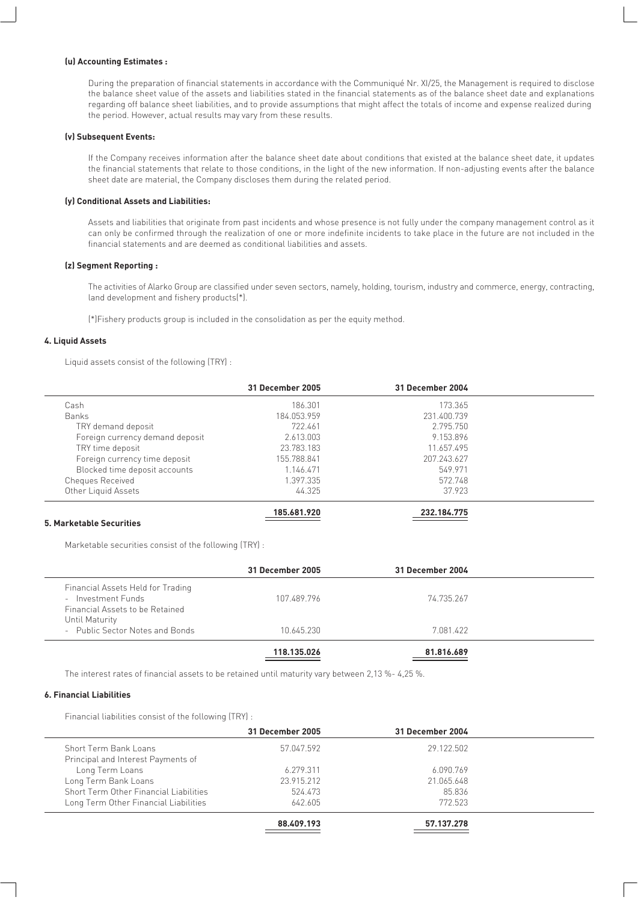#### **(u) Accounting Estimates :**

During the preparation of financial statements in accordance with the Communiqué Nr. XI/25, the Management is required to disclose the balance sheet value of the assets and liabilities stated in the financial statements as of the balance sheet date and explanations regarding off balance sheet liabilities, and to provide assumptions that might affect the totals of income and expense realized during the period. However, actual results may vary from these results.

#### **(v) Subsequent Events:**

If the Company receives information after the balance sheet date about conditions that existed at the balance sheet date, it updates the financial statements that relate to those conditions, in the light of the new information. If non-adjusting events after the balance sheet date are material, the Company discloses them during the related period.

#### **(y) Conditional Assets and Liabilities:**

Assets and liabilities that originate from past incidents and whose presence is not fully under the company management control as it can only be confirmed through the realization of one or more indefinite incidents to take place in the future are not included in the financial statements and are deemed as conditional liabilities and assets.

#### **(z) Segment Reporting :**

The activities of Alarko Group are classified under seven sectors, namely, holding, tourism, industry and commerce, energy, contracting, land development and fishery products(\*).

(\*)Fishery products group is included in the consolidation as per the equity method.

#### **4. Liquid Assets**

Liquid assets consist of the following (TRY) :

|                                 | 31 December 2005 | 31 December 2004 |  |
|---------------------------------|------------------|------------------|--|
| Cash                            | 186.301          | 173.365          |  |
| <b>Banks</b>                    | 184.053.959      | 231.400.739      |  |
| TRY demand deposit              | 722.461          | 2.795.750        |  |
| Foreign currency demand deposit | 2.613.003        | 9.153.896        |  |
| TRY time deposit                | 23.783.183       | 11.657.495       |  |
| Foreign currency time deposit   | 155.788.841      | 207.243.627      |  |
| Blocked time deposit accounts   | 1.146.471        | 549.971          |  |
| Cheques Received                | 1.397.335        | 572.748          |  |
| Other Liquid Assets             | 44.325           | 37.923           |  |
|                                 | 185.681.920      | 232.184.775      |  |

#### **5. Marketable Securities**

Marketable securities consist of the following (TRY) :

|                                                                                            | 31 December 2005 | 31 December 2004 |  |
|--------------------------------------------------------------------------------------------|------------------|------------------|--|
| Financial Assets Held for Trading<br>- Investment Funds<br>Financial Assets to be Retained | 107.489.796      | 74.735.267       |  |
| Until Maturity<br>- Public Sector Notes and Bonds                                          | 10.645.230       | 7 081 422        |  |
|                                                                                            | 118.135.026      | 81.816.689       |  |

The interest rates of financial assets to be retained until maturity vary between 2,13 %- 4,25 %.

#### **6. Financial Liabilities**

Financial liabilities consist of the following (TRY) :

|                                        | 31 December 2005 | 31 December 2004 |  |
|----------------------------------------|------------------|------------------|--|
| Short Term Bank Loans                  | 57.047.592       | 29.122.502       |  |
| Principal and Interest Payments of     |                  |                  |  |
| Long Term Loans                        | 6.279.311        | 6.090.769        |  |
| Long Term Bank Loans                   | 23.915.212       | 21.065.648       |  |
| Short Term Other Financial Liabilities | 524.473          | 85.836           |  |
| Long Term Other Financial Liabilities  | 642.605          | 772.523          |  |
|                                        | 88.409.193       | 57.137.278       |  |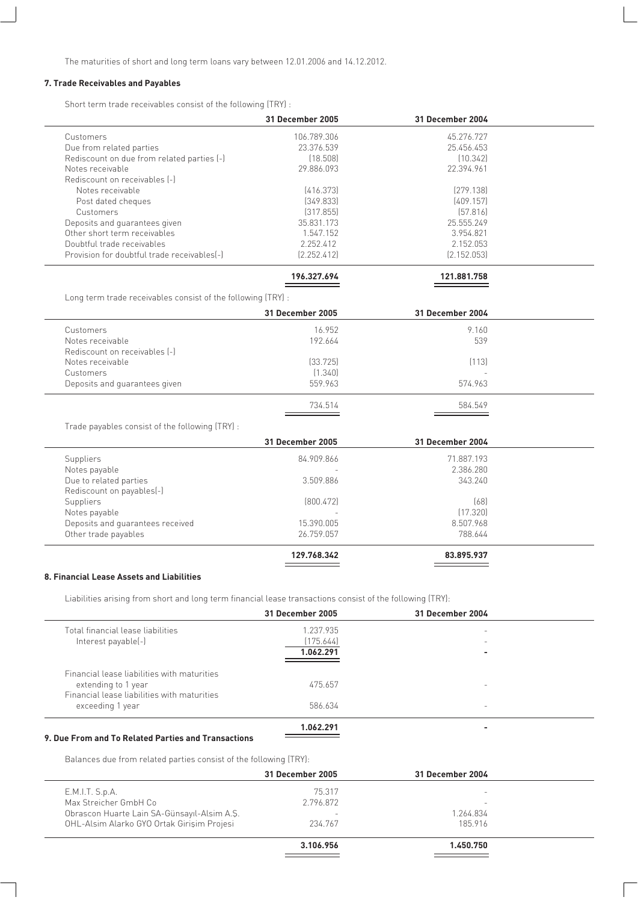The maturities of short and long term loans vary between 12.01.2006 and 14.12.2012.

#### **7. Trade Receivables and Payables**

Short term trade receivables consist of the following (TRY) :

|                                             | 31 December 2005 | <b>31 December 2004</b> |  |
|---------------------------------------------|------------------|-------------------------|--|
| Customers                                   | 106.789.306      | 45.276.727              |  |
| Due from related parties                    | 23.376.539       | 25.456.453              |  |
| Rediscount on due from related parties [-]  | [18.508]         | [10.342]                |  |
| Notes receivable                            | 29.886.093       | 22.394.961              |  |
| Rediscount on receivables [-]               |                  |                         |  |
| Notes receivable                            | [416.373]        | [279.138]               |  |
| Post dated cheques                          | [349.833]        | [409.157]               |  |
| Customers                                   | [317.855]        | [57.816]                |  |
| Deposits and quarantees given               | 35.831.173       | 25.555.249              |  |
| Other short term receivables                | 1.547.152        | 3.954.821               |  |
| Doubtful trade receivables                  | 2.252.412        | 2.152.053               |  |
| Provision for doubtful trade receivables[-] | [2.252.412]      | [2.152.053]             |  |
|                                             |                  |                         |  |

| 196.327.694 | 121.881.758 |
|-------------|-------------|
|             |             |
|             |             |

Long term trade receivables consist of the following (TRY) :

| 31 December 2005 | 31 December 2004 |  |
|------------------|------------------|--|
| 16.952           | 9.160            |  |
| 192.664          | 539              |  |
|                  |                  |  |
| [33.725]         | (113)            |  |
| (1.340)          | -                |  |
| 559.963          | 574.963          |  |
| 734.514          | 584.549          |  |
|                  |                  |  |

Trade payables consist of the following (TRY) :

|                                  | 31 December 2005         | 31 December 2004 |  |
|----------------------------------|--------------------------|------------------|--|
| Suppliers                        | 84.909.866               | 71.887.193       |  |
| Notes payable                    | $\overline{\phantom{a}}$ | 2.386.280        |  |
| Due to related parties           | 3.509.886                | 343.240          |  |
| Rediscount on payables(-)        |                          |                  |  |
| Suppliers                        | [800.472]                | [68]             |  |
| Notes payable                    |                          | [17.320]         |  |
| Deposits and guarantees received | 15.390.005               | 8.507.968        |  |
| Other trade payables             | 26.759.057               | 788.644          |  |
|                                  | 129.768.342              | 83.895.937       |  |
|                                  |                          |                  |  |

#### **8. Financial Lease Assets and Liabilities**

Liabilities arising from short and long term financial lease transactions consist of the following (TRY):

|                                                                    | 31 December 2005 | 31 December 2004         |  |
|--------------------------------------------------------------------|------------------|--------------------------|--|
| Total financial lease liabilities                                  | 1.237.935        |                          |  |
| Interest payable(-)                                                | (175.644)        | $\overline{\phantom{0}}$ |  |
|                                                                    | 1.062.291        |                          |  |
| Financial lease liabilities with maturities<br>extending to 1 year | 475.657          |                          |  |
| Financial lease liabilities with maturities<br>exceeding 1 year    | 586.634          | $\overline{\phantom{0}}$ |  |
|                                                                    | 1.062.291        |                          |  |

#### **9. Due From and To Related Parties and Transactions**

Balances due from related parties consist of the following (TRY):

|                                             | 31 December 2005         | 31 December 2004 |  |
|---------------------------------------------|--------------------------|------------------|--|
| E.M.I.T. S.p.A.                             | 75.317                   | -                |  |
| Max Streicher GmbH Co                       | 2.796.872                | -                |  |
| Obrascon Huarte Lain SA-Günsayıl-Alsim A.Ş. | $\overline{\phantom{0}}$ | 1.264.834        |  |
| OHL-Alsim Alarko GYO Ortak Girişim Projesi  | 234.767                  | 185.916          |  |
|                                             |                          |                  |  |
|                                             | 3.106.956                | 1.450.750        |  |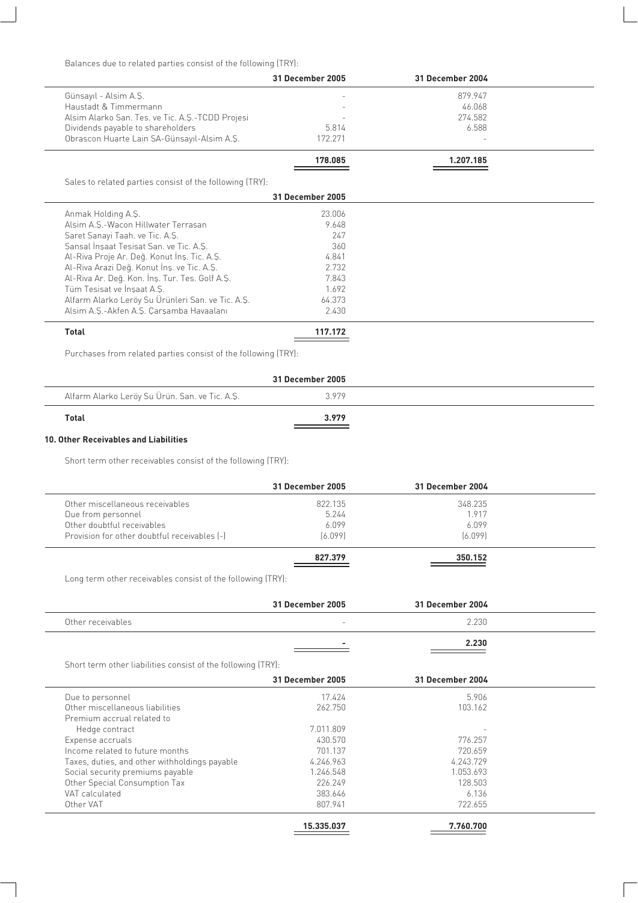Balances due to related parties consist of the following (TRY):

|                                                          | 31 December 2005 | <b>31 December 2004</b> |  |
|----------------------------------------------------------|------------------|-------------------------|--|
| Günsayıl - Alsim A.Ş.                                    |                  | 879.947                 |  |
| Haustadt & Timmermann                                    |                  | 46.068                  |  |
| Alsim Alarko San. Tes. ve Tic. A.S.-TCDD Projesi         |                  | 274.582                 |  |
| Dividends payable to shareholders                        | 5.814            | 6.588                   |  |
| Obrascon Huarte Lain SA-Günsayıl-Alsim A.Ş.              | 172.271          |                         |  |
|                                                          | 178.085          | 1.207.185               |  |
| Sales to related parties consist of the following (TRY): |                  |                         |  |
|                                                          | 31 December 2005 |                         |  |
| Anmak Holding A.S.                                       | 23.006           |                         |  |
| Alsim A.S.-Wacon Hillwater Terrasan                      | 9.648            |                         |  |
| Saret Sanayi Taah. ve Tic. A.Ş.                          | 247              |                         |  |
| Sansal İnşaat Tesisat San. ve Tic. A.Ş.                  | 360              |                         |  |
| Al-Riva Proje Ar. Değ. Konut İnş. Tic. A.Ş.              | 4.841            |                         |  |
| Al-Riva Arazi Deq. Konut Ins. ve Tic. A.S.               | 2.732            |                         |  |
| Al-Riva Ar. Değ. Kon. İnş. Tur. Tes. Golf A.Ş.           | 7.843            |                         |  |
| Tüm Tesisat ve İnsaat A.S.                               | 1.692            |                         |  |
| Alfarm Alarko Leröy Su Ürünleri San. ve Tic. A.Ş.        | 64.373           |                         |  |
| Alsim A.Ş.-Akfen A.Ş. Çarşamba Havaalanı                 | 2.430            |                         |  |
| Total                                                    | 117.172          |                         |  |

Purchases from related parties consist of the following (TRY):

|                                                | 31 December 2005 |  |
|------------------------------------------------|------------------|--|
| Alfarm Alarko Leröy Su Ürün. San. ve Tic. A.Ş. | 3979             |  |
| <b>Total</b>                                   | 3.979            |  |

#### **10. Other Receivables and Liabilities**

Short term other receivables consist of the following (TRY):

|                                              | 31 December 2005 | 31 December 2004 |  |
|----------------------------------------------|------------------|------------------|--|
| Other miscellaneous receivables              | 822.135          | 348.235          |  |
| Due from personnel                           | 5.244            | 1917             |  |
| Other doubtful receivables                   | 6.099            | 6 0 9 9          |  |
| Provision for other doubtful receivables [-] | [6.099]          | [6.099]          |  |
|                                              | 827.379          | 350.152          |  |

Long term other receivables consist of the following (TRY):

|                                                              | 31 December 2005 | <b>31 December 2004</b> |  |
|--------------------------------------------------------------|------------------|-------------------------|--|
| Other receivables                                            |                  | 2.230                   |  |
|                                                              |                  | 2.230                   |  |
| Short term other liabilities consist of the following (TRY): |                  |                         |  |
|                                                              | 31 December 2005 | <b>31 December 2004</b> |  |
| Due to personnel                                             | 17.424           | 5.906                   |  |
| Other miscellaneous liabilities                              | 262.750          | 103.162                 |  |
| Premium accrual related to                                   |                  |                         |  |
| Hedge contract                                               | 7.011.809        |                         |  |
| Expense accruals                                             | 430.570          | 776.257                 |  |
| Income related to future months                              | 701.137          | 720.659                 |  |
| Taxes, duties, and other withholdings payable                | 4.246.963        | 4.243.729               |  |
| Social security premiums payable                             | 1.246.548        | 1.053.693               |  |
| Other Special Consumption Tax                                | 226.249          | 128.503                 |  |
| VAT calculated                                               | 383.646          | 6.136                   |  |
| Other VAT                                                    | 807.941          | 722.655                 |  |
|                                                              | 15.335.037       | 7.760.700               |  |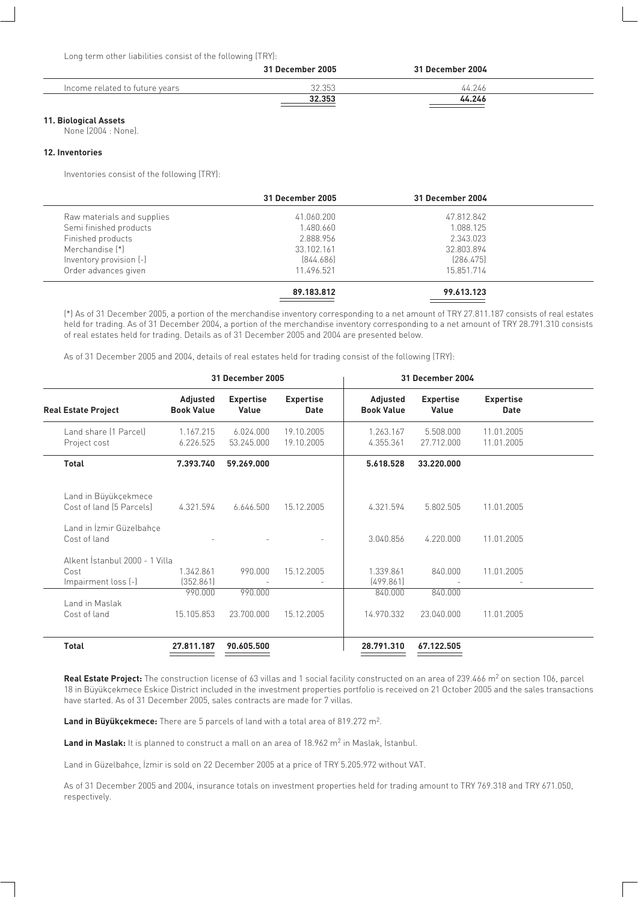Long term other liabilities consist of the following (TRY):

|                                | 31 December 2005 | 31 December 2004 |  |
|--------------------------------|------------------|------------------|--|
| Income related to future years | 32.353           | 44 246           |  |
|                                | 32.353           | 44.246           |  |

#### **11. Biological Assets**

None (2004 : None).

#### **12. Inventories**

Inventories consist of the following (TRY):

|                            | 31 December 2005 | 31 December 2004 |  |
|----------------------------|------------------|------------------|--|
| Raw materials and supplies | 41.060.200       | 47.812.842       |  |
| Semi finished products     | 1.480.660        | 1.088.125        |  |
| Finished products          | 2.888.956        | 2.343.023        |  |
| Merchandise [*]            | 33.102.161       | 32.803.894       |  |
| Inventory provision (-)    | [844.686]        | [286.475]        |  |
| Order advances given       | 11.496.521       | 15.851.714       |  |
|                            | 89.183.812       | 99.613.123       |  |

(\*) As of 31 December 2005, a portion of the merchandise inventory corresponding to a net amount of TRY 27.811.187 consists of real estates held for trading. As of 31 December 2004, a portion of the merchandise inventory corresponding to a net amount of TRY 28.791.310 consists of real estates held for trading. Details as of 31 December 2005 and 2004 are presented below.

As of 31 December 2005 and 2004, details of real estates held for trading consist of the following (TRY):

|                                                               |                               | <b>31 December 2005</b>   |                                 |                               | <b>31 December 2004</b>   |                          |  |
|---------------------------------------------------------------|-------------------------------|---------------------------|---------------------------------|-------------------------------|---------------------------|--------------------------|--|
| <b>Real Estate Project</b>                                    | Adjusted<br><b>Book Value</b> | <b>Expertise</b><br>Value | <b>Expertise</b><br><b>Date</b> | Adjusted<br><b>Book Value</b> | <b>Expertise</b><br>Value | <b>Expertise</b><br>Date |  |
| Land share (1 Parcel)<br>Project cost                         | 1.167.215<br>6.226.525        | 6.024.000<br>53.245.000   | 19.10.2005<br>19.10.2005        | 1.263.167<br>4.355.361        | 5.508.000<br>27.712.000   | 11.01.2005<br>11.01.2005 |  |
| <b>Total</b>                                                  | 7.393.740                     | 59.269.000                |                                 | 5.618.528                     | 33.220.000                |                          |  |
| Land in Büyükçekmece<br>Cost of land [5 Parcels]              | 4.321.594                     | 6.646.500                 | 15.12.2005                      | 4.321.594                     | 5.802.505                 | 11.01.2005               |  |
| Land in İzmir Güzelbahçe<br>Cost of land                      |                               |                           |                                 | 3.040.856                     | 4.220.000                 | 11.01.2005               |  |
| Alkent İstanbul 2000 - 1 Villa<br>Cost<br>Impairment loss (-) | 1.342.861<br>(352.861)        | 990.000                   | 15.12.2005                      | 1.339.861<br>[499.861]        | 840,000                   | 11.01.2005               |  |
| Land in Maslak<br>Cost of land                                | 990.000<br>15.105.853         | 990.000<br>23,700,000     | 15.12.2005                      | 840.000<br>14.970.332         | 840.000<br>23.040.000     | 11.01.2005               |  |
| Total                                                         | 27.811.187                    | 90.605.500                |                                 | 28.791.310                    | 67.122.505                |                          |  |

Real Estate Project: The construction license of 63 villas and 1 social facility constructed on an area of 239.466 m<sup>2</sup> on section 106, parcel 18 in Büyükçekmece Eskice District included in the investment properties portfolio is received on 21 October 2005 and the sales transactions have started. As of 31 December 2005, sales contracts are made for 7 villas.

Land in Büyükçekmece: There are 5 parcels of land with a total area of 819.272 m<sup>2</sup>.

Land in Maslak: It is planned to construct a mall on an area of 18.962 m<sup>2</sup> in Maslak, Istanbul.

Land in Güzelbahçe, İzmir is sold on 22 December 2005 at a price of TRY 5.205.972 without VAT.

As of 31 December 2005 and 2004, insurance totals on investment properties held for trading amount to TRY 769.318 and TRY 671.050, respectively.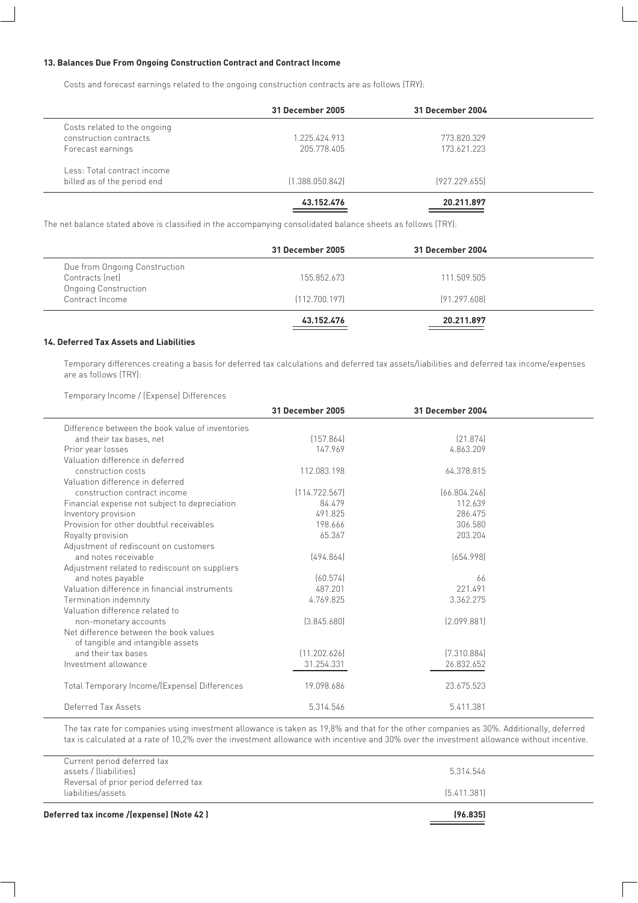#### **13. Balances Due From Ongoing Construction Contract and Contract Income**

Costs and forecast earnings related to the ongoing construction contracts are as follows (TRY):

|                              | 31 December 2005 | 31 December 2004 |  |
|------------------------------|------------------|------------------|--|
| Costs related to the ongoing |                  |                  |  |
| construction contracts       | 1 225 424 913    | 773.820.329      |  |
| Forecast earnings            | 205.778.405      | 173.621.223      |  |
| Less: Total contract income  |                  |                  |  |
| billed as of the period end  | [1.388.050.842]  | [927.229.655]    |  |
|                              | 43.152.476       | 20.211.897       |  |

The net balance stated above is classified in the accompanying consolidated balance sheets as follows (TRY):

|                               | 31 December 2005 | 31 December 2004 |  |
|-------------------------------|------------------|------------------|--|
| Due from Ongoing Construction |                  |                  |  |
| Contracts (net)               | 155.852.673      | 111.509.505      |  |
| <b>Ongoing Construction</b>   |                  |                  |  |
| Contract Income               | [112.700.197]    | [91.297.608]     |  |
|                               | 43.152.476       | 20.211.897       |  |

#### **14. Deferred Tax Assets and Liabilities**

Temporary differences creating a basis for deferred tax calculations and deferred tax assets/liabilities and deferred tax income/expenses are as follows (TRY):

Temporary Income / (Expense) Differences

|                                                  | <b>31 December 2005</b> | <b>31 December 2004</b> |  |
|--------------------------------------------------|-------------------------|-------------------------|--|
| Difference between the book value of inventories |                         |                         |  |
| and their tax bases, net                         | [157.864]               | [21.874]                |  |
| Prior year losses                                | 147.969                 | 4.863.209               |  |
| Valuation difference in deferred                 |                         |                         |  |
| construction costs                               | 112.083.198             | 64.378.815              |  |
| Valuation difference in deferred                 |                         |                         |  |
| construction contract income                     | [114.722.567]           | [66.804.246]            |  |
| Financial expense not subject to depreciation    | 84.479                  | 112.639                 |  |
| Inventory provision                              | 491.825                 | 286.475                 |  |
| Provision for other doubtful receivables         | 198.666                 | 306.580                 |  |
| Royalty provision                                | 65.367                  | 203.204                 |  |
| Adjustment of rediscount on customers            |                         |                         |  |
| and notes receivable                             | [494.864]               | [654.998]               |  |
| Adjustment related to rediscount on suppliers    |                         |                         |  |
| and notes payable                                | [60.574]                | 66                      |  |
| Valuation difference in financial instruments    | 487.201                 | 221.491                 |  |
| Termination indemnity                            | 4.769.825               | 3.362.275               |  |
| Valuation difference related to                  |                         |                         |  |
| non-monetary accounts                            | [3.845.680]             | [2.099.881]             |  |
| Net difference between the book values           |                         |                         |  |
| of tangible and intangible assets                |                         |                         |  |
| and their tax bases                              | [11.202.626]            | [7.310.884]             |  |
| Investment allowance                             | 31.254.331              | 26.832.652              |  |
|                                                  |                         |                         |  |
| Total Temporary Income/(Expense) Differences     | 19.098.686              | 23.675.523              |  |
|                                                  |                         |                         |  |
| Deferred Tax Assets                              | 5.314.546               | 5.411.381               |  |

The tax rate for companies using investment allowance is taken as 19,8% and that for the other companies as 30%. Additionally, deferred tax is calculated at a rate of 10,2% over the investment allowance with incentive and 30% over the investment allowance without incentive.

| Deferred tax income /(expense) (Note 42 )                   | (96.835)    |  |
|-------------------------------------------------------------|-------------|--|
| Reversal of prior period deferred tax<br>liabilities/assets | [5.411.381] |  |
| Current period deferred tax<br>assets / (liabilities)       | 5.314.546   |  |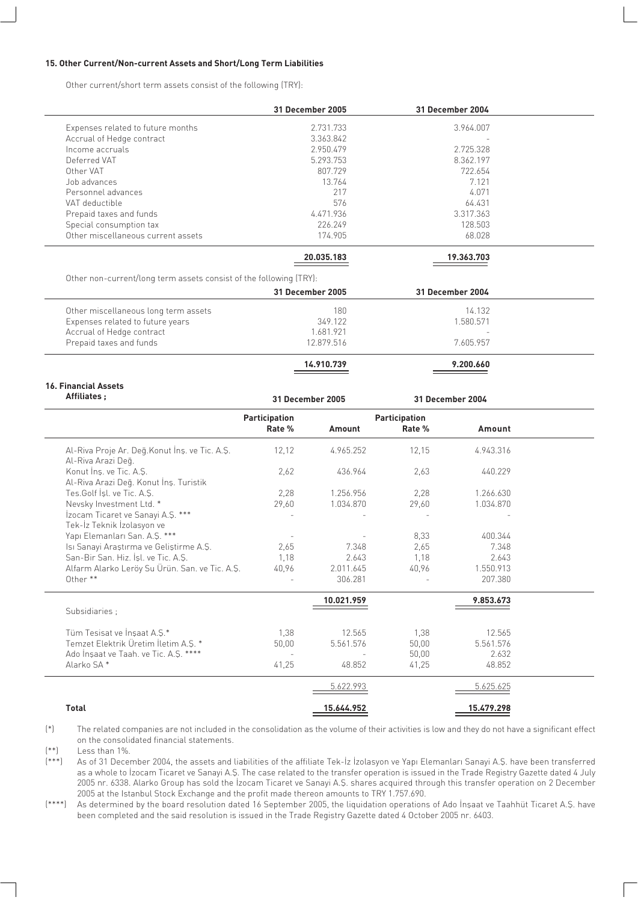#### **15. Other Current/Non-current Assets and Short/Long Term Liabilities**

Other current/short term assets consist of the following (TRY):

|                                    | 31 December 2005 | 31 December 2004         |  |
|------------------------------------|------------------|--------------------------|--|
| Expenses related to future months  | 2.731.733        | 3.964.007                |  |
| Accrual of Hedge contract          | 3.363.842        | $\overline{\phantom{a}}$ |  |
| Income accruals                    | 2.950.479        | 2.725.328                |  |
| Deferred VAT                       | 5.293.753        | 8.362.197                |  |
| Other VAT                          | 807.729          | 722.654                  |  |
| Job advances                       | 13.764           | 7.121                    |  |
| Personnel advances                 | 217              | 4.071                    |  |
| VAT deductible                     | 576              | 64.431                   |  |
| Prepaid taxes and funds            | 4.471.936        | 3.317.363                |  |
| Special consumption tax            | 226.249          | 128.503                  |  |
| Other miscellaneous current assets | 174.905          | 68.028                   |  |
|                                    | 20.035.183       | 19.363.703               |  |

| Other non-current/long term assets consist of the following (TRY): |  |  |
|--------------------------------------------------------------------|--|--|

|                                      | 31 December 2005 | 31 December 2004         |  |
|--------------------------------------|------------------|--------------------------|--|
| Other miscellaneous long term assets | 180              | 14.132                   |  |
| Expenses related to future years     | 349.122          | 1.580.571                |  |
| Accrual of Hedge contract            | 1.681.921        | $\overline{\phantom{a}}$ |  |
| Prepaid taxes and funds              | 12.879.516       | 7.605.957                |  |
|                                      |                  |                          |  |
|                                      | 14.910.739       | 9.200.660                |  |

| Affiliates;                                                          | <b>31 December 2005</b> |            |                      | 31 December 2004 |
|----------------------------------------------------------------------|-------------------------|------------|----------------------|------------------|
|                                                                      | Participation           |            | <b>Participation</b> |                  |
|                                                                      | Rate %                  | Amount     | Rate %               | Amount           |
| Al-Riva Proje Ar. Değ. Konut İnş. ve Tic. A.Ş.<br>Al-Riva Arazi Deq. | 12,12                   | 4.965.252  | 12,15                | 4.943.316        |
| Konut Ins. ve Tic. A.S.<br>Al-Riva Arazi Deq. Konut İnş. Turistik    | 2.62                    | 436.964    | 2.63                 | 440.229          |
| Tes.Golf Isl. ve Tic. A.S.                                           | 2,28                    | 1.256.956  | 2,28                 | 1.266.630        |
| Nevsky Investment Ltd. *                                             | 29,60                   | 1.034.870  | 29,60                | 1.034.870        |
| İzocam Ticaret ve Sanayi A.Ş. ***<br>Tek-İz Teknik İzolasyon ve      |                         |            |                      |                  |
| Yapı Elemanları San. A.Ş. ***                                        |                         |            | 8,33                 | 400.344          |
| Isi Sanayi Araştırma ve Geliştirme A.Ş.                              | 2.65                    | 7.348      | 2.65                 | 7.348            |
| San-Bir San, Hiz, İsl. ve Tic, A.S.                                  | 1,18                    | 2.643      | 1.18                 | 2.643            |
| Alfarm Alarko Leröy Su Ürün. San. ve Tic. A.Ş.                       | 40,96                   | 2.011.645  | 40,96                | 1.550.913        |
| Other **                                                             |                         | 306.281    | $\overline{a}$       | 207.380          |
|                                                                      |                         | 10.021.959 |                      | 9.853.673        |
| Subsidiaries :                                                       |                         |            |                      |                  |
| Tüm Tesisat ve İnsaat A.S.*                                          | 1.38                    | 12.565     | 1,38                 | 12.565           |
| Temzet Elektrik Üretim İletim A.Ş. *                                 | 50,00                   | 5.561.576  | 50,00                | 5.561.576        |
| Ado İnşaat ve Taah. ve Tic. A.Ş. ****                                |                         |            | 50.00                | 2.632            |
| Alarko SA*                                                           | 41,25                   | 48.852     | 41,25                | 48.852           |
|                                                                      |                         | 5.622.993  |                      | 5.625.625        |
| <b>Total</b>                                                         |                         | 15.644.952 |                      | 15.479.298       |

(\*) The related companies are not included in the consolidation as the volume of their activities is low and they do not have a significant effect on the consolidated financial statements.

 $(**)$  Less than 1%.<br> $(***)$  As of 31 Dece As of 31 December 2004, the assets and liabilities of the affiliate Tek-<sup>1</sup>z *Izolasyon ve Yapı Elemanları Sanayi A.*Ş. have been transferred as a whole to *izocam Ticaret ve Sanayi A.S. The case related to the transfer operation is issued in the Trade Registry Gazette dated 4 July* 2005 nr. 6338. Alarko Group has sold the *zocam Ticaret ve Sanayi A.Ş.* shares acquired through this transfer operation on 2 December 2005 at the Istanbul Stock Exchange and the profit made thereon amounts to TRY 1.757.690.

(\*\*\*\*) As determined by the board resolution dated 16 September 2005, the liquidation operations of Ado Insaat ve Taahhüt Ticaret A.S. have been completed and the said resolution is issued in the Trade Registry Gazette dated 4 October 2005 nr. 6403.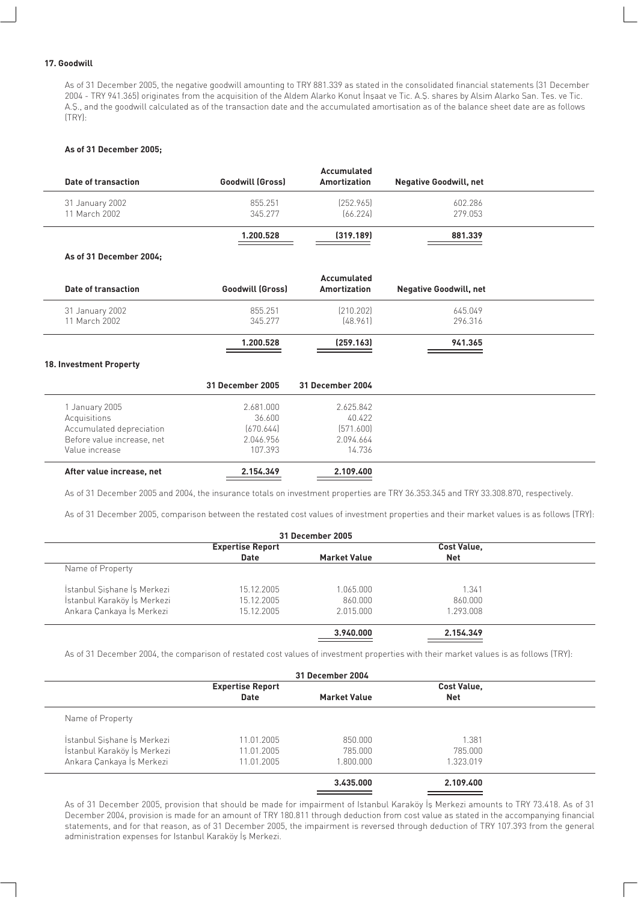#### **17. Goodwill**

As of 31 December 2005, the negative goodwill amounting to TRY 881.339 as stated in the consolidated financial statements (31 December 2004 - TRY 941.365) originates from the acquisition of the Aldem Alarko Konut Insaat ve Tic. A.S. shares by Alsim Alarko San. Tes. ve Tic. A.S., and the goodwill calculated as of the transaction date and the accumulated amortisation as of the balance sheet date are as follows (TRY):

#### **As of 31 December 2005;**

| Date of transaction              | <b>Goodwill (Gross)</b> | Accumulated<br>Amortization | <b>Negative Goodwill, net</b> |  |
|----------------------------------|-------------------------|-----------------------------|-------------------------------|--|
| 31 January 2002<br>11 March 2002 | 855.251<br>345.277      | [252.965]<br>[66.224]       | 602.286<br>279.053            |  |
|                                  | 1.200.528               | (319.189)                   | 881.339                       |  |
| $\overline{\phantom{a}}$         |                         |                             |                               |  |

#### **As of 31 December 2004;**

| Date of transaction              | <b>Goodwill (Gross)</b> | Accumulated<br>Amortization | <b>Negative Goodwill, net</b> |  |
|----------------------------------|-------------------------|-----------------------------|-------------------------------|--|
| 31 January 2002<br>11 March 2002 | 855.251<br>345.277      | [210.202]<br>[48.961]       | 645.049<br>296.316            |  |
|                                  | 1.200.528               | [259.163]                   | 941.365                       |  |

#### **18. Investment Property**

|                            | 31 December 2005 | 31 December 2004 |
|----------------------------|------------------|------------------|
| January 2005               | 2.681.000        | 2.625.842        |
| Acquisitions               | 36.600           | 40.422           |
| Accumulated depreciation   | [670.644]        | [571.600]        |
| Before value increase, net | 2.046.956        | 2.094.664        |
| Value increase             | 107.393          | 14.736           |
| After value increase, net  | 2.154.349        | 2.109.400        |

As of 31 December 2005 and 2004, the insurance totals on investment properties are TRY 36.353.345 and TRY 33.308.870, respectively.

As of 31 December 2005, comparison between the restated cost values of investment properties and their market values is as follows (TRY):

| 31 December 2005            |                         |                     |                    |  |  |  |  |
|-----------------------------|-------------------------|---------------------|--------------------|--|--|--|--|
|                             | <b>Expertise Report</b> |                     | <b>Cost Value,</b> |  |  |  |  |
|                             | <b>Date</b>             | <b>Market Value</b> | <b>Net</b>         |  |  |  |  |
| Name of Property            |                         |                     |                    |  |  |  |  |
| İstanbul Sishane İs Merkezi | 15.12.2005              | 1.065.000           | 1.341              |  |  |  |  |
| İstanbul Karaköy İş Merkezi | 15.12.2005              | 860.000             | 860,000            |  |  |  |  |
| Ankara Çankaya İş Merkezi   | 15.12.2005              | 2.015.000           | 1.293.008          |  |  |  |  |
|                             |                         | 3.940.000           | 2.154.349          |  |  |  |  |

As of 31 December 2004, the comparison of restated cost values of investment properties with their market values is as follows (TRY):

| 31 December 2004            |                         |                     |                    |  |  |
|-----------------------------|-------------------------|---------------------|--------------------|--|--|
|                             | <b>Expertise Report</b> |                     | <b>Cost Value,</b> |  |  |
|                             | <b>Date</b>             | <b>Market Value</b> | <b>Net</b>         |  |  |
| Name of Property            |                         |                     |                    |  |  |
| İstanbul Sishane İs Merkezi | 11.01.2005              | 850,000             | 1.381              |  |  |
| İstanbul Karaköy İş Merkezi | 11.01.2005              | 785.000             | 785.000            |  |  |
| Ankara Çankaya İş Merkezi   | 11.01.2005              | 1.800.000           | 1.323.019          |  |  |
|                             |                         | 3.435.000           | 2.109.400          |  |  |

As of 31 December 2005, provision that should be made for impairment of Istanbul Karaköy İs Merkezi amounts to TRY 73.418. As of 31 December 2004, provision is made for an amount of TRY 180.811 through deduction from cost value as stated in the accompanying financial statements, and for that reason, as of 31 December 2005, the impairment is reversed through deduction of TRY 107.393 from the general administration expenses for Istanbul Karaköy İş Merkezi.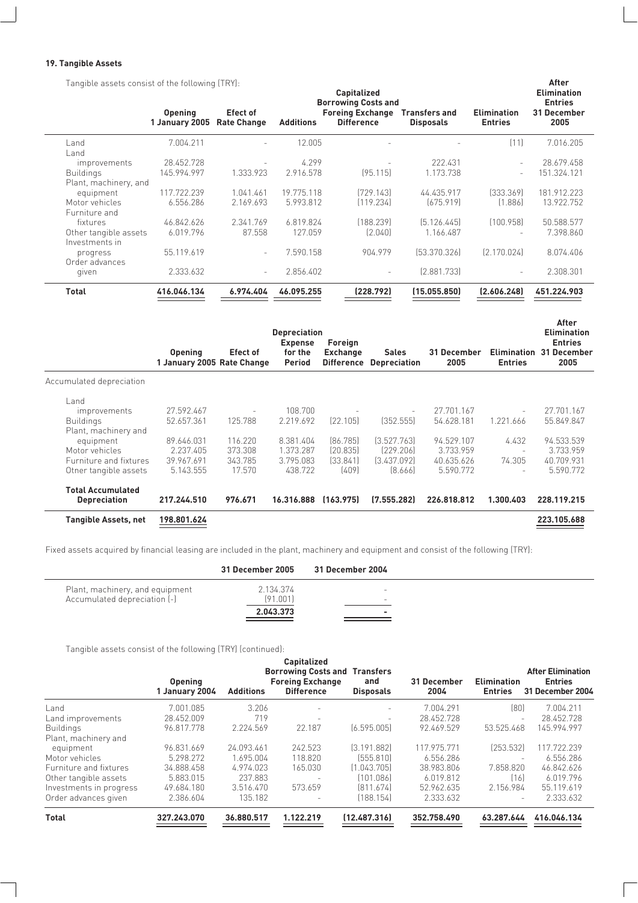#### **19. Tangible Assets**

Tangible assets consist of the following (TRY):

| Tangible assets consist of the following (TRY): |                                  | <b>Capitalized</b><br><b>Borrowing Costs and</b> |                  | After<br><b>Elimination</b><br><b>Entries</b> |                                          |                                      |                     |
|-------------------------------------------------|----------------------------------|--------------------------------------------------|------------------|-----------------------------------------------|------------------------------------------|--------------------------------------|---------------------|
|                                                 | <b>Opening</b><br>1 January 2005 | <b>Efect of</b><br><b>Rate Change</b>            | <b>Additions</b> | <b>Foreing Exchange</b><br><b>Difference</b>  | <b>Transfers and</b><br><b>Disposals</b> | <b>Elimination</b><br><b>Entries</b> | 31 December<br>2005 |
| Land<br>Land                                    | 7.004.211                        |                                                  | 12.005           | $\overline{\phantom{0}}$                      |                                          | (11)                                 | 7.016.205           |
| improvements                                    | 28.452.728                       |                                                  | 4.299            |                                               | 222.431                                  | $\overline{\phantom{a}}$             | 28.679.458          |
| <b>Buildings</b>                                | 145.994.997                      | 1.333.923                                        | 2.916.578        | [95.115]                                      | 1.173.738                                |                                      | 151.324.121         |
| Plant, machinery, and                           |                                  |                                                  |                  |                                               |                                          |                                      |                     |
| equipment                                       | 117.722.239                      | 1.041.461                                        | 19.775.118       | [729.143]                                     | 44.435.917                               | [333.369]                            | 181.912.223         |
| Motor vehicles<br>Furniture and                 | 6.556.286                        | 2.169.693                                        | 5.993.812        | (119.234)                                     | [675.919]                                | [1.886]                              | 13.922.752          |
| fixtures                                        | 46.842.626                       | 2.341.769                                        | 6.819.824        | (188.239)                                     | [5.126.445]                              | (100.958)                            | 50.588.577          |
| Other tangible assets<br>Investments in         | 6.019.796                        | 87.558                                           | 127.059          | [2.040]                                       | 1.166.487                                |                                      | 7.398.860           |
| progress<br>Order advances                      | 55.119.619                       | $\overline{a}$                                   | 7.590.158        | 904.979                                       | [53.370.326]                             | [2.170.024]                          | 8.074.406           |
| qiven                                           | 2.333.632                        | $\overline{\phantom{0}}$                         | 2.856.402        | $\overline{\phantom{0}}$                      | [2.881.733]                              |                                      | 2.308.301           |
| <b>Total</b>                                    | 416.046.134                      | 6.974.404                                        | 46.095.255       | (228.792)                                     | (15.055.850)                             | (2.606.248)                          | 451.224.903         |

|                          | <b>Opening</b><br>1 January 2005 Rate Change | Efect of                 | <b>Depreciation</b><br><b>Expense</b><br>for the<br>Period | Foreign<br><b>Exchange</b><br><b>Difference</b> | <b>Sales</b><br><b>Depreciation</b> | 31 December<br>2005 | <b>Elimination</b><br><b>Entries</b> | After<br><b>Elimination</b><br><b>Entries</b><br>31 December<br>2005 |
|--------------------------|----------------------------------------------|--------------------------|------------------------------------------------------------|-------------------------------------------------|-------------------------------------|---------------------|--------------------------------------|----------------------------------------------------------------------|
| Accumulated depreciation |                                              |                          |                                                            |                                                 |                                     |                     |                                      |                                                                      |
| Land                     |                                              |                          |                                                            |                                                 |                                     |                     |                                      |                                                                      |
| <i>improvements</i>      | 27.592.467                                   | $\overline{\phantom{a}}$ | 108.700                                                    |                                                 |                                     | 27.701.167          |                                      | 27.701.167                                                           |
| <b>Buildings</b>         | 52.657.361                                   | 125.788                  | 2.219.692                                                  | [22.105]                                        | (352.555)                           | 54.628.181          | 1.221.666                            | 55.849.847                                                           |
| Plant, machinery and     |                                              |                          |                                                            |                                                 |                                     |                     |                                      |                                                                      |
| equipment                | 89.646.031                                   | 116.220                  | 8.381.404                                                  | [86.785]                                        | [3.527.763]                         | 94.529.107          | 4.432                                | 94.533.539                                                           |
| Motor vehicles           | 2.237.405                                    | 373.308                  | 1.373.287                                                  | [20.835]                                        | [229.206]                           | 3.733.959           | $\overline{\phantom{a}}$             | 3.733.959                                                            |
| Furniture and fixtures   | 39.967.691                                   | 343.785                  | 3.795.083                                                  | [33.841]                                        | [3.437.092]                         | 40.635.626          | 74.305                               | 40.709.931                                                           |
| Otner tangible assets    | 5.143.555                                    | 17.570                   | 438.722                                                    | [409]                                           | [8.666]                             | 5.590.772           | $\overline{\phantom{a}}$             | 5.590.772                                                            |
| <b>Total Accumulated</b> |                                              |                          |                                                            |                                                 |                                     |                     |                                      |                                                                      |
| <b>Depreciation</b>      | 217.244.510                                  | 976.671                  | 16.316.888                                                 | (163.975)                                       | (7.555.282)                         | 226.818.812         | 1.300.403                            | 228.119.215                                                          |
| Tangible Assets, net     | 198.801.624                                  |                          |                                                            |                                                 |                                     |                     |                                      | 223.105.688                                                          |

Fixed assets acquired by financial leasing are included in the plant, machinery and equipment and consist of the following (TRY):

|                                 | 31 December 2005      | 31 December 2004 |  |
|---------------------------------|-----------------------|------------------|--|
| Plant, machinery, and equipment | 2.134.374             |                  |  |
| Accumulated depreciation (-)    | [91.001]<br>2.043.373 | ۰                |  |
|                                 |                       | ____             |  |

Tangible assets consist of the following (TRY) (continued):

|                                   | <b>Opening</b><br>1 January 2004 | <b>Additions</b> | <b>Capitalized</b><br><b>Borrowing Costs and</b><br><b>Foreing Exchange</b><br><b>Difference</b> | <b>Transfers</b><br>and<br><b>Disposals</b> | 31 December<br>2004 | <b>Elimination</b><br><b>Entries</b> | <b>After Elimination</b><br><b>Entries</b><br>31 December 2004 |
|-----------------------------------|----------------------------------|------------------|--------------------------------------------------------------------------------------------------|---------------------------------------------|---------------------|--------------------------------------|----------------------------------------------------------------|
| Land                              | 7.001.085                        | 3.206            | $\overline{\phantom{0}}$                                                                         | $\overline{\phantom{0}}$                    | 7.004.291           | (80)                                 | 7.004.211                                                      |
| Land improvements                 | 28.452.009                       | 719              | $\overline{\phantom{a}}$                                                                         | $\overline{\phantom{a}}$                    | 28.452.728          |                                      | 28.452.728                                                     |
| <b>Buildings</b>                  | 96.817.778                       | 2.224.569        | 22.187                                                                                           | [6.595.005]                                 | 92.469.529          | 53.525.468                           | 145.994.997                                                    |
| Plant, machinery and<br>equipment | 96.831.669                       | 24.093.461       | 242.523                                                                                          | [3.191.882]                                 | 117.975.771         | [253.532]                            | 117.722.239                                                    |
| Motor vehicles                    | 5.298.272                        | 1.695.004        | 118,820                                                                                          | [555.810]                                   | 6.556.286           |                                      | 6.556.286                                                      |
| Furniture and fixtures            | 34.888.458                       | 4.974.023        | 165.030                                                                                          | [1.043.705]                                 | 38.983.806          | 7.858.820                            | 46.842.626                                                     |
| Other tangible assets             | 5.883.015                        | 237.883          |                                                                                                  | (101.086)                                   | 6.019.812           | [16]                                 | 6.019.796                                                      |
| Investments in progress           | 49.684.180                       | 3.516.470        | 573.659                                                                                          | [811.674]                                   | 52.962.635          | 2.156.984                            | 55.119.619                                                     |
| Order advances given              | 2.386.604                        | 135.182          |                                                                                                  | [188.154]                                   | 2.333.632           |                                      | 2.333.632                                                      |
| <b>Total</b>                      | 327.243.070                      | 36.880.517       | 1.122.219                                                                                        | [12.487.316]                                | 352.758.490         | 63.287.644                           | 416.046.134                                                    |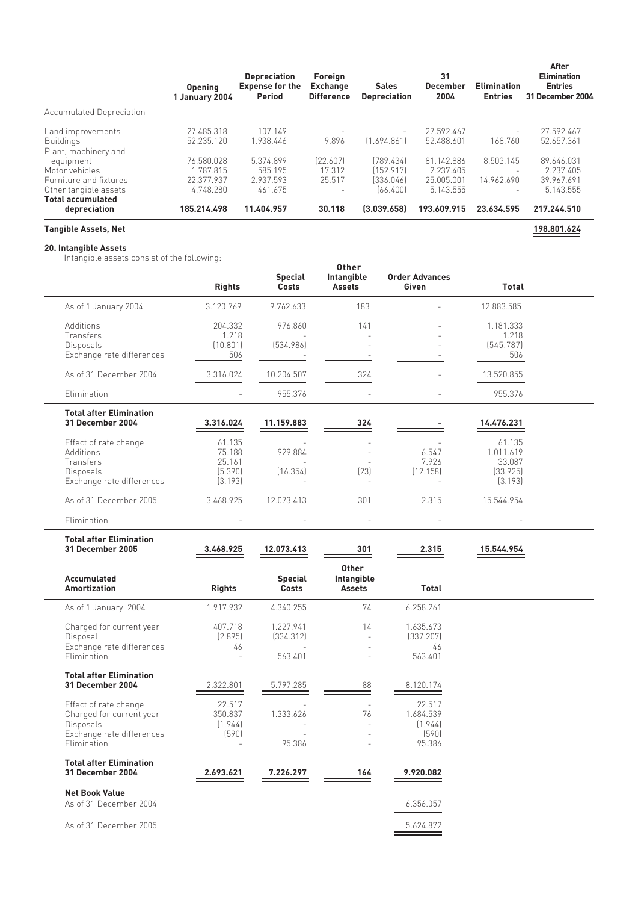|                             | <b>Opening</b><br>1 January 2004 | <b>Depreciation</b><br><b>Expense for the</b><br><b>Period</b> | Foreign<br><b>Exchange</b><br><b>Difference</b> | <b>Sales</b><br><b>Depreciation</b> | 31<br><b>December</b><br>2004 | <b>Elimination</b><br><b>Entries</b> | After<br><b>Elimination</b><br><b>Entries</b><br>31 December 2004 |
|-----------------------------|----------------------------------|----------------------------------------------------------------|-------------------------------------------------|-------------------------------------|-------------------------------|--------------------------------------|-------------------------------------------------------------------|
| Accumulated Depreciation    |                                  |                                                                |                                                 |                                     |                               |                                      |                                                                   |
| Land improvements           | 27.485.318                       | 107.149                                                        |                                                 | $\overline{\phantom{a}}$            | 27.592.467                    | $\overline{\phantom{a}}$             | 27.592.467                                                        |
| <b>Buildings</b>            | 52.235.120                       | 1.938.446                                                      | 9.896                                           | [1.694.861]                         | 52.488.601                    | 168.760                              | 52.657.361                                                        |
| Plant, machinery and        |                                  |                                                                |                                                 |                                     |                               |                                      |                                                                   |
| equipment                   | 76.580.028                       | 5.374.899                                                      | [22.607]                                        | [789.434]                           | 81.142.886                    | 8.503.145                            | 89.646.031                                                        |
| Motor vehicles              | 1.787.815                        | 585.195                                                        | 17.312                                          | [152.917]                           | 2.237.405                     | $\overline{\phantom{a}}$             | 2.237.405                                                         |
| Furniture and fixtures      | 22.377.937                       | 2.937.593                                                      | 25.517                                          | [336.046]                           | 25.005.001                    | 14.962.690                           | 39.967.691                                                        |
| Other tangible assets       | 4.748.280                        | 461.675                                                        |                                                 | [66.400]                            | 5.143.555                     | $\overline{\phantom{a}}$             | 5.143.555                                                         |
| <b>Total accumulated</b>    |                                  |                                                                |                                                 |                                     |                               |                                      |                                                                   |
| depreciation                | 185.214.498                      | 11.404.957                                                     | 30.118                                          | (3.039.658)                         | 193.609.915                   | 23.634.595                           | 217.244.510                                                       |
| <b>Tangible Assets, Net</b> |                                  |                                                                |                                                 |                                     |                               |                                      | 198.801.624                                                       |

**20. Intangible Assets**

 $\overline{\phantom{0}}$ 

 $\frac{1}{2}$ 

 $\overline{\phantom{a}}$ 

Intangible assets consist of the following:

|                                                                                                                   | <b>Rights</b>                                    | <b>Special</b><br><b>Costs</b>    | Other<br>Intangible<br><b>Assets</b>   | <b>Order Advances</b><br>Given                    | Total                                                |  |
|-------------------------------------------------------------------------------------------------------------------|--------------------------------------------------|-----------------------------------|----------------------------------------|---------------------------------------------------|------------------------------------------------------|--|
| As of 1 January 2004                                                                                              | 3.120.769                                        | 9.762.633                         | 183                                    |                                                   | 12.883.585                                           |  |
| Additions<br>Transfers<br>Disposals                                                                               | 204.332<br>1.218<br>(10.801)                     | 976.860<br>[534.986]              | 141                                    |                                                   | 1.181.333<br>1.218<br>[545.787]                      |  |
| Exchange rate differences                                                                                         | 506                                              |                                   |                                        |                                                   | 506                                                  |  |
| As of 31 December 2004                                                                                            | 3.316.024                                        | 10.204.507                        | 324                                    |                                                   | 13.520.855                                           |  |
| Elimination                                                                                                       |                                                  | 955.376                           | $\overline{a}$                         |                                                   | 955.376                                              |  |
| <b>Total after Elimination</b><br><b>31 December 2004</b>                                                         | 3.316.024                                        | 11.159.883                        | 324                                    |                                                   | 14.476.231                                           |  |
| Effect of rate change<br>Additions<br>Transfers<br><b>Disposals</b><br>Exchange rate differences                  | 61.135<br>75.188<br>25.161<br>(5.390)<br>(3.193) | 929.884<br>(16.354)               | [23]                                   | 6.547<br>7.926<br>(12.158)                        | 61.135<br>1.011.619<br>33.087<br>(33.925)<br>(3.193) |  |
| As of 31 December 2005                                                                                            | 3.468.925                                        | 12.073.413                        | 301                                    | 2.315                                             | 15.544.954                                           |  |
| Elimination                                                                                                       |                                                  |                                   | $\overline{a}$                         |                                                   |                                                      |  |
| <b>Total after Elimination</b><br><b>31 December 2005</b>                                                         | 3.468.925                                        | 12.073.413                        | 301                                    | 2.315                                             | 15.544.954                                           |  |
| Accumulated<br><b>Amortization</b>                                                                                | <b>Rights</b>                                    | <b>Special</b><br><b>Costs</b>    | <b>Other</b><br>Intangible<br>Assets   | Total                                             |                                                      |  |
| As of 1 January 2004                                                                                              | 1.917.932                                        | 4.340.255                         | 74                                     | 6.258.261                                         |                                                      |  |
| Charged for current year<br>Disposal<br>Exchange rate differences<br>Elimination                                  | 407.718<br>(2.895)<br>46                         | 1.227.941<br>(334.312)<br>563.401 | 14<br>$\overline{a}$<br>$\overline{a}$ | 1.635.673<br>(337.207)<br>46<br>563.401           |                                                      |  |
| <b>Total after Elimination</b><br><b>31 December 2004</b>                                                         | 2.322.801                                        | 5.797.285                         | 88                                     | 8.120.174                                         |                                                      |  |
| Effect of rate change<br>Charged for current year<br><b>Disposals</b><br>Exchange rate differences<br>Elimination | 22.517<br>350.837<br>(1.944)<br>(590)            | 1.333.626<br>95.386               | $\overline{a}$<br>76                   | 22.517<br>1.684.539<br>(1.944)<br>(590)<br>95.386 |                                                      |  |
| <b>Total after Elimination</b><br><b>31 December 2004</b>                                                         | 2.693.621                                        | 7.226.297                         | 164                                    | 9.920.082                                         |                                                      |  |
| <b>Net Book Value</b><br>As of 31 December 2004                                                                   |                                                  |                                   |                                        | 6.356.057                                         |                                                      |  |
| As of 31 December 2005                                                                                            |                                                  |                                   |                                        | 5.624.872                                         |                                                      |  |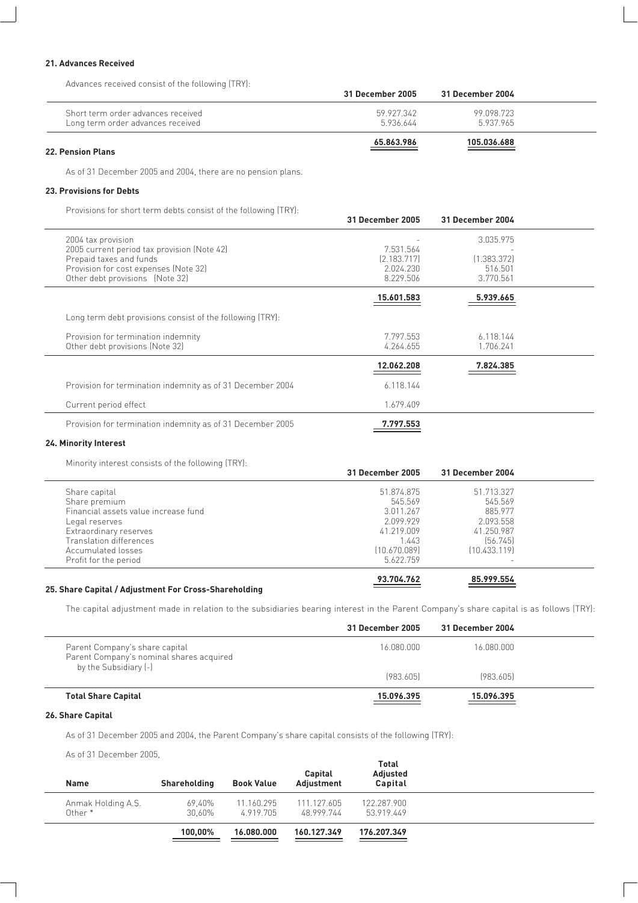#### **21. Advances Received**

Advances received consist of the following (TRY):

|                                                                         | 31 December 2005        | 31 December 2004        |  |
|-------------------------------------------------------------------------|-------------------------|-------------------------|--|
| Short term order advances received<br>Long term order advances received | 59 927 342<br>5.936.644 | 99.098.723<br>5.937.965 |  |
| <b>22. Pension Plans</b>                                                | 65.863.986              | 105.036.688             |  |

As of 31 December 2005 and 2004, there are no pension plans.

#### **23. Provisions for Debts**

Provisions for short term debts consist of the following (TRY):

|                                                                                                                                                                          | <b>31 December 2005</b>                            | 31 December 2004                                 |  |
|--------------------------------------------------------------------------------------------------------------------------------------------------------------------------|----------------------------------------------------|--------------------------------------------------|--|
| 2004 tax provision<br>2005 current period tax provision (Note 42)<br>Prepaid taxes and funds<br>Provision for cost expenses (Note 32)<br>Other debt provisions (Note 32) | 7.531.564<br>[2.183.717]<br>2.024.230<br>8.229.506 | 3.035.975<br>[1.383.372]<br>516.501<br>3.770.561 |  |
|                                                                                                                                                                          | 15.601.583                                         | 5.939.665                                        |  |
| Long term debt provisions consist of the following (TRY):                                                                                                                |                                                    |                                                  |  |
| Provision for termination indemnity<br>Other debt provisions (Note 32)                                                                                                   | 7.797.553<br>4.264.655                             | 6.118.144<br>1.706.241                           |  |
|                                                                                                                                                                          | 12.062.208                                         | 7.824.385                                        |  |
| Provision for termination indemnity as of 31 December 2004                                                                                                               | 6.118.144                                          |                                                  |  |
| Current period effect                                                                                                                                                    | 1.679.409                                          |                                                  |  |
| Provision for termination indemnity as of 31 December 2005                                                                                                               | 7.797.553                                          |                                                  |  |

#### **24. Minority Interest**

Minority interest consists of the following (TRY):

| <b>31 December 2005</b> | 31 December 2004 |  |
|-------------------------|------------------|--|
| 51.874.875              | 51.713.327       |  |
| 545.569                 | 545.569          |  |
| 3.011.267               | 885.977          |  |
| 2.099.929               | 2.093.558        |  |
| 41.219.009              | 41.250.987       |  |
| 1.443                   | [56.745]         |  |
| [10.670.089]            | [10.433.119]     |  |
| 5.622.759               |                  |  |
| 93.704.762              | 85.999.554       |  |
|                         |                  |  |

#### **25. Share Capital / Adjustment For Cross-Shareholding**

The capital adjustment made in relation to the subsidiaries bearing interest in the Parent Company's share capital is as follows (TRY):

|                                                                                                     | 31 December 2005 | 31 December 2004 |  |
|-----------------------------------------------------------------------------------------------------|------------------|------------------|--|
| Parent Company's share capital<br>Parent Company's nominal shares acquired<br>by the Subsidiary [-] | 16.080.000       | 16.080.000       |  |
|                                                                                                     | [983.605]        | [983.605]        |  |
| <b>Total Share Capital</b>                                                                          | 15.096.395       | 15.096.395       |  |

#### **26. Share Capital**

As of 31 December 2005 and 2004, the Parent Company's share capital consists of the following (TRY):

As of 31 December 2005,

| Shareholding | <b>Book Value</b> | Capital<br>Adjustment | <b>Total</b><br>Adjusted<br><b>Capital</b> |  |
|--------------|-------------------|-----------------------|--------------------------------------------|--|
| 69.40%       | 11.160.295        | 111.127.605           | 122.287.900                                |  |
| 30.60%       | 4.919.705         | 48.999.744            | 53.919.449                                 |  |
| 100,00%      | 16.080.000        | 160.127.349           | 176.207.349                                |  |
|              |                   |                       |                                            |  |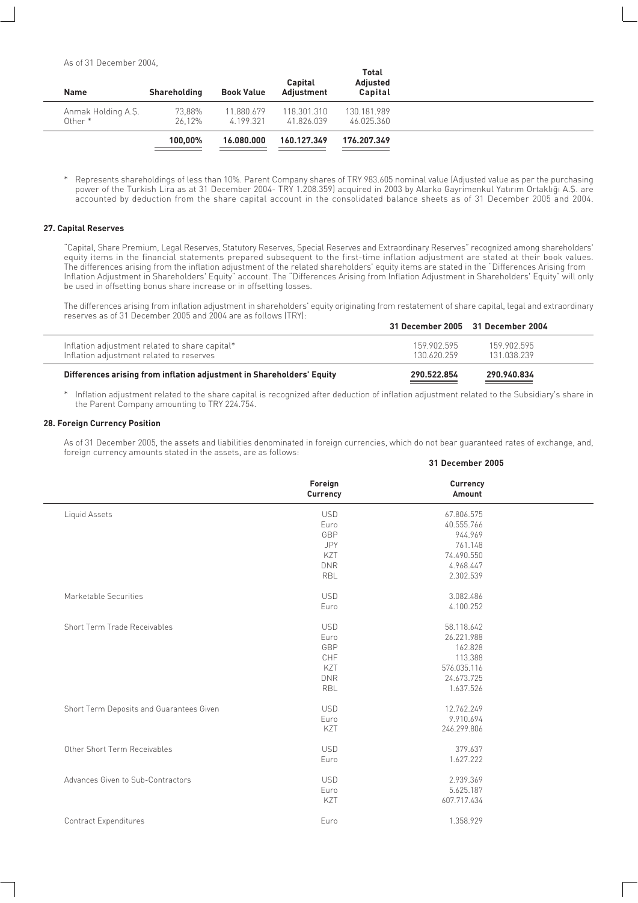As of 31 December 2004,

| <b>Name</b>        | Shareholding | <b>Book Value</b> | Capital<br>Adiustment | <b>Total</b><br>Adjusted<br><b>Capital</b> |  |
|--------------------|--------------|-------------------|-----------------------|--------------------------------------------|--|
| Anmak Holding A.Ş. | 73,88%       | 11.880.679        | 118.301.310           | 130.181.989                                |  |
| Other*             | 26.12%       | 4.199.321         | 41.826.039            | 46.025.360                                 |  |
|                    | 100.00%      | 16,080,000        | 160.127.349           | 176.207.349                                |  |

Represents shareholdings of less than 10%. Parent Company shares of TRY 983.605 nominal value (Adjusted value as per the purchasing power of the Turkish Lira as at 31 December 2004- TRY 1.208.359) acquired in 2003 by Alarko Gayrimenkul Yatırım Ortaklığı A.S. are accounted by deduction from the share capital account in the consolidated balance sheets as of 31 December 2005 and 2004.

#### **27. Capital Reserves**

"Capital, Share Premium, Legal Reserves, Statutory Reserves, Special Reserves and Extraordinary Reserves" recognized among shareholders' equity items in the financial statements prepared subsequent to the first-time inflation adjustment are stated at their book values. The differences arising from the inflation adjustment of the related shareholders' equity items are stated in the "Differences Arising from Inflation Adjustment in Shareholders' Equity" account. The "Differences Arising from Inflation Adjustment in Shareholders' Equity" will only be used in offsetting bonus share increase or in offsetting losses.

The differences arising from inflation adjustment in shareholders' equity originating from restatement of share capital, legal and extraordinary reserves as of 31 December 2005 and 2004 are as follows (TRY):

| Inflation adjustment related to share capital*<br>Inflation adjustment related to reserves | 159 902 595<br>130 620 259 | 159.902.595<br>131.038.239 |  |
|--------------------------------------------------------------------------------------------|----------------------------|----------------------------|--|
| Differences arising from inflation adjustment in Shareholders' Equity                      | 290.522.854                | 290.940.834                |  |

\* Inflation adjustment related to the share capital is recognized after deduction of inflation adjustment related to the Subsidiary's share in the Parent Company amounting to TRY 224.754.

#### **28. Foreign Currency Position**

As of 31 December 2005, the assets and liabilities denominated in foreign currencies, which do not bear guaranteed rates of exchange, and, foreign currency amounts stated in the assets, are as follows:

**31 December 2005**

|                                          | Foreign<br>Currency | <b>Currency</b><br>Amount |  |
|------------------------------------------|---------------------|---------------------------|--|
| Liquid Assets                            | <b>USD</b>          | 67.806.575                |  |
|                                          | Euro                | 40.555.766                |  |
|                                          | GBP                 | 944.969                   |  |
|                                          | <b>JPY</b>          | 761.148                   |  |
|                                          | KZT                 | 74.490.550                |  |
|                                          | <b>DNR</b>          | 4.968.447                 |  |
|                                          | RBL                 | 2.302.539                 |  |
| Marketable Securities                    | <b>USD</b>          | 3.082.486                 |  |
|                                          | Euro                | 4.100.252                 |  |
| Short Term Trade Receivables             | <b>USD</b>          | 58.118.642                |  |
|                                          | Euro                | 26.221.988                |  |
|                                          | GBP                 | 162.828                   |  |
|                                          | CHF                 | 113.388                   |  |
|                                          | KZT                 | 576.035.116               |  |
|                                          | <b>DNR</b>          | 24.673.725                |  |
|                                          | <b>RBL</b>          | 1.637.526                 |  |
| Short Term Deposits and Guarantees Given | <b>USD</b>          | 12.762.249                |  |
|                                          | Euro                | 9.910.694                 |  |
|                                          | KZT                 | 246.299.806               |  |
| Other Short Term Receivables             | <b>USD</b>          | 379.637                   |  |
|                                          | Euro                | 1.627.222                 |  |
| Advances Given to Sub-Contractors        | <b>USD</b>          | 2.939.369                 |  |
|                                          | Euro                | 5.625.187                 |  |
|                                          | KZT                 | 607.717.434               |  |
| <b>Contract Expenditures</b>             | Euro                | 1.358.929                 |  |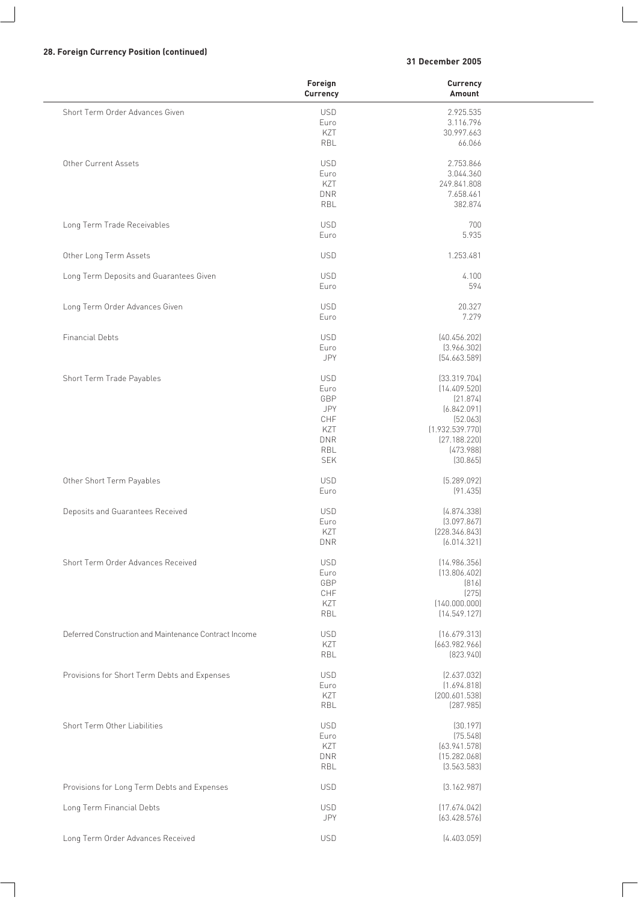#### **28. Foreign Currency Position (continued)**

#### **31 December 2005**

|                                                       | Foreign<br>Currency | Currency<br>Amount         |  |
|-------------------------------------------------------|---------------------|----------------------------|--|
| Short Term Order Advances Given                       | <b>USD</b>          | 2.925.535                  |  |
|                                                       | Euro                | 3.116.796                  |  |
|                                                       | KZT                 | 30.997.663                 |  |
|                                                       | RBL                 | 66.066                     |  |
| Other Current Assets                                  | <b>USD</b>          | 2.753.866                  |  |
|                                                       | Euro                | 3.044.360                  |  |
|                                                       | KZT                 | 249.841.808                |  |
|                                                       | <b>DNR</b>          | 7.658.461                  |  |
|                                                       | RBL                 | 382.874                    |  |
| Long Term Trade Receivables                           | <b>USD</b>          | 700                        |  |
|                                                       | Euro                | 5.935                      |  |
| Other Long Term Assets                                | <b>USD</b>          | 1.253.481                  |  |
| Long Term Deposits and Guarantees Given               | <b>USD</b>          | 4.100                      |  |
|                                                       | Euro                | 594                        |  |
| Long Term Order Advances Given                        | <b>USD</b>          | 20.327                     |  |
|                                                       | Euro                | 7.279                      |  |
| <b>Financial Debts</b>                                | <b>USD</b>          | [40.456.202]               |  |
|                                                       | Euro                | [3.966.302]                |  |
|                                                       | JPY                 | [54.663.589]               |  |
| Short Term Trade Payables                             | <b>USD</b>          | [33.319.704]               |  |
|                                                       | Euro                | (14.409.520)               |  |
|                                                       | GBP                 | (21.874)                   |  |
|                                                       | JPY                 | (6.842.091)                |  |
|                                                       | CHF                 | [52.063]                   |  |
|                                                       | KZT                 | (1.932.539.770)            |  |
|                                                       | <b>DNR</b>          | [27.188.220]               |  |
|                                                       | RBL                 | [473.988]                  |  |
|                                                       | <b>SEK</b>          | (30.865)                   |  |
| Other Short Term Payables                             | <b>USD</b>          | [5.289.092]                |  |
|                                                       | Euro                | (91.435)                   |  |
| Deposits and Guarantees Received                      | <b>USD</b>          | [4.874.338]                |  |
|                                                       | Euro                | (3.097.867)                |  |
|                                                       | KZT                 | [228.346.843]              |  |
|                                                       | <b>DNR</b>          | (6.014.321)                |  |
| Short Term Order Advances Received                    | <b>USD</b>          | (14.986.356)               |  |
|                                                       | Euro                | (13.806.402)               |  |
|                                                       | GBP                 | [816]                      |  |
|                                                       | $\mathsf{CHF}$      | (275)                      |  |
|                                                       | KZT                 | (140.000.000)              |  |
|                                                       | <b>RBL</b>          | (14.549.127)               |  |
| Deferred Construction and Maintenance Contract Income | <b>USD</b>          | [16.679.313]               |  |
|                                                       | KZT<br>RBL          | [663.982.966]<br>[823.940] |  |
|                                                       |                     |                            |  |
| Provisions for Short Term Debts and Expenses          | <b>USD</b><br>Euro  | [2.637.032]<br>(1.694.818) |  |
|                                                       | KZT                 | [200.601.538]              |  |
|                                                       | RBL                 | [287.985]                  |  |
| Short Term Other Liabilities                          | <b>USD</b>          | [30.197]                   |  |
|                                                       | Euro                | (75.548)                   |  |
|                                                       | KZT                 | (63.941.578)               |  |
|                                                       | <b>DNR</b>          | (15.282.068)               |  |
|                                                       | RBL                 | (3.563.583)                |  |
| Provisions for Long Term Debts and Expenses           | <b>USD</b>          | [3.162.987]                |  |
| Long Term Financial Debts                             | <b>USD</b>          | (17.674.042)               |  |
|                                                       | JPY                 | (63.428.576)               |  |
| Long Term Order Advances Received                     | <b>USD</b>          | [4.403.059]                |  |
|                                                       |                     |                            |  |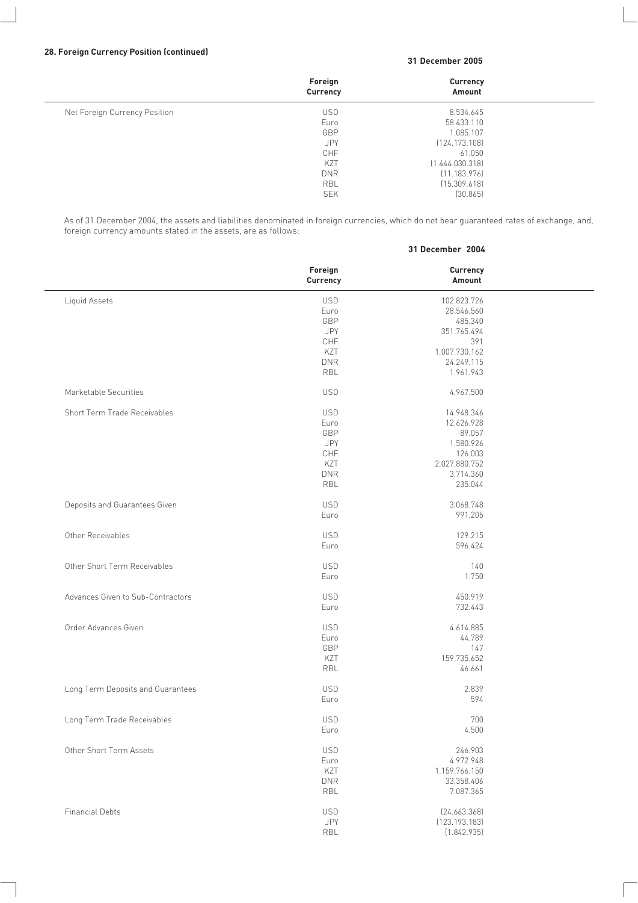#### **28. Foreign Currency Position (continued)**

#### **31 December 2005**

**31 December 2004**

|                               | Foreign<br>Currency | Currency<br>Amount |  |
|-------------------------------|---------------------|--------------------|--|
| Net Foreign Currency Position | <b>USD</b>          | 8.534.645          |  |
|                               | Euro                | 58.433.110         |  |
|                               | GBP                 | 1.085.107          |  |
|                               | <b>JPY</b>          | [124.173.108]      |  |
|                               | CHF                 | 61.050             |  |
|                               | KZT                 | [1.444.030.318]    |  |
|                               | <b>DNR</b>          | [11.183.976]       |  |
|                               | <b>RBL</b>          | [15.309.618]       |  |
|                               | <b>SEK</b>          | [30.865]           |  |

As of 31 December 2004, the assets and liabilities denominated in foreign currencies, which do not bear guaranteed rates of exchange, and, foreign currency amounts stated in the assets, are as follows:

|                                   | Foreign<br>Currency | <b>Currency</b><br>Amount |  |
|-----------------------------------|---------------------|---------------------------|--|
| Liquid Assets                     | <b>USD</b>          | 102.823.726               |  |
|                                   | Euro                | 28.546.560                |  |
|                                   | GBP                 | 485.340                   |  |
|                                   | JPY                 | 351.765.494               |  |
|                                   | CHF                 | 391                       |  |
|                                   |                     |                           |  |
|                                   | KZT                 | 1.007.730.162             |  |
|                                   | <b>DNR</b>          | 24.249.115                |  |
|                                   | <b>RBL</b>          | 1.961.943                 |  |
| Marketable Securities             | <b>USD</b>          | 4.967.500                 |  |
| Short Term Trade Receivables      | <b>USD</b>          | 14.948.346                |  |
|                                   | Euro                | 12.626.928                |  |
|                                   | GBP                 | 89.057                    |  |
|                                   | <b>JPY</b>          | 1.580.926                 |  |
|                                   | CHF                 | 126.003                   |  |
|                                   | KZT                 | 2.027.880.752             |  |
|                                   | <b>DNR</b>          | 3.714.360                 |  |
|                                   | <b>RBL</b>          | 235.044                   |  |
|                                   |                     |                           |  |
| Deposits and Guarantees Given     | <b>USD</b>          | 3.068.748                 |  |
|                                   | Euro                | 991.205                   |  |
| Other Receivables                 | <b>USD</b>          | 129.215                   |  |
|                                   | Euro                | 596.424                   |  |
|                                   |                     |                           |  |
| Other Short Term Receivables      | <b>USD</b>          | 140                       |  |
|                                   | Euro                | 1.750                     |  |
| Advances Given to Sub-Contractors | <b>USD</b>          | 450.919                   |  |
|                                   |                     |                           |  |
|                                   | Euro                | 732.443                   |  |
| Order Advances Given              | <b>USD</b>          | 4.614.885                 |  |
|                                   | Euro                | 44.789                    |  |
|                                   | GBP                 | 147                       |  |
|                                   | KZT                 | 159.735.652               |  |
|                                   | RBL                 | 46.661                    |  |
|                                   |                     |                           |  |
| Long Term Deposits and Guarantees | <b>USD</b>          | 2.839                     |  |
|                                   | Euro                | 594                       |  |
| Long Term Trade Receivables       | <b>USD</b>          | 700                       |  |
|                                   | Euro                | 4.500                     |  |
|                                   |                     |                           |  |
| Other Short Term Assets           | <b>USD</b>          | 246.903                   |  |
|                                   | Euro                | 4.972.948                 |  |
|                                   | KZT                 | 1.159.766.150             |  |
|                                   | <b>DNR</b>          | 33.358.406                |  |
|                                   | <b>RBL</b>          | 7.087.365                 |  |
| <b>Financial Debts</b>            | <b>USD</b>          | [24.663.368]              |  |
|                                   | JPY                 |                           |  |
|                                   |                     | (123.193.183)             |  |
|                                   | RBL                 | (1.842.935)               |  |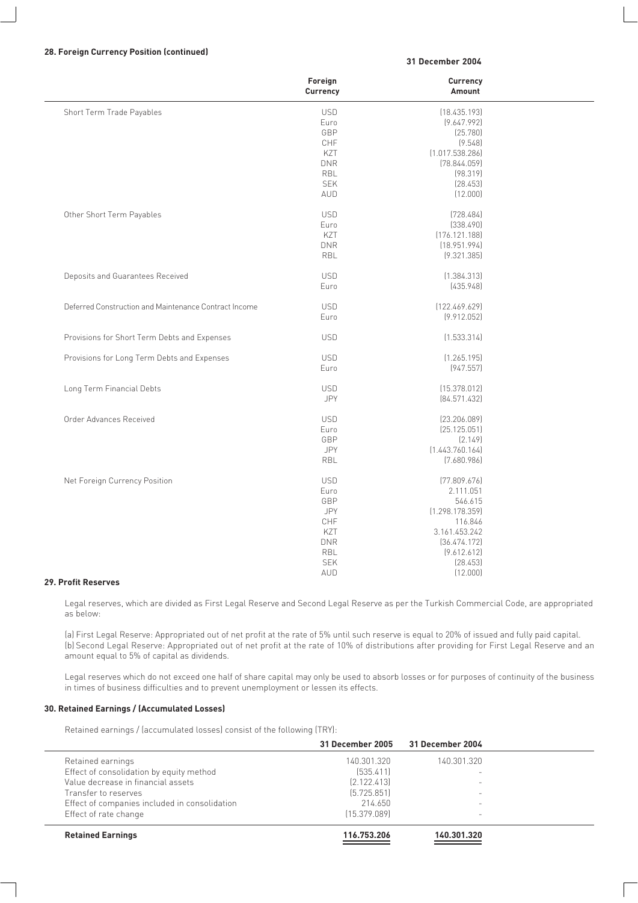#### **28. Foreign Currency Position (continued)**

#### **31 December 2004**

|                                                       | Foreign<br>Currency | Currency<br>Amount         |  |
|-------------------------------------------------------|---------------------|----------------------------|--|
| Short Term Trade Payables                             | <b>USD</b>          | (18.435.193)               |  |
|                                                       | Euro                | [9.647.992]                |  |
|                                                       | GBP                 | (25.780)                   |  |
|                                                       | CHF                 | (9.548)                    |  |
|                                                       | KZT                 | (1.017.538.286)            |  |
|                                                       | <b>DNR</b>          | (78.844.059)               |  |
|                                                       | RBL                 | (98.319)                   |  |
|                                                       | <b>SEK</b>          | [28.453]                   |  |
|                                                       | AUD                 | (12.000)                   |  |
|                                                       |                     |                            |  |
| Other Short Term Payables                             | <b>USD</b>          | (728.484)                  |  |
|                                                       | Euro                | (338.490)                  |  |
|                                                       | KZT                 | (176.121.188)              |  |
|                                                       | <b>DNR</b>          | (18.951.994)               |  |
|                                                       | RBL                 | (9.321.385)                |  |
| Deposits and Guarantees Received                      | <b>USD</b>          | (1.384.313)                |  |
|                                                       | Euro                | [435.948]                  |  |
|                                                       |                     |                            |  |
| Deferred Construction and Maintenance Contract Income | <b>USD</b>          | [122.469.629]              |  |
|                                                       | Euro                | (9.912.052)                |  |
| Provisions for Short Term Debts and Expenses          | <b>USD</b>          | (1.533.314)                |  |
| Provisions for Long Term Debts and Expenses           | <b>USD</b>          | (1.265.195)                |  |
|                                                       | Euro                | (947.557)                  |  |
|                                                       |                     |                            |  |
| Long Term Financial Debts                             | <b>USD</b>          | (15.378.012)               |  |
|                                                       | JPY                 | [84.571.432]               |  |
| Order Advances Received                               | <b>USD</b>          | [23.206.089]               |  |
|                                                       | Euro                | (25.125.051)               |  |
|                                                       | GBP                 | [2.149]                    |  |
|                                                       | <b>JPY</b>          | (1.443.760.164)            |  |
|                                                       | RBL                 | (7.680.986)                |  |
|                                                       | <b>USD</b>          | [77.809.676]               |  |
| Net Foreign Currency Position                         | Euro                | 2.111.051                  |  |
|                                                       |                     |                            |  |
|                                                       | GBP<br>JPY          | 546.615<br>(1.298.178.359) |  |
|                                                       |                     |                            |  |
|                                                       | CHF                 | 116.846                    |  |
|                                                       | KZT<br><b>DNR</b>   | 3.161.453.242              |  |
|                                                       |                     | [36.474.172]               |  |
|                                                       | RBL                 | (9.612.612)                |  |
|                                                       | <b>SEK</b>          | (28.453)                   |  |
|                                                       | AUD                 | (12.000)                   |  |

#### **29. Profit Reserves**

Legal reserves, which are divided as First Legal Reserve and Second Legal Reserve as per the Turkish Commercial Code, are appropriated as below:

(a) First Legal Reserve: Appropriated out of net profit at the rate of 5% until such reserve is equal to 20% of issued and fully paid capital. (b) Second Legal Reserve: Appropriated out of net profit at the rate of 10% of distributions after providing for First Legal Reserve and an amount equal to 5% of capital as dividends.

Legal reserves which do not exceed one half of share capital may only be used to absorb losses or for purposes of continuity of the business in times of business difficulties and to prevent unemployment or lessen its effects.

#### **30. Retained Earnings / (Accumulated Losses)**

Retained earnings / (accumulated losses) consist of the following (TRY):

|                                               | 31 December 2005 | 31 December 2004         |  |
|-----------------------------------------------|------------------|--------------------------|--|
| Retained earnings                             | 140.301.320      | 140.301.320              |  |
| Effect of consolidation by equity method      | [535.411]        |                          |  |
| Value decrease in financial assets            | [2.122.413]      |                          |  |
| Transfer to reserves                          | [5.725.851]      |                          |  |
| Effect of companies included in consolidation | 214.650          |                          |  |
| Effect of rate change                         | [15.379.089]     | $\overline{\phantom{0}}$ |  |
| <b>Retained Earnings</b>                      | 116.753.206      | 140.301.320              |  |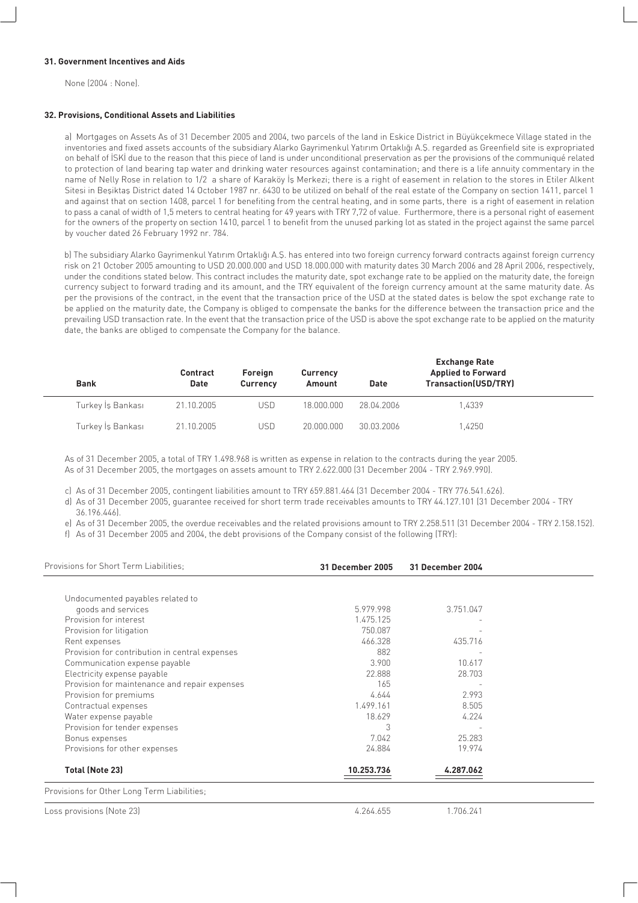#### **31. Government Incentives and Aids**

None (2004 : None).

#### **32. Provisions, Conditional Assets and Liabilities**

a) Mortgages on Assets As of 31 December 2005 and 2004, two parcels of the land in Eskice District in Büyükçekmece Village stated in the inventories and fixed assets accounts of the subsidiary Alarko Gayrimenkul Yatırım Ortaklığı A.Ş. regarded as Greenfield site is expropriated on behalf of ISKI due to the reason that this piece of land is under unconditional preservation as per the provisions of the communiqué related to protection of land bearing tap water and drinking water resources against contamination; and there is a life annuity commentary in the name of Nelly Rose in relation to 1/2 a share of Karaköy Is Merkezi; there is a right of easement in relation to the stores in Etiler Alkent Sitesi in Besiktas District dated 14 October 1987 nr. 6430 to be utilized on behalf of the real estate of the Company on section 1411, parcel 1 and against that on section 1408, parcel 1 for benefiting from the central heating, and in some parts, there is a right of easement in relation to pass a canal of width of 1,5 meters to central heating for 49 years with TRY 7,72 of value. Furthermore, there is a personal right of easement for the owners of the property on section 1410, parcel 1 to benefit from the unused parking lot as stated in the project against the same parcel by voucher dated 26 February 1992 nr. 784.

b) The subsidiary Alarko Gayrimenkul Yatırım Ortaklığı A.Ş. has entered into two foreign currency forward contracts against foreign currency risk on 21 October 2005 amounting to USD 20.000.000 and USD 18.000.000 with maturity dates 30 March 2006 and 28 April 2006, respectively, under the conditions stated below. This contract includes the maturity date, spot exchange rate to be applied on the maturity date, the foreign currency subject to forward trading and its amount, and the TRY equivalent of the foreign currency amount at the same maturity date. As per the provisions of the contract, in the event that the transaction price of the USD at the stated dates is below the spot exchange rate to be applied on the maturity date, the Company is obliged to compensate the banks for the difference between the transaction price and the prevailing USD transaction rate. In the event that the transaction price of the USD is above the spot exchange rate to be applied on the maturity date, the banks are obliged to compensate the Company for the balance.

| <b>Bank</b>       | <b>Contract</b><br>Date | <b>Foreign</b><br><b>Currency</b> | <b>Currency</b><br>Amount | Date       | <b>Exchange Rate</b><br><b>Applied to Forward</b><br><b>Transaction(USD/TRY)</b> |  |
|-------------------|-------------------------|-----------------------------------|---------------------------|------------|----------------------------------------------------------------------------------|--|
| Turkey İs Bankası | 21.10.2005              | USD                               | 18.000.000                | 28.04.2006 | 1.4339                                                                           |  |
| Turkey İş Bankası | 21.10.2005              | USD                               | 20,000,000                | 30.03.2006 | 1.4250                                                                           |  |

As of 31 December 2005, a total of TRY 1.498.968 is written as expense in relation to the contracts during the year 2005. As of 31 December 2005, the mortgages on assets amount to TRY 2.622.000 (31 December 2004 - TRY 2.969.990).

c) As of 31 December 2005, contingent liabilities amount to TRY 659.881.464 (31 December 2004 - TRY 776.541.626).

d) As of 31 December 2005, guarantee received for short term trade receivables amounts to TRY 44.127.101 (31 December 2004 - TRY 36.196.446).

e) As of 31 December 2005, the overdue receivables and the related provisions amount to TRY 2.258.511 (31 December 2004 - TRY 2.158.152).

f) As of 31 December 2005 and 2004, the debt provisions of the Company consist of the following (TRY):

| Provisions for Short Term Liabilities:         | 31 December 2005 | 31 December 2004 |  |
|------------------------------------------------|------------------|------------------|--|
| Undocumented payables related to               |                  |                  |  |
| goods and services                             | 5.979.998        | 3.751.047        |  |
| Provision for interest                         | 1.475.125        |                  |  |
| Provision for litigation                       | 750.087          |                  |  |
| Rent expenses                                  | 466.328          | 435.716          |  |
| Provision for contribution in central expenses | 882              |                  |  |
| Communication expense payable                  | 3.900            | 10.617           |  |
| Electricity expense payable                    | 22.888           | 28.703           |  |
| Provision for maintenance and repair expenses  | 165              |                  |  |
| Provision for premiums                         | 4.644            | 2.993            |  |
| Contractual expenses                           | 1.499.161        | 8.505            |  |
| Water expense payable                          | 18.629           | 4.224            |  |
| Provision for tender expenses                  | 3                |                  |  |
| Bonus expenses                                 | 7.042            | 25.283           |  |
| Provisions for other expenses                  | 24.884           | 19.974           |  |
| <b>Total (Note 23)</b>                         | 10.253.736       | 4.287.062        |  |
| Provisions for Other Long Term Liabilities;    |                  |                  |  |
| Loss provisions (Note 23)                      | 4.264.655        | 1.706.241        |  |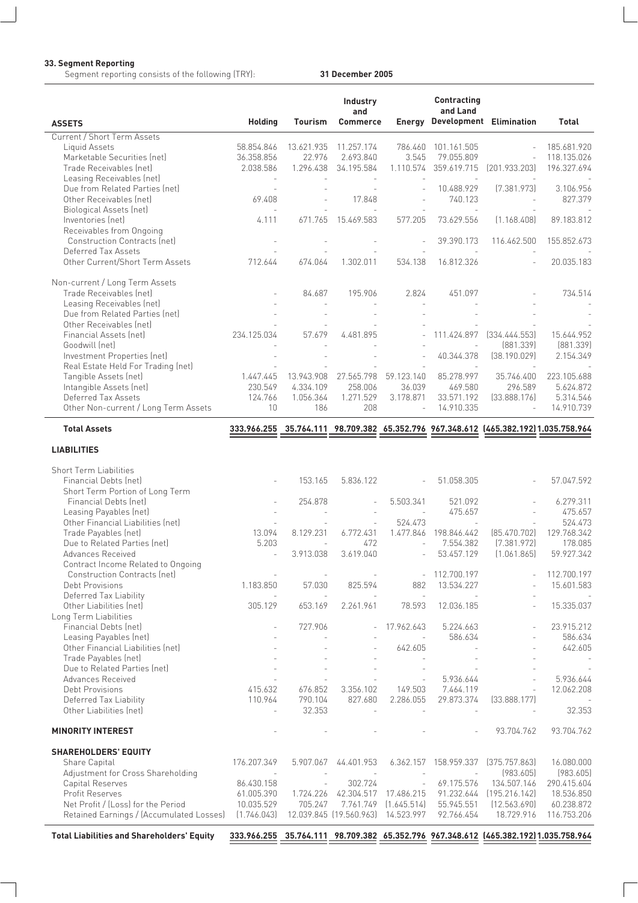#### **33. Segment Reporting**

Segment reporting consists of the following (TRY): **31 December 2005**

| <b>ASSETS</b>                                             | <b>Holding</b>           | <b>Tourism</b>           | <b>Industry</b><br>and<br><b>Commerce</b> |                          | <b>Contracting</b><br>and Land | <b>Energy Development Elimination</b>                                                | Total                  |
|-----------------------------------------------------------|--------------------------|--------------------------|-------------------------------------------|--------------------------|--------------------------------|--------------------------------------------------------------------------------------|------------------------|
| Current / Short Term Assets                               |                          |                          |                                           |                          |                                |                                                                                      |                        |
| Liquid Assets                                             | 58.854.846               | 13.621.935               | 11.257.174                                |                          | 786.460 101.161.505            |                                                                                      | 185.681.920            |
| Marketable Securities (net)                               | 36.358.856               | 22.976                   | 2.693.840                                 | 3.545                    | 79.055.809                     |                                                                                      | 118.135.026            |
| Trade Receivables (net)                                   | 2.038.586                | 1.296.438                | 34.195.584                                |                          | 1.110.574 359.619.715          | [201.933.203]                                                                        | 196.327.694            |
| Leasing Receivables (net)                                 |                          |                          |                                           |                          |                                |                                                                                      |                        |
| Due from Related Parties (net)                            | $\sim$                   |                          | $\overline{\phantom{a}}$                  |                          | 10.488.929                     | [7.381.973]                                                                          | 3.106.956              |
| Other Receivables (net)                                   | 69.408                   |                          | 17.848                                    |                          | 740.123                        |                                                                                      | 827.379                |
| Biological Assets (net)                                   | $\sim$                   |                          | $\overline{a}$                            |                          | $\overline{\phantom{a}}$       |                                                                                      |                        |
| Inventories (net)                                         | 4.111                    | 671.765                  | 15.469.583                                | 577.205                  | 73.629.556                     | [1.168.408]                                                                          | 89.183.812             |
| Receivables from Ongoing                                  |                          |                          |                                           |                          |                                |                                                                                      |                        |
| <b>Construction Contracts (net)</b>                       |                          |                          |                                           |                          | 39.390.173                     | 116.462.500                                                                          | 155.852.673            |
| Deferred Tax Assets                                       |                          |                          |                                           |                          |                                |                                                                                      |                        |
| Other Current/Short Term Assets                           | 712.644                  | 674.064                  | 1.302.011                                 | 534.138                  | 16.812.326                     |                                                                                      | 20.035.183             |
|                                                           |                          |                          |                                           |                          |                                |                                                                                      |                        |
| Non-current / Long Term Assets                            |                          |                          |                                           |                          |                                |                                                                                      |                        |
| Trade Receivables (net)                                   |                          | 84.687                   | 195.906                                   | 2.824                    | 451.097                        |                                                                                      | 734.514                |
| Leasing Receivables (net)                                 |                          |                          |                                           |                          |                                |                                                                                      |                        |
| Due from Related Parties (net)<br>Other Receivables (net) |                          |                          |                                           |                          |                                |                                                                                      |                        |
| Financial Assets (net)                                    |                          | 57.679                   | 4.481.895                                 |                          | 111.424.897                    | [334.444.553]                                                                        |                        |
| Goodwill (net)                                            | 234.125.034              |                          |                                           |                          |                                | [881.339]                                                                            | 15.644.952             |
| Investment Properties (net)                               |                          |                          |                                           |                          | 40.344.378                     | [38.190.029]                                                                         | [881.339]<br>2.154.349 |
| Real Estate Held For Trading (net)                        |                          |                          |                                           |                          |                                |                                                                                      |                        |
| Tangible Assets (net)                                     | 1.447.445                | 13.943.908               | 27.565.798                                | 59.123.140               | 85.278.997                     | 35.746.400                                                                           | 223.105.688            |
| Intangible Assets (net)                                   | 230.549                  | 4.334.109                | 258.006                                   | 36.039                   | 469.580                        | 296.589                                                                              | 5.624.872              |
| Deferred Tax Assets                                       | 124.766                  | 1.056.364                | 1.271.529                                 | 3.178.871                | 33.571.192                     | [33.888.176]                                                                         | 5.314.546              |
| Other Non-current / Long Term Assets                      | 10                       | 186                      | 208                                       | $\mathcal{L}$            | 14.910.335                     |                                                                                      | 14.910.739             |
| <b>Total Assets</b>                                       |                          |                          |                                           |                          |                                | 333.966.255 35.764.111 98.709.382 65.352.796 967.348.612 [465.382.192] 1.035.758.964 |                        |
|                                                           |                          |                          |                                           |                          |                                |                                                                                      |                        |
| <b>LIABILITIES</b>                                        |                          |                          |                                           |                          |                                |                                                                                      |                        |
| <b>Short Term Liabilities</b>                             |                          |                          |                                           |                          |                                |                                                                                      |                        |
| Financial Debts (net)                                     |                          | 153.165                  | 5.836.122                                 |                          | 51.058.305                     |                                                                                      | 57.047.592             |
| Short Term Portion of Long Term                           |                          |                          |                                           |                          |                                |                                                                                      |                        |
| Financial Debts (net)                                     |                          | 254.878                  | $\overline{\phantom{a}}$                  | 5.503.341                | 521.092                        |                                                                                      | 6.279.311              |
| Leasing Payables (net)                                    |                          |                          |                                           |                          | 475.657                        |                                                                                      | 475.657                |
| Other Financial Liabilities (net)                         |                          |                          | $\overline{\phantom{0}}$                  | 524.473                  |                                |                                                                                      | 524.473                |
| Trade Payables (net)                                      | 13.094                   | 8.129.231                | 6.772.431                                 |                          | 1.477.846 198.846.442          | [85.470.702]                                                                         | 129.768.342            |
| Due to Related Parties (net)                              | 5.203                    | $\overline{a}$           | 472                                       | $\sim$                   | 7.554.382                      | [7.381.972]                                                                          | 178.085                |
| Advances Received                                         |                          | 3.913.038                | 3.619.040                                 |                          | 53.457.129                     | (1.061.865)                                                                          | 59.927.342             |
| Contract Income Related to Ongoing                        |                          |                          |                                           |                          |                                |                                                                                      |                        |
| Construction Contracts (net)                              | $\overline{\phantom{a}}$ | $\overline{\phantom{a}}$ |                                           | $\overline{\phantom{0}}$ | 112.700.197                    |                                                                                      | 112.700.197            |
| Debt Provisions                                           | 1.183.850                | 57.030                   | 825.594                                   | 882                      | 13.534.227                     |                                                                                      | 15.601.583             |
| Deferred Tax Liability                                    |                          |                          |                                           | $\sim$                   |                                |                                                                                      |                        |
| Other Liabilities (net)                                   | 305.129                  | 653.169                  | 2.261.961                                 | 78.593                   | 12.036.185                     |                                                                                      | 15.335.037             |
| Long Term Liabilities                                     |                          |                          |                                           | 17.962.643               | 5.224.663                      |                                                                                      |                        |
| Financial Debts (net)<br>Leasing Payables (net)           | $\overline{a}$           | 727.906                  | $\overline{\phantom{a}}$                  |                          | 586.634                        |                                                                                      | 23.915.212<br>586.634  |
| Other Financial Liabilities (net)                         |                          |                          |                                           | 642.605                  |                                |                                                                                      | 642.605                |
| Trade Payables (net)                                      |                          |                          | $\overline{\phantom{m}}$                  |                          |                                |                                                                                      |                        |
| Due to Related Parties (net)                              |                          |                          |                                           |                          |                                |                                                                                      |                        |
| Advances Received                                         |                          |                          |                                           |                          | 5.936.644                      |                                                                                      | 5.936.644              |
| Debt Provisions                                           | 415.632                  | 676.852                  | 3.356.102                                 | 149.503                  | 7.464.119                      |                                                                                      | 12.062.208             |
| Deferred Tax Liability                                    | 110.964                  | 790.104                  | 827.680                                   | 2.286.055                | 29.873.374                     | [33.888.177]                                                                         |                        |
| Other Liabilities (net)                                   | $\overline{\phantom{a}}$ | 32.353                   | $\centerdot$                              | $\overline{\phantom{a}}$ | $\overline{\phantom{a}}$       |                                                                                      | 32.353                 |
| <b>MINORITY INTEREST</b>                                  |                          |                          |                                           |                          |                                | 93.704.762                                                                           | 93.704.762             |
|                                                           |                          |                          |                                           |                          |                                |                                                                                      |                        |
| <b>SHAREHOLDERS' EQUITY</b>                               |                          |                          |                                           |                          |                                |                                                                                      |                        |
| Share Capital                                             | 176.207.349              | 5.907.067                | 44.401.953                                |                          | 6.362.157 158.959.337          | (375.757.863)                                                                        | 16.080.000             |
| Adjustment for Cross Shareholding                         |                          |                          |                                           |                          | $\overline{\phantom{a}}$       | (983.605)                                                                            | (983.605)              |
| Capital Reserves                                          | 86.430.158               |                          | 302.724                                   |                          | 69.175.576                     | 134.507.146                                                                          | 290.415.604            |
| <b>Profit Reserves</b>                                    | 61.005.390               | 1.724.226                |                                           | 42.304.517 17.486.215    |                                | 91.232.644 [195.216.142]                                                             | 18.536.850             |
| Net Profit / (Loss) for the Period                        | 10.035.529               | 705.247                  | 7.761.749                                 | (1.645.514)              | 55.945.551                     | (12.563.690)                                                                         | 60.238.872             |
| Retained Earnings / (Accumulated Losses)                  | (1.746.043)              |                          | 12.039.845 (19.560.963)                   | 14.523.997               | 92.766.454                     | 18.729.916                                                                           | 116.753.206            |
| <b>Total Liabilities and Shareholders' Equity</b>         |                          |                          |                                           |                          |                                | 333.966.255 35.764.111 98.709.382 65.352.796 967.348.612 [465.382.192] 1.035.758.964 |                        |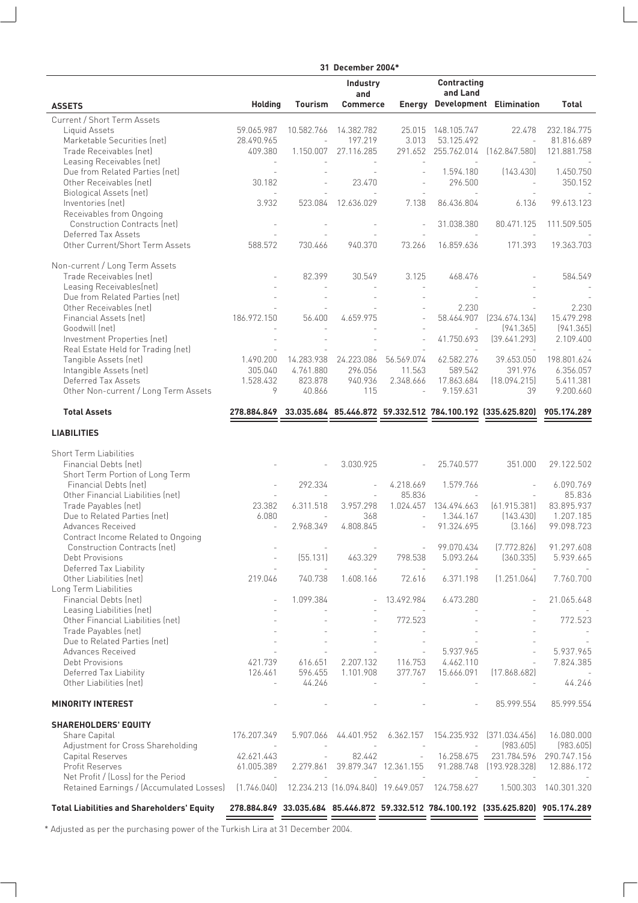|                                                                   | 31 December 2004*                 |                          |                                           |                                                      |                          |                                                                                    |                           |
|-------------------------------------------------------------------|-----------------------------------|--------------------------|-------------------------------------------|------------------------------------------------------|--------------------------|------------------------------------------------------------------------------------|---------------------------|
|                                                                   |                                   |                          | <b>Industry</b>                           |                                                      | <b>Contracting</b>       |                                                                                    |                           |
|                                                                   |                                   |                          | and                                       |                                                      | and Land                 |                                                                                    |                           |
| <b>ASSETS</b>                                                     | <b>Holding</b>                    | Tourism                  | <b>Commerce</b>                           |                                                      |                          | <b>Energy Development Elimination</b>                                              | Total                     |
| Current / Short Term Assets                                       |                                   | 10.582.766               |                                           |                                                      | 148.105.747              |                                                                                    |                           |
| Liquid Assets<br>Marketable Securities (net)                      | 59.065.987<br>28.490.965          | $\overline{\phantom{a}}$ | 14.382.782<br>197.219                     | 25.015<br>3.013                                      | 53.125.492               | 22.478<br>$\sim$                                                                   | 232.184.775<br>81.816.689 |
| Trade Receivables (net)                                           | 409.380                           | 1.150.007                | 27.116.285                                |                                                      | 291.652 255.762.014      | [162.847.580]                                                                      | 121.881.758               |
| Leasing Receivables (net)                                         |                                   |                          |                                           | $\sim$                                               |                          |                                                                                    |                           |
| Due from Related Parties (net)                                    | $\overline{\phantom{a}}$          |                          |                                           | $\sim$                                               | 1.594.180                | [143.430]                                                                          | 1.450.750                 |
| Other Receivables (net)                                           | 30.182                            |                          | 23.470                                    |                                                      | 296.500                  |                                                                                    | 350.152                   |
| Biological Assets (net)                                           | $\sim$                            |                          |                                           | $\overline{\phantom{a}}$                             | $\overline{\phantom{a}}$ |                                                                                    |                           |
| Inventories (net)                                                 | 3.932                             | 523.084                  | 12.636.029                                | 7.138                                                | 86.436.804               | 6.136                                                                              | 99.613.123                |
| Receivables from Ongoing<br>Construction Contracts (net)          | $\sim$                            |                          |                                           | $\overline{a}$                                       |                          | 80.471.125                                                                         |                           |
| Deferred Tax Assets                                               |                                   |                          |                                           |                                                      | 31.038.380               |                                                                                    | 111.509.505               |
| Other Current/Short Term Assets                                   | 588.572                           | 730.466                  | 940.370                                   | 73.266                                               | 16.859.636               | 171.393                                                                            | 19.363.703                |
| Non-current / Long Term Assets                                    |                                   |                          |                                           |                                                      |                          |                                                                                    |                           |
| Trade Receivables (net)                                           |                                   | 82.399                   | 30.549                                    | 3.125                                                | 468.476                  |                                                                                    | 584.549                   |
| Leasing Receivables(net)                                          |                                   |                          |                                           |                                                      |                          |                                                                                    |                           |
| Due from Related Parties (net)                                    |                                   |                          |                                           |                                                      |                          |                                                                                    |                           |
| Other Receivables (net)                                           |                                   |                          |                                           |                                                      | 2.230                    |                                                                                    | 2.230                     |
| Financial Assets (net)                                            | 186.972.150                       | 56.400                   | 4.659.975                                 |                                                      | 58.464.907               | [234.674.134]                                                                      | 15.479.298                |
| Goodwill (net)                                                    |                                   |                          |                                           |                                                      | $\mathcal{L}$            | [941.365]                                                                          | [941.365]                 |
| Investment Properties (net)<br>Real Estate Held for Trading (net) |                                   |                          |                                           | $\overline{a}$                                       | 41.750.693               | [39.641.293]                                                                       | 2.109.400                 |
| Tangible Assets (net)                                             | 1.490.200                         | 14.283.938               | 24.223.086                                | 56.569.074                                           | 62.582.276               | 39.653.050                                                                         | 198.801.624               |
| Intangible Assets (net)                                           | 305.040                           | 4.761.880                | 296.056                                   | 11.563                                               | 589.542                  | 391.976                                                                            | 6.356.057                 |
| Deferred Tax Assets                                               | 1.528.432                         | 823.878                  | 940.936                                   | 2.348.666                                            | 17.863.684               | (18.094.215)                                                                       | 5.411.381                 |
| Other Non-current / Long Term Assets                              | 9                                 | 40.866                   | 115                                       | $\overline{\phantom{a}}$                             | 9.159.631                | 39                                                                                 | 9.200.660                 |
| <b>Total Assets</b>                                               |                                   |                          |                                           |                                                      |                          | 278.884.849 33.035.684 85.446.872 59.332.512 784.100.192 (335.625.820)             | 905.174.289               |
| <b>LIABILITIES</b>                                                |                                   |                          |                                           |                                                      |                          |                                                                                    |                           |
| <b>Short Term Liabilities</b>                                     |                                   |                          |                                           |                                                      |                          |                                                                                    |                           |
| Financial Debts (net)                                             |                                   |                          | 3.030.925                                 |                                                      | 25.740.577               | 351.000                                                                            | 29.122.502                |
| Short Term Portion of Long Term                                   |                                   |                          |                                           |                                                      |                          |                                                                                    |                           |
| Financial Debts (net)                                             |                                   | 292.334                  |                                           | 4.218.669                                            | 1.579.766                |                                                                                    | 6.090.769                 |
| Other Financial Liabilities (net)                                 | $\sim$                            |                          | $\overline{\phantom{a}}$                  | 85.836                                               |                          |                                                                                    | 85.836                    |
| Trade Payables (net)                                              | 23.382                            | 6.311.518                | 3.957.298                                 |                                                      | 1.024.457 134.494.663    | [61.915.381]                                                                       | 83.895.937                |
| Due to Related Parties (net)<br>Advances Received                 | 6.080<br>$\overline{\phantom{a}}$ | 2.968.349                | 368<br>4.808.845                          | $\overline{\phantom{a}}$<br>$\overline{\phantom{a}}$ | 1.344.167<br>91.324.695  | [143.430]<br>[3.166]                                                               | 1.207.185<br>99.098.723   |
| Contract Income Related to Ongoing                                |                                   |                          |                                           |                                                      |                          |                                                                                    |                           |
| <b>Construction Contracts (net)</b>                               |                                   |                          |                                           | $\overline{a}$                                       | 99.070.434               | (7.772.826)                                                                        | 91.297.608                |
| Debt Provisions                                                   |                                   | [55.131]                 | 463.329                                   | 798.538                                              | 5.093.264                | [360.335]                                                                          | 5.939.665                 |
| Deferred Tax Liability                                            |                                   |                          |                                           |                                                      |                          |                                                                                    |                           |
| Other Liabilities (net)                                           | 219.046                           | 740.738                  | 1.608.166                                 | 72.616                                               | 6.371.198                | (1.251.064)                                                                        | 7.760.700                 |
| Long Term Liabilities<br>Financial Debts (net)                    |                                   | 1.099.384                |                                           | 13.492.984                                           | 6.473.280                |                                                                                    | 21.065.648                |
| Leasing Liabilities (net)                                         |                                   |                          |                                           | $\sim$                                               |                          |                                                                                    |                           |
| Other Financial Liabilities (net)                                 |                                   |                          |                                           | 772.523                                              |                          |                                                                                    | 772.523                   |
| Trade Payables (net)                                              |                                   |                          |                                           |                                                      |                          |                                                                                    |                           |
| Due to Related Parties (net)                                      |                                   |                          |                                           |                                                      |                          |                                                                                    |                           |
| Advances Received                                                 |                                   |                          |                                           |                                                      | 5.937.965                |                                                                                    | 5.937.965                 |
| Debt Provisions<br>Deferred Tax Liability                         | 421.739<br>126.461                | 616.651<br>596.455       | 2.207.132<br>1.101.908                    | 116.753<br>377.767                                   | 4.462.110<br>15.666.091  | $\overline{\phantom{a}}$<br>(17.868.682)                                           | 7.824.385                 |
| Other Liabilities (net)                                           |                                   | 44.246                   |                                           |                                                      |                          |                                                                                    | 44.246                    |
| <b>MINORITY INTEREST</b>                                          |                                   |                          |                                           |                                                      |                          | 85.999.554                                                                         | 85.999.554                |
| <b>SHAREHOLDERS' EQUITY</b>                                       |                                   |                          |                                           |                                                      |                          |                                                                                    |                           |
| Share Capital                                                     | 176.207.349                       |                          | 5.907.066 44.401.952 6.362.157            |                                                      |                          | 154.235.932 (371.034.456)                                                          | 16.080.000                |
| Adjustment for Cross Shareholding                                 |                                   |                          |                                           |                                                      | $\mathcal{L}$            | [983.605]                                                                          | (983.605)                 |
| Capital Reserves<br>Profit Reserves                               | 42.621.443<br>61.005.389          | $\bar{ }$                | 82.442<br>2.279.861 39.879.347 12.361.155 | $\overline{\phantom{a}}$                             | 16.258.675<br>91.288.748 | 231.784.596<br>(193.928.328)                                                       | 290.747.156<br>12.886.172 |
| Net Profit / (Loss) for the Period                                |                                   |                          |                                           |                                                      | $\overline{\phantom{a}}$ |                                                                                    |                           |
| Retained Earnings / (Accumulated Losses)                          | (1.746.040)                       |                          | 12.234.213 (16.094.840) 19.649.057        |                                                      | 124.758.627              | 1.500.303                                                                          | 140.301.320               |
| <b>Total Liabilities and Shareholders' Equity</b>                 |                                   |                          |                                           |                                                      |                          | 278.884.849 33.035.684 85.446.872 59.332.512 784.100.192 (335.625.820) 905.174.289 |                           |

\* Adjusted as per the purchasing power of the Turkish Lira at 31 December 2004.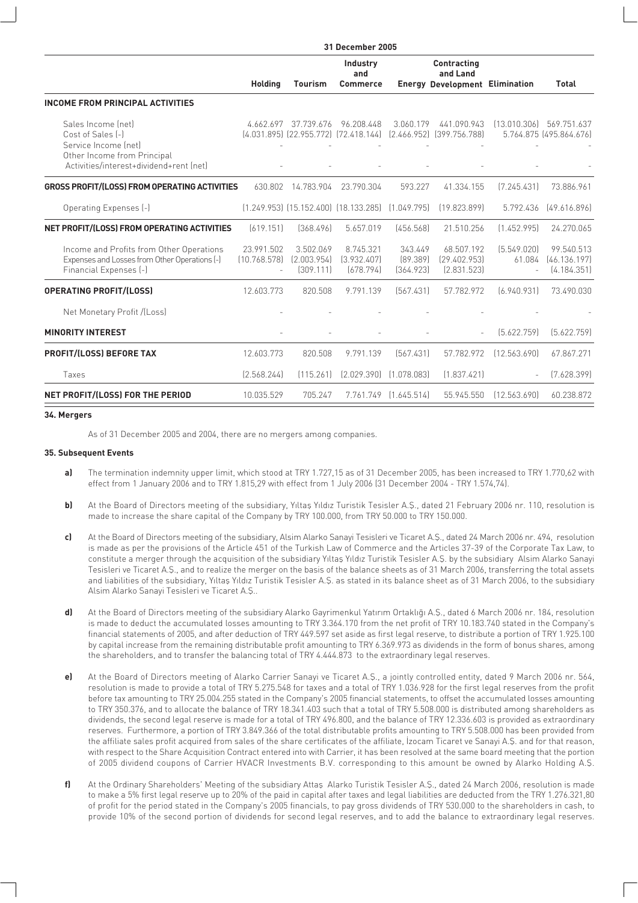| <b>31 December 2005</b>    |                                       |                                       |                                                                                                    |                                           |                                                                                                                                                                           |                                                                                                                           |
|----------------------------|---------------------------------------|---------------------------------------|----------------------------------------------------------------------------------------------------|-------------------------------------------|---------------------------------------------------------------------------------------------------------------------------------------------------------------------------|---------------------------------------------------------------------------------------------------------------------------|
| <b>Holding</b>             | <b>Tourism</b>                        | Industry<br>and<br><b>Commerce</b>    |                                                                                                    | Contracting<br>and Land                   |                                                                                                                                                                           | <b>Total</b>                                                                                                              |
|                            |                                       |                                       |                                                                                                    |                                           |                                                                                                                                                                           |                                                                                                                           |
|                            |                                       | 96.208.448                            |                                                                                                    | 441.090.943                               |                                                                                                                                                                           | 569.751.637<br>5.764.875 (495.864.676)                                                                                    |
|                            |                                       |                                       |                                                                                                    |                                           |                                                                                                                                                                           |                                                                                                                           |
|                            |                                       | 23.790.304                            |                                                                                                    | 41.334.155                                |                                                                                                                                                                           | 73.886.961                                                                                                                |
|                            |                                       |                                       |                                                                                                    | [19.823.899]                              |                                                                                                                                                                           | [49.616.896]                                                                                                              |
| [619.151]                  | [368.496]                             | 5.657.019                             |                                                                                                    | 21.510.256                                | [1.452.995]                                                                                                                                                               | 24.270.065                                                                                                                |
| 23.991.502<br>[10.768.578] | 3.502.069<br>[2.003.954]<br>[309.111] | 8.745.321<br>[3.932.407]<br>(678.794) |                                                                                                    | 68.507.192<br>[29.402.953]<br>[2.831.523] |                                                                                                                                                                           | 99.540.513<br>[46.136.197]<br>[4.184.351]                                                                                 |
|                            | 820,508                               | 9.791.139                             |                                                                                                    | 57.782.972                                |                                                                                                                                                                           | 73.490.030                                                                                                                |
|                            |                                       |                                       |                                                                                                    |                                           |                                                                                                                                                                           |                                                                                                                           |
|                            |                                       |                                       |                                                                                                    |                                           | [5.622.759]                                                                                                                                                               | [5.622.759]                                                                                                               |
| 12.603.773                 | 820.508                               | 9.791.139                             |                                                                                                    | 57.782.972                                | [12.563.690]                                                                                                                                                              | 67.867.271                                                                                                                |
| [2.568.244]                |                                       | [2.029.390]                           |                                                                                                    | [1.837.421]                               |                                                                                                                                                                           | [7.628.399]                                                                                                               |
| 10.035.529                 | 705.247                               | 7.761.749                             |                                                                                                    | 55.945.550                                | [12.563.690]                                                                                                                                                              | 60.238.872                                                                                                                |
|                            | 4.662.697<br>12.603.773               | 14.783.904<br>630.802<br>[115.261]    | 37.739.676<br>(4.031.895) (22.955.772) (72.418.144)<br>$(1.249.953)$ $(15.152.400)$ $(18.133.285)$ |                                           | 3.060.179<br>[2.466.952] [399.756.788]<br>593.227<br>[1.049.795]<br>[456.568]<br>343.449<br>[89.389]<br>[364.923]<br>[567.431]<br>[567.431]<br>[1.078.083]<br>[1.645.514] | <b>Energy Development Elimination</b><br>[13.010.306]<br>[7.245.431]<br>5.792.436<br>[5.549.020]<br>61.084<br>[6.940.931] |

### **34. Mergers**

As of 31 December 2005 and 2004, there are no mergers among companies.

## **35. Subsequent Events**

- **a)** The termination indemnity upper limit, which stood at TRY 1.727,15 as of 31 December 2005, has been increased to TRY 1.770,62 with effect from 1 January 2006 and to TRY 1.815,29 with effect from 1 July 2006 (31 December 2004 - TRY 1.574,74).
- **b)** At the Board of Directors meeting of the subsidiary, Yıltaş Yıldız Turistik Tesisler A.Ş., dated 21 February 2006 nr. 110, resolution is made to increase the share capital of the Company by TRY 100.000, from TRY 50.000 to TRY 150.000.
- **c)** At the Board of Directors meeting of the subsidiary, Alsim Alarko Sanayi Tesisleri ve Ticaret A.fi., dated 24 March 2006 nr. 494, resolution is made as per the provisions of the Article 451 of the Turkish Law of Commerce and the Articles 37-39 of the Corporate Tax Law, to constitute a merger through the acquisition of the subsidiary Yıltaş Yıldız Turistik Tesisler A.Ş. by the subsidiary Alsim Alarko Sanayi Tesisleri ve Ticaret A.S., and to realize the merger on the basis of the balance sheets as of 31 March 2006, transferring the total assets and liabilities of the subsidiary, Yıltas Yıldız Turistik Tesisler A.S. as stated in its balance sheet as of 31 March 2006, to the subsidiary Alsim Alarko Sanayi Tesisleri ve Ticaret A.Ş..
- **d)** At the Board of Directors meeting of the subsidiary Alarko Gayrimenkul Yatırım Ortaklığı A.S., dated 6 March 2006 nr. 184, resolution is made to deduct the accumulated losses amounting to TRY 3.364.170 from the net profit of TRY 10.183.740 stated in the Company's financial statements of 2005, and after deduction of TRY 449.597 set aside as first legal reserve, to distribute a portion of TRY 1.925.100 by capital increase from the remaining distributable profit amounting to TRY 6.369.973 as dividends in the form of bonus shares, among the shareholders, and to transfer the balancing total of TRY 4.444.873 to the extraordinary legal reserves.
- **e)** At the Board of Directors meeting of Alarko Carrier Sanayi ve Ticaret A.S., a jointly controlled entity, dated 9 March 2006 nr. 564, resolution is made to provide a total of TRY 5.275.548 for taxes and a total of TRY 1.036.928 for the first legal reserves from the profit before tax amounting to TRY 25.004.255 stated in the Company's 2005 financial statements, to offset the accumulated losses amounting to TRY 350.376, and to allocate the balance of TRY 18.341.403 such that a total of TRY 5.508.000 is distributed among shareholders as dividends, the second legal reserve is made for a total of TRY 496.800, and the balance of TRY 12.336.603 is provided as extraordinary reserves. Furthermore, a portion of TRY 3.849.366 of the total distributable profits amounting to TRY 5.508.000 has been provided from the affiliate sales profit acquired from sales of the share certificates of the affiliate, *Izocam Ticaret ve Sanayi A.S.* and for that reason, with respect to the Share Acquisition Contract entered into with Carrier, it has been resolved at the same board meeting that the portion of 2005 dividend coupons of Carrier HVACR Investments B.V. corresponding to this amount be owned by Alarko Holding A.fi.
- f) At the Ordinary Shareholders' Meeting of the subsidiary Attas Alarko Turistik Tesisler A.S., dated 24 March 2006, resolution is made to make a 5% first legal reserve up to 20% of the paid in capital after taxes and legal liabilities are deducted from the TRY 1.276.321,80 of profit for the period stated in the Company's 2005 financials, to pay gross dividends of TRY 530.000 to the shareholders in cash, to provide 10% of the second portion of dividends for second legal reserves, and to add the balance to extraordinary legal reserves.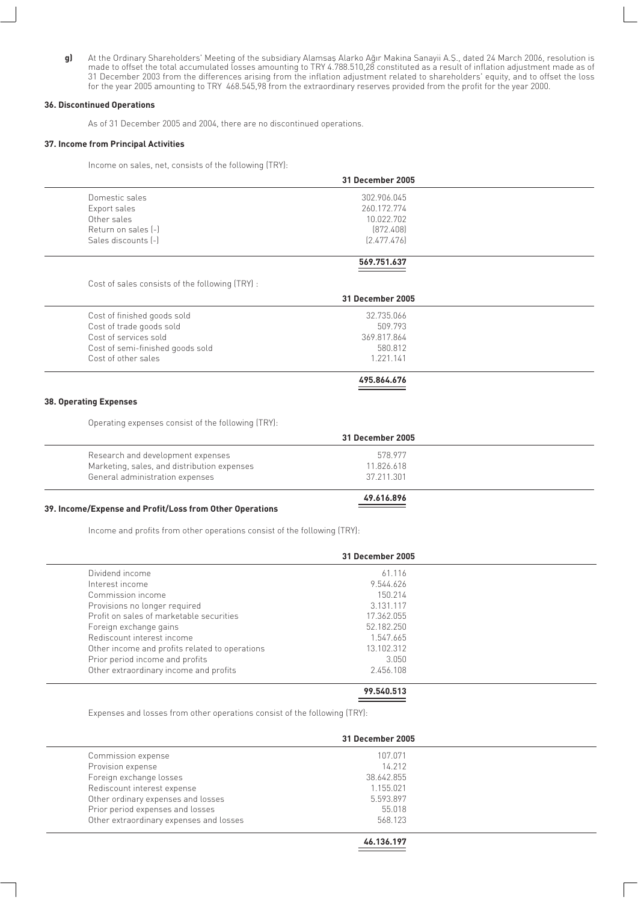**g)** At the Ordinary Shareholders' Meeting of the subsidiary Alamsas Alarko Aqur Makina Sanayii A.S., dated 24 March 2006, resolution is made to offset the total accumulated losses amounting to TRY 4.788.510,28 constituted as a result of inflation adjustment made as of 31 December 2003 from the differences arising from the inflation adjustment related to shareholders' equity, and to offset the loss for the year 2005 amounting to TRY 468.545,98 from the extraordinary reserves provided from the profit for the year 2000.

## **36. Discontinued Operations**

As of 31 December 2005 and 2004, there are no discontinued operations.

#### **37. Income from Principal Activities**

Income on sales, net, consists of the following (TRY):

|                     | 31 December 2005 |  |
|---------------------|------------------|--|
| Domestic sales      | 302.906.045      |  |
| Export sales        | 260.172.774      |  |
| Other sales         | 10.022.702       |  |
| Return on sales [-] | [872.408]        |  |
| Sales discounts [-] | [2.477.476]      |  |
|                     | 569.751.637      |  |

Cost of sales consists of the following (TRY) :

|                                  | 31 December 2005 |  |
|----------------------------------|------------------|--|
| Cost of finished goods sold      | 32.735.066       |  |
| Cost of trade goods sold         | 509.793          |  |
| Cost of services sold            | 369.817.864      |  |
| Cost of semi-finished goods sold | 580.812          |  |
| Cost of other sales              | 1 221 141        |  |
|                                  | 495.864.676      |  |

#### **38. Operating Expenses**

Operating expenses consist of the following (TRY):

|                                             | 31 December 2005 |  |
|---------------------------------------------|------------------|--|
| Research and development expenses           | 578 977          |  |
| Marketing, sales, and distribution expenses | 11.826.618       |  |
| General administration expenses             | 37.211.301       |  |
|                                             | 49.616.896       |  |

#### **39. Income/Expense and Profit/Loss from Other Operations**

Income and profits from other operations consist of the following (TRY):

|                                                | 31 December 2005 |  |
|------------------------------------------------|------------------|--|
| Dividend income                                | 61.116           |  |
| Interest income                                | 9.544.626        |  |
| Commission income                              | 150.214          |  |
| Provisions no longer required                  | 3.131.117        |  |
| Profit on sales of marketable securities       | 17.362.055       |  |
| Foreign exchange gains                         | 52.182.250       |  |
| Rediscount interest income                     | 1.547.665        |  |
| Other income and profits related to operations | 13.102.312       |  |
| Prior period income and profits                | 3.050            |  |
| Other extraordinary income and profits         | 2.456.108        |  |

## **99.540.513**

Expenses and losses from other operations consist of the following (TRY):

|                                         | 31 December 2005 |  |
|-----------------------------------------|------------------|--|
| Commission expense                      | 107.071          |  |
| Provision expense                       | 14.212           |  |
| Foreign exchange losses                 | 38.642.855       |  |
| Rediscount interest expense             | 1.155.021        |  |
| Other ordinary expenses and losses      | 5.593.897        |  |
| Prior period expenses and losses        | 55.018           |  |
| Other extraordinary expenses and losses | 568.123          |  |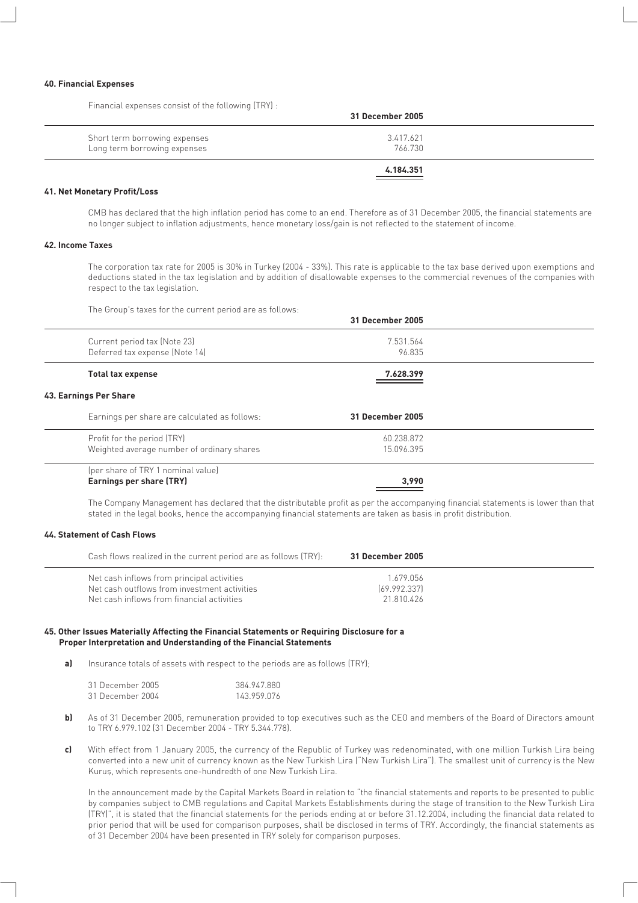#### **40. Financial Expenses**

Financial expenses consist of the following (TRY) :

| 31 December 2005     |                                                               |
|----------------------|---------------------------------------------------------------|
| 3.417.621<br>766.730 | Short term borrowing expenses<br>Long term borrowing expenses |
| 4.184.351            |                                                               |

#### **41. Net Monetary Profit/Loss**

CMB has declared that the high inflation period has come to an end. Therefore as of 31 December 2005, the financial statements are no longer subject to inflation adjustments, hence monetary loss/gain is not reflected to the statement of income.

#### **42. Income Taxes**

The corporation tax rate for 2005 is 30% in Turkey (2004 - 33%). This rate is applicable to the tax base derived upon exemptions and deductions stated in the tax legislation and by addition of disallowable expenses to the commercial revenues of the companies with respect to the tax legislation.

The Group's taxes for the current period are as follows:

|                                                                           | 31 December 2005         |  |
|---------------------------------------------------------------------------|--------------------------|--|
| Current period tax (Note 23)<br>Deferred tax expense (Note 14)            | 7.531.564<br>96.835      |  |
| <b>Total tax expense</b>                                                  | 7.628.399                |  |
| 43. Earnings Per Share                                                    |                          |  |
| Earnings per share are calculated as follows:                             | 31 December 2005         |  |
| Profit for the period (TRY)<br>Weighted average number of ordinary shares | 60.238.872<br>15.096.395 |  |
| (per share of TRY 1 nominal value)<br><b>Earnings per share (TRY)</b>     | 3.990                    |  |

The Company Management has declared that the distributable profit as per the accompanying financial statements is lower than that stated in the legal books, hence the accompanying financial statements are taken as basis in profit distribution.

## **44. Statement of Cash Flows**

| Cash flows realized in the current period are as follows (TRY):                                                                          | 31 December 2005                        |  |
|------------------------------------------------------------------------------------------------------------------------------------------|-----------------------------------------|--|
| Net cash inflows from principal activities<br>Net cash outflows from investment activities<br>Net cash inflows from financial activities | 1.679.056<br>[69.992.337]<br>21.810.426 |  |

#### **45. Other Issues Materially Affecting the Financial Statements or Requiring Disclosure for a Proper Interpretation and Understanding of the Financial Statements**

**a)** Insurance totals of assets with respect to the periods are as follows (TRY);

| 31 December 2005 | 384.947.880 |
|------------------|-------------|
| 31 December 2004 | 143.959.076 |

- **b)** As of 31 December 2005, remuneration provided to top executives such as the CEO and members of the Board of Directors amount to TRY 6.979.102 (31 December 2004 - TRY 5.344.778).
- **c)** With effect from 1 January 2005, the currency of the Republic of Turkey was redenominated, with one million Turkish Lira being converted into a new unit of currency known as the New Turkish Lira ("New Turkish Lira"). The smallest unit of currency is the New Kuruş, which represents one-hundredth of one New Turkish Lira.

In the announcement made by the Capital Markets Board in relation to "the financial statements and reports to be presented to public by companies subject to CMB regulations and Capital Markets Establishments during the stage of transition to the New Turkish Lira (TRY)", it is stated that the financial statements for the periods ending at or before 31.12.2004, including the financial data related to prior period that will be used for comparison purposes, shall be disclosed in terms of TRY. Accordingly, the financial statements as of 31 December 2004 have been presented in TRY solely for comparison purposes.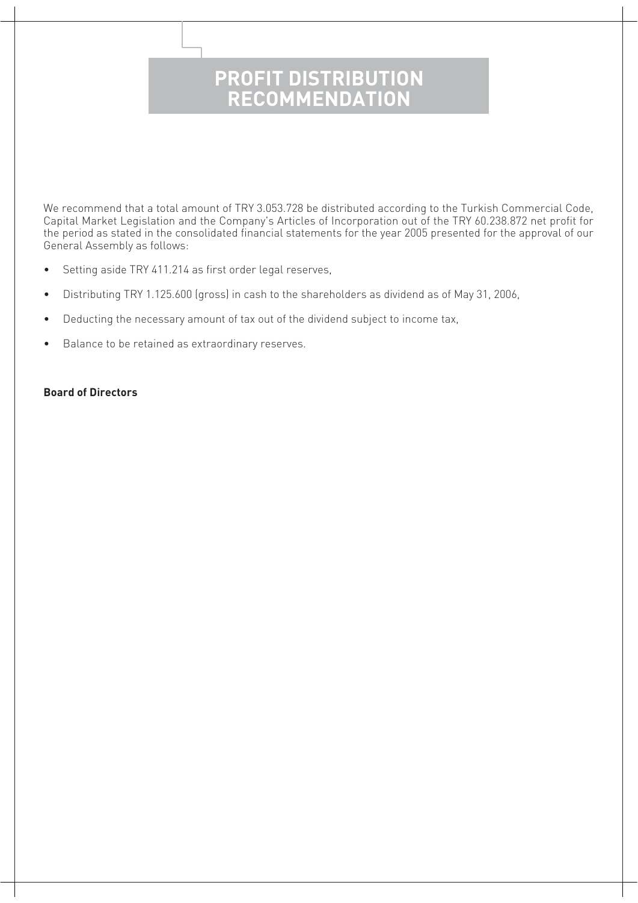## **PROFIT DISTRIBUTION RECOMMENDATION**

We recommend that a total amount of TRY 3.053.728 be distributed according to the Turkish Commercial Code, Capital Market Legislation and the Company's Articles of Incorporation out of the TRY 60.238.872 net profit for the period as stated in the consolidated financial statements for the year 2005 presented for the approval of our General Assembly as follows:

- Setting aside TRY 411.214 as first order legal reserves,
- Distributing TRY 1.125.600 (gross) in cash to the shareholders as dividend as of May 31, 2006,
- Deducting the necessary amount of tax out of the dividend subject to income tax,
- Balance to be retained as extraordinary reserves.

## **Board of Directors**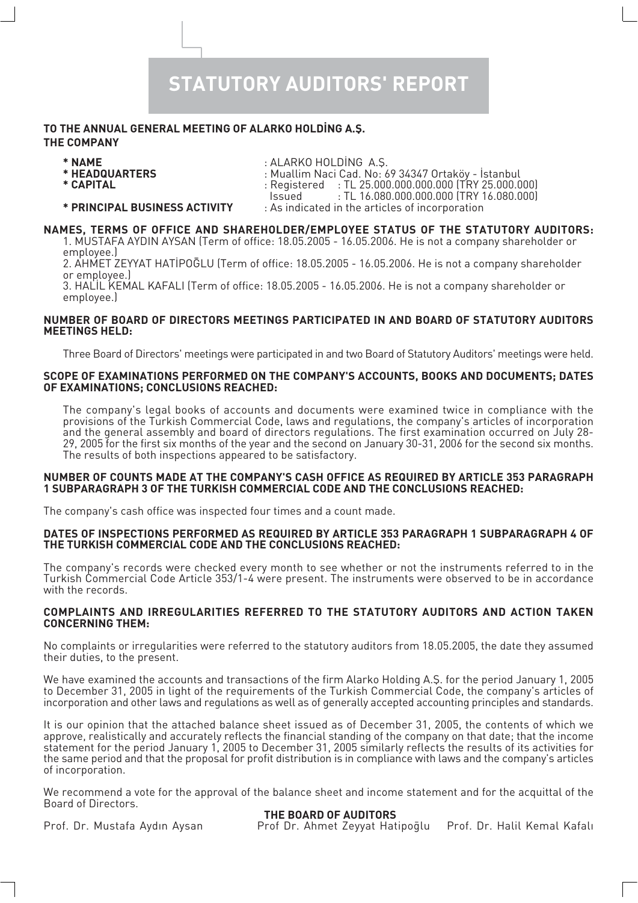## **STATUTORY AUDITORS' REPORT**

## TO THE ANNUAL GENERAL MEETING OF ALARKO HOLDING A.S. **THE COMPANY**

- 
- 
- 
- **\* NAME** : ALARKO HOLD‹NG A.fi.
- **\* HEADQUARTERS** : Muallim Naci Cad. No: 69 34347 Ortaköy ‹stanbul
	- **\* CAPITAL** : Registered : TL 25.000.000.000.000 (TRY 25.000.000)
	- $:$  TL 16.080.000.000.000 (TRY 16.080.000)
	-
- **\* PRINCIPAL BUSINESS ACTIVITY** : As indicated in the articles of incorporation

## **NAMES, TERMS OF OFFICE AND SHAREHOLDER/EMPLOYEE STATUS OF THE STATUTORY AUDITORS:**

1. MUSTAFA AYDIN AYSAN (Term of office: 18.05.2005 - 16.05.2006. He is not a company shareholder or employee.)

2. AHMET ZEYYAT HATİPOĞLU (Term of office: 18.05.2005 - 16.05.2006. He is not a company shareholder or employee.)

3. HALIL KEMAL KAFALI (Term of office: 18.05.2005 - 16.05.2006. He is not a company shareholder or employee.)

## **NUMBER OF BOARD OF DIRECTORS MEETINGS PARTICIPATED IN AND BOARD OF STATUTORY AUDITORS MEETINGS HELD:**

Three Board of Directors' meetings were participated in and two Board of Statutory Auditors' meetings were held.

## **SCOPE OF EXAMINATIONS PERFORMED ON THE COMPANY'S ACCOUNTS, BOOKS AND DOCUMENTS; DATES OF EXAMINATIONS; CONCLUSIONS REACHED:**

The company's legal books of accounts and documents were examined twice in compliance with the provisions of the Turkish Commercial Code, laws and regulations, the company's articles of incorporation and the general assembly and board of directors regulations. The first examination occurred on July 28- 29, 2005 for the first six months of the year and the second on January 30-31, 2006 for the second six months. The results of both inspections appeared to be satisfactory.

## **NUMBER OF COUNTS MADE AT THE COMPANY'S CASH OFFICE AS REQUIRED BY ARTICLE 353 PARAGRAPH 1 SUBPARAGRAPH 3 OF THE TURKISH COMMERCIAL CODE AND THE CONCLUSIONS REACHED:**

The company's cash office was inspected four times and a count made.

## **DATES OF INSPECTIONS PERFORMED AS REQUIRED BY ARTICLE 353 PARAGRAPH 1 SUBPARAGRAPH 4 OF THE TURKISH COMMERCIAL CODE AND THE CONCLUSIONS REACHED:**

The company's records were checked every month to see whether or not the instruments referred to in the Turkish Commercial Code Article 353/1-4 were present. The instruments were observed to be in accordance with the records.

## **COMPLAINTS AND IRREGULARITIES REFERRED TO THE STATUTORY AUDITORS AND ACTION TAKEN CONCERNING THEM:**

No complaints or irregularities were referred to the statutory auditors from 18.05.2005, the date they assumed their duties, to the present.

We have examined the accounts and transactions of the firm Alarko Holding A.S. for the period January 1, 2005 to December 31, 2005 in light of the requirements of the Turkish Commercial Code, the company's articles of incorporation and other laws and regulations as well as of generally accepted accounting principles and standards.

It is our opinion that the attached balance sheet issued as of December 31, 2005, the contents of which we approve, realistically and accurately reflects the financial standing of the company on that date; that the income statement for the period January 1, 2005 to December 31, 2005 similarly reflects the results of its activities for the same period and that the proposal for profit distribution is in compliance with laws and the company's articles of incorporation.

We recommend a vote for the approval of the balance sheet and income statement and for the acquittal of the Board of Directors.

## **THE BOARD OF AUDITORS**

Prof. Dr. Mustafa Aydın Aysan Prof Dr. Ahmet Zeyyat Hatipoğlu Prof. Dr. Halil Kemal Kafalı